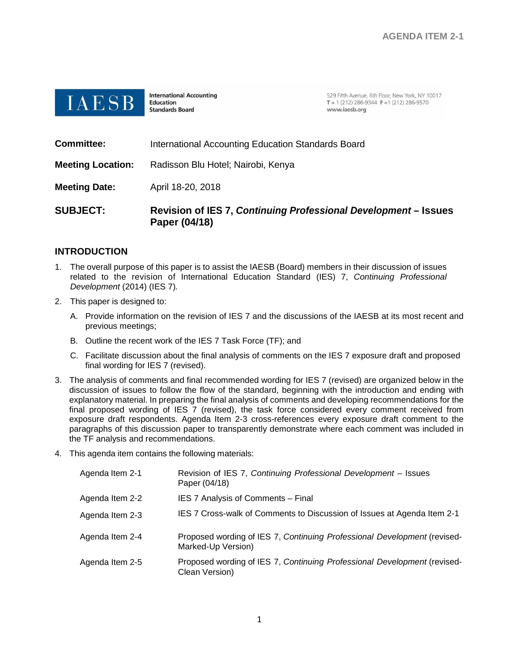

**International Accounting Education Standards Board** 

529 Fifth Avenue, 6th Floor, New York, NY 10017 T + 1 (212) 286-9344 F + 1 (212) 286-9570 www.iaesb.org

| <b>SUBJECT:</b>          | Revision of IES 7, Continuing Professional Development – Issues<br>Paper (04/18) |
|--------------------------|----------------------------------------------------------------------------------|
| <b>Meeting Date:</b>     | April 18-20, 2018                                                                |
| <b>Meeting Location:</b> | Radisson Blu Hotel; Nairobi, Kenya                                               |
| <b>Committee:</b>        | International Accounting Education Standards Board                               |

## **INTRODUCTION**

- 1. The overall purpose of this paper is to assist the IAESB (Board) members in their discussion of issues related to the revision of International Education Standard (IES) 7, *Continuing Professional Development* (2014) (IES 7)*.*
- 2. This paper is designed to:
	- A. Provide information on the revision of IES 7 and the discussions of the IAESB at its most recent and previous meetings;
	- B. Outline the recent work of the IES 7 Task Force (TF); and
	- C. Facilitate discussion about the final analysis of comments on the IES 7 exposure draft and proposed final wording for IES 7 (revised).
- 3. The analysis of comments and final recommended wording for IES 7 (revised) are organized below in the discussion of issues to follow the flow of the standard, beginning with the introduction and ending with explanatory material. In preparing the final analysis of comments and developing recommendations for the final proposed wording of IES 7 (revised), the task force considered every comment received from exposure draft respondents. Agenda Item 2-3 cross-references every exposure draft comment to the paragraphs of this discussion paper to transparently demonstrate where each comment was included in the TF analysis and recommendations.
- 4. This agenda item contains the following materials:

| Agenda Item 2-1 | Revision of IES 7, Continuing Professional Development - Issues<br>Paper (04/18)               |
|-----------------|------------------------------------------------------------------------------------------------|
| Agenda Item 2-2 | IES 7 Analysis of Comments - Final                                                             |
| Agenda Item 2-3 | IES 7 Cross-walk of Comments to Discussion of Issues at Agenda Item 2-1                        |
| Agenda Item 2-4 | Proposed wording of IES 7, Continuing Professional Development (revised-<br>Marked-Up Version) |
| Agenda Item 2-5 | Proposed wording of IES 7, Continuing Professional Development (revised-<br>Clean Version)     |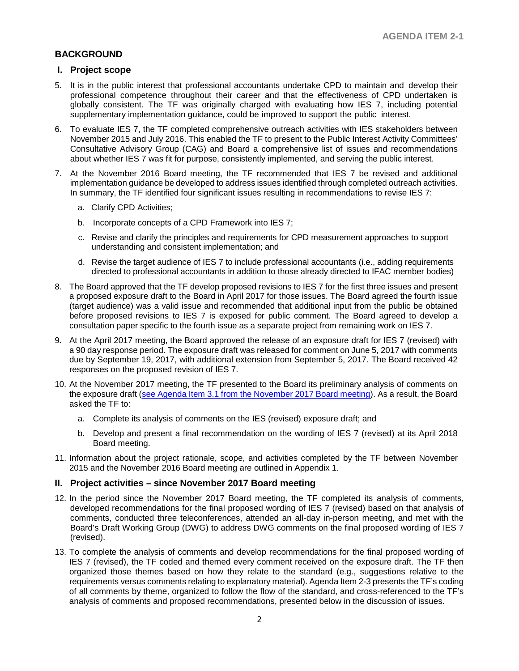## **BACKGROUND**

### **I. Project scope**

- 5. It is in the public interest that professional accountants undertake CPD to maintain and develop their professional competence throughout their career and that the effectiveness of CPD undertaken is globally consistent. The TF was originally charged with evaluating how IES 7, including potential supplementary implementation guidance, could be improved to support the public interest.
- 6. To evaluate IES 7, the TF completed comprehensive outreach activities with IES stakeholders between November 2015 and July 2016. This enabled the TF to present to the Public Interest Activity Committees' Consultative Advisory Group (CAG) and Board a comprehensive list of issues and recommendations about whether IES 7 was fit for purpose, consistently implemented, and serving the public interest.
- 7. At the November 2016 Board meeting, the TF recommended that IES 7 be revised and additional implementation guidance be developed to address issues identified through completed outreach activities. In summary, the TF identified four significant issues resulting in recommendations to revise IES 7:
	- a. Clarify CPD Activities;
	- b. Incorporate concepts of a CPD Framework into IES 7;
	- c. Revise and clarify the principles and requirements for CPD measurement approaches to support understanding and consistent implementation; and
	- d. Revise the target audience of IES 7 to include professional accountants (i.e., adding requirements directed to professional accountants in addition to those already directed to IFAC member bodies)
- 8. The Board approved that the TF develop proposed revisions to IES 7 for the first three issues and present a proposed exposure draft to the Board in April 2017 for those issues. The Board agreed the fourth issue (target audience) was a valid issue and recommended that additional input from the public be obtained before proposed revisions to IES 7 is exposed for public comment. The Board agreed to develop a consultation paper specific to the fourth issue as a separate project from remaining work on IES 7.
- 9. At the April 2017 meeting, the Board approved the release of an exposure draft for IES 7 (revised) with a 90 day response period. The exposure draft was released for comment on June 5, 2017 with comments due by September 19, 2017, with additional extension from September 5, 2017. The Board received 42 responses on the proposed revision of IES 7.
- 10. At the November 2017 meeting, the TF presented to the Board its preliminary analysis of comments on the exposure draft [\(see Agenda Item 3.1 from the November 2017 Board meeting\)](http://www.iaesb.org/system/files/meetings/files/3-1-IES-7-Preliminary-Analysis-of-Comments.pdf). As a result, the Board asked the TF to:
	- a. Complete its analysis of comments on the IES (revised) exposure draft; and
	- b. Develop and present a final recommendation on the wording of IES 7 (revised) at its April 2018 Board meeting.
- 11. Information about the project rationale, scope, and activities completed by the TF between November 2015 and the November 2016 Board meeting are outlined in Appendix 1.

## **II. Project activities – since November 2017 Board meeting**

- 12. In the period since the November 2017 Board meeting, the TF completed its analysis of comments, developed recommendations for the final proposed wording of IES 7 (revised) based on that analysis of comments, conducted three teleconferences, attended an all-day in-person meeting, and met with the Board's Draft Working Group (DWG) to address DWG comments on the final proposed wording of IES 7 (revised).
- 13. To complete the analysis of comments and develop recommendations for the final proposed wording of IES 7 (revised), the TF coded and themed every comment received on the exposure draft. The TF then organized those themes based on how they relate to the standard (e.g., suggestions relative to the requirements versus comments relating to explanatory material). Agenda Item 2-3 presents the TF's coding of all comments by theme, organized to follow the flow of the standard, and cross-referenced to the TF's analysis of comments and proposed recommendations, presented below in the discussion of issues.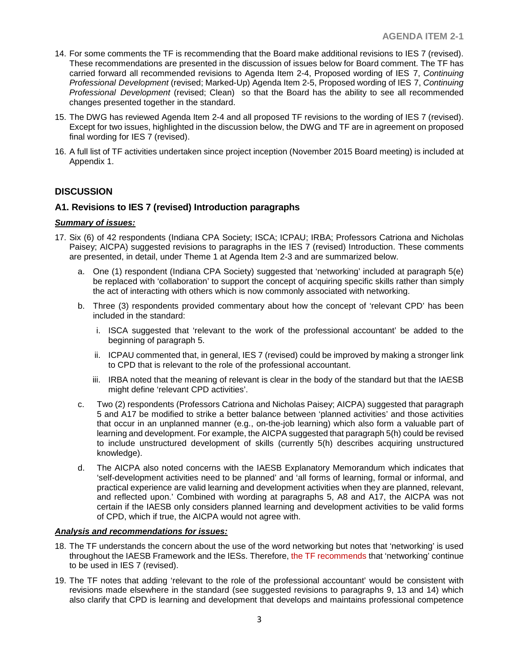- 14. For some comments the TF is recommending that the Board make additional revisions to IES 7 (revised). These recommendations are presented in the discussion of issues below for Board comment. The TF has carried forward all recommended revisions to Agenda Item 2-4, Proposed wording of IES 7, *Continuing Professional Development* (revised; Marked-Up) Agenda Item 2-5, Proposed wording of IES 7, *Continuing Professional Development* (revised; Clean) so that the Board has the ability to see all recommended changes presented together in the standard.
- 15. The DWG has reviewed Agenda Item 2-4 and all proposed TF revisions to the wording of IES 7 (revised). Except for two issues, highlighted in the discussion below, the DWG and TF are in agreement on proposed final wording for IES 7 (revised).
- 16. A full list of TF activities undertaken since project inception (November 2015 Board meeting) is included at Appendix 1.

## **DISCUSSION**

## **A1. Revisions to IES 7 (revised) Introduction paragraphs**

#### *Summary of issues:*

- 17. Six (6) of 42 respondents (Indiana CPA Society; ISCA; ICPAU; IRBA; Professors Catriona and Nicholas Paisey; AICPA) suggested revisions to paragraphs in the IES 7 (revised) Introduction. These comments are presented, in detail, under Theme 1 at Agenda Item 2-3 and are summarized below.
	- a. One (1) respondent (Indiana CPA Society) suggested that 'networking' included at paragraph 5(e) be replaced with 'collaboration' to support the concept of acquiring specific skills rather than simply the act of interacting with others which is now commonly associated with networking.
	- b. Three (3) respondents provided commentary about how the concept of 'relevant CPD' has been included in the standard:
		- i. ISCA suggested that 'relevant to the work of the professional accountant' be added to the beginning of paragraph 5.
		- ii. ICPAU commented that, in general, IES 7 (revised) could be improved by making a stronger link to CPD that is relevant to the role of the professional accountant.
		- iii. IRBA noted that the meaning of relevant is clear in the body of the standard but that the IAESB might define 'relevant CPD activities'.
	- c. Two (2) respondents (Professors Catriona and Nicholas Paisey; AICPA) suggested that paragraph 5 and A17 be modified to strike a better balance between 'planned activities' and those activities that occur in an unplanned manner (e.g., on-the-job learning) which also form a valuable part of learning and development. For example, the AICPA suggested that paragraph 5(h) could be revised to include unstructured development of skills (currently 5(h) describes acquiring unstructured knowledge).
	- d. The AICPA also noted concerns with the IAESB Explanatory Memorandum which indicates that 'self-development activities need to be planned' and 'all forms of learning, formal or informal, and practical experience are valid learning and development activities when they are planned, relevant, and reflected upon.' Combined with wording at paragraphs 5, A8 and A17, the AICPA was not certain if the IAESB only considers planned learning and development activities to be valid forms of CPD, which if true, the AICPA would not agree with.

## *Analysis and recommendations for issues:*

- 18. The TF understands the concern about the use of the word networking but notes that 'networking' is used throughout the IAESB Framework and the IESs. Therefore, the TF recommends that 'networking' continue to be used in IES 7 (revised).
- 19. The TF notes that adding 'relevant to the role of the professional accountant' would be consistent with revisions made elsewhere in the standard (see suggested revisions to paragraphs 9, 13 and 14) which also clarify that CPD is learning and development that develops and maintains professional competence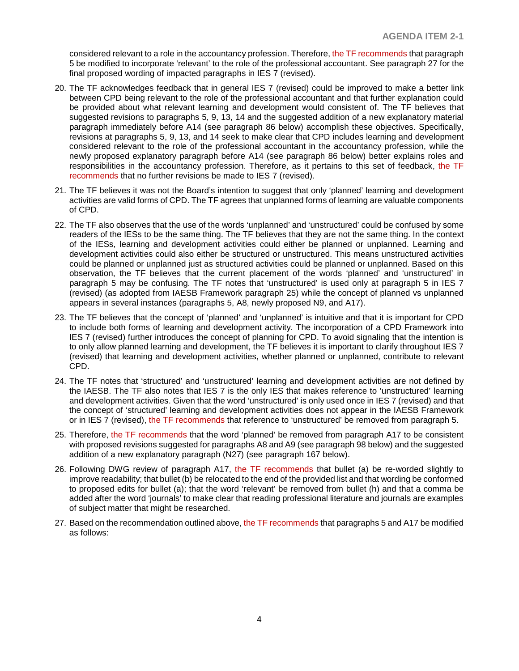considered relevant to a role in the accountancy profession. Therefore, the TF recommends that paragraph 5 be modified to incorporate 'relevant' to the role of the professional accountant. See paragraph 27 for the final proposed wording of impacted paragraphs in IES 7 (revised).

- 20. The TF acknowledges feedback that in general IES 7 (revised) could be improved to make a better link between CPD being relevant to the role of the professional accountant and that further explanation could be provided about what relevant learning and development would consistent of. The TF believes that suggested revisions to paragraphs 5, 9, 13, 14 and the suggested addition of a new explanatory material paragraph immediately before A14 (see paragraph 86 below) accomplish these objectives. Specifically, revisions at paragraphs 5, 9, 13, and 14 seek to make clear that CPD includes learning and development considered relevant to the role of the professional accountant in the accountancy profession, while the newly proposed explanatory paragraph before A14 (see paragraph 86 below) better explains roles and responsibilities in the accountancy profession. Therefore, as it pertains to this set of feedback, the TF recommends that no further revisions be made to IES 7 (revised).
- 21. The TF believes it was not the Board's intention to suggest that only 'planned' learning and development activities are valid forms of CPD. The TF agrees that unplanned forms of learning are valuable components of CPD.
- 22. The TF also observes that the use of the words 'unplanned' and 'unstructured' could be confused by some readers of the IESs to be the same thing. The TF believes that they are not the same thing. In the context of the IESs, learning and development activities could either be planned or unplanned. Learning and development activities could also either be structured or unstructured. This means unstructured activities could be planned or unplanned just as structured activities could be planned or unplanned. Based on this observation, the TF believes that the current placement of the words 'planned' and 'unstructured' in paragraph 5 may be confusing. The TF notes that 'unstructured' is used only at paragraph 5 in IES 7 (revised) (as adopted from IAESB Framework paragraph 25) while the concept of planned vs unplanned appears in several instances (paragraphs 5, A8, newly proposed N9, and A17).
- 23. The TF believes that the concept of 'planned' and 'unplanned' is intuitive and that it is important for CPD to include both forms of learning and development activity. The incorporation of a CPD Framework into IES 7 (revised) further introduces the concept of planning for CPD. To avoid signaling that the intention is to only allow planned learning and development, the TF believes it is important to clarify throughout IES 7 (revised) that learning and development activities, whether planned or unplanned, contribute to relevant CPD.
- 24. The TF notes that 'structured' and 'unstructured' learning and development activities are not defined by the IAESB. The TF also notes that IES 7 is the only IES that makes reference to 'unstructured' learning and development activities. Given that the word 'unstructured' is only used once in IES 7 (revised) and that the concept of 'structured' learning and development activities does not appear in the IAESB Framework or in IES 7 (revised), the TF recommends that reference to 'unstructured' be removed from paragraph 5.
- 25. Therefore, the TF recommends that the word 'planned' be removed from paragraph A17 to be consistent with proposed revisions suggested for paragraphs A8 and A9 (see paragraph 98 below) and the suggested addition of a new explanatory paragraph (N27) (see paragraph 167 below).
- 26. Following DWG review of paragraph A17, the TF recommends that bullet (a) be re-worded slightly to improve readability; that bullet (b) be relocated to the end of the provided list and that wording be conformed to proposed edits for bullet (a); that the word 'relevant' be removed from bullet (h) and that a comma be added after the word 'journals' to make clear that reading professional literature and journals are examples of subject matter that might be researched.
- 27. Based on the recommendation outlined above, the TF recommends that paragraphs 5 and A17 be modified as follows: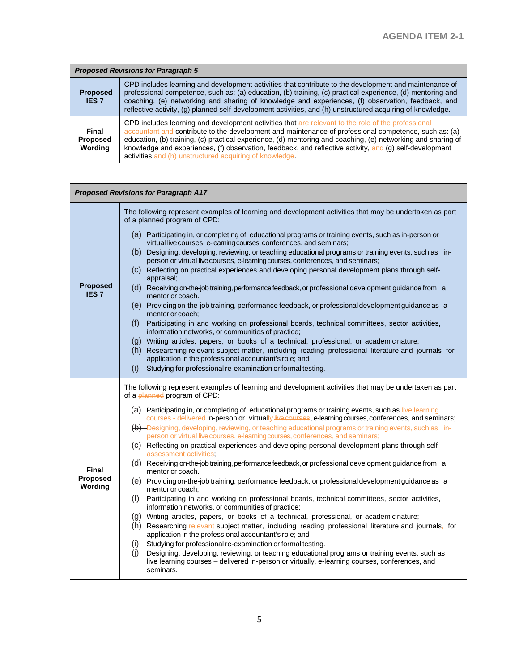| <b>Proposed Revisions for Paragraph 5</b> |                                                                                                                                                                                                                                                                                                                                                                                                                                                                                                   |
|-------------------------------------------|---------------------------------------------------------------------------------------------------------------------------------------------------------------------------------------------------------------------------------------------------------------------------------------------------------------------------------------------------------------------------------------------------------------------------------------------------------------------------------------------------|
| <b>Proposed</b><br><b>IES 7</b>           | CPD includes learning and development activities that contribute to the development and maintenance of<br>professional competence, such as: (a) education, (b) training, (c) practical experience, (d) mentoring and<br>coaching, (e) networking and sharing of knowledge and experiences, (f) observation, feedback, and<br>reflective activity, (g) planned self-development activities, and (h) unstructured acquiring of knowledge.                                                           |
| Final<br><b>Proposed</b><br>Wordina       | CPD includes learning and development activities that are relevant to the role of the professional<br>accountant and contribute to the development and maintenance of professional competence, such as: (a)<br>education, (b) training, (c) practical experience, (d) mentoring and coaching, (e) networking and sharing of<br>knowledge and experiences, (f) observation, feedback, and reflective activity, and (g) self-development<br>activities and (h) unstructured acquiring of knowledge. |

| <b>Proposed Revisions for Paragraph A17</b> |                                                                                                                                                                                                                      |  |
|---------------------------------------------|----------------------------------------------------------------------------------------------------------------------------------------------------------------------------------------------------------------------|--|
|                                             | The following represent examples of learning and development activities that may be undertaken as part<br>of a planned program of CPD:                                                                               |  |
|                                             | (a) Participating in, or completing of, educational programs or training events, such as in-person or<br>virtual live courses, e-learning courses, conferences, and seminars;                                        |  |
|                                             | (b) Designing, developing, reviewing, or teaching educational programs or training events, such as in-<br>person or virtual live courses, e-learning courses, conferences, and seminars;                             |  |
|                                             | (c) Reflecting on practical experiences and developing personal development plans through self-<br>appraisal;                                                                                                        |  |
| <b>Proposed</b><br><b>IES7</b>              | (d) Receiving on-the-job training, performance feedback, or professional development guidance from a<br>mentor or coach.                                                                                             |  |
|                                             | (e) Providing on-the-job training, performance feedback, or professional development guidance as a<br>mentor or coach;                                                                                               |  |
|                                             | Participating in and working on professional boards, technical committees, sector activities,<br>(f)<br>information networks, or communities of practice;                                                            |  |
|                                             | (g) Writing articles, papers, or books of a technical, professional, or academic nature;<br>(h) Researching relevant subject matter, including reading professional literature and journals for                      |  |
|                                             | application in the professional accountant's role; and<br>(i)<br>Studying for professional re-examination or formal testing.                                                                                         |  |
|                                             | The following represent examples of learning and development activities that may be undertaken as part<br>of a planned program of CPD:                                                                               |  |
|                                             | (a) Participating in, or completing of, educational programs or training events, such as live learning<br>courses - delivered in-person or virtually live courses, e-learning courses, conferences, and seminars;    |  |
|                                             | (b) Designing, developing, reviewing, or teaching educational programs or training events, such as in-<br>person or virtual live courses, e-learning courses, conferences, and seminars;                             |  |
|                                             | (c) Reflecting on practical experiences and developing personal development plans through self-<br>assessment activities:                                                                                            |  |
| Final                                       | (d) Receiving on-the-job training, performance feedback, or professional development guidance from a<br>mentor or coach.                                                                                             |  |
| <b>Proposed</b><br>Wording                  | (e) Providing on-the-job training, performance feedback, or professional development guidance as a<br>mentor or coach;                                                                                               |  |
|                                             | (f)<br>Participating in and working on professional boards, technical committees, sector activities,<br>information networks, or communities of practice;                                                            |  |
|                                             | (g) Writing articles, papers, or books of a technical, professional, or academic nature;<br>(h) Researching relevant subject matter, including reading professional literature and journals, for                     |  |
|                                             | application in the professional accountant's role; and<br>(i)<br>Studying for professional re-examination or formal testing.                                                                                         |  |
|                                             | (i)<br>Designing, developing, reviewing, or teaching educational programs or training events, such as<br>live learning courses - delivered in-person or virtually, e-learning courses, conferences, and<br>seminars. |  |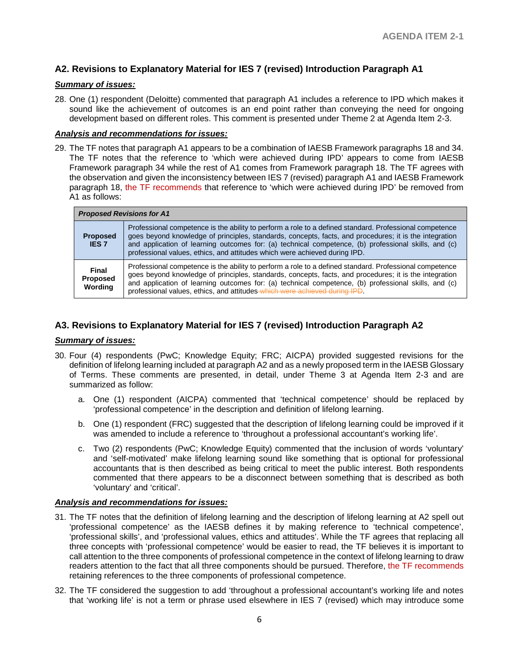## **A2. Revisions to Explanatory Material for IES 7 (revised) Introduction Paragraph A1**

## *Summary of issues:*

28. One (1) respondent (Deloitte) commented that paragraph A1 includes a reference to IPD which makes it sound like the achievement of outcomes is an end point rather than conveying the need for ongoing development based on different roles. This comment is presented under Theme 2 at Agenda Item 2-3.

#### *Analysis and recommendations for issues:*

29. The TF notes that paragraph A1 appears to be a combination of IAESB Framework paragraphs 18 and 34. The TF notes that the reference to 'which were achieved during IPD' appears to come from IAESB Framework paragraph 34 while the rest of A1 comes from Framework paragraph 18. The TF agrees with the observation and given the inconsistency between IES 7 (revised) paragraph A1 and IAESB Framework paragraph 18, the TF recommends that reference to 'which were achieved during IPD' be removed from A1 as follows:

| <b>Proposed Revisions for A1</b> |                                                                                                                                                                                                                                                                                                                                                                                                         |
|----------------------------------|---------------------------------------------------------------------------------------------------------------------------------------------------------------------------------------------------------------------------------------------------------------------------------------------------------------------------------------------------------------------------------------------------------|
| <b>Proposed</b><br><b>IES 7</b>  | Professional competence is the ability to perform a role to a defined standard. Professional competence<br>goes beyond knowledge of principles, standards, concepts, facts, and procedures; it is the integration<br>and application of learning outcomes for: (a) technical competence, (b) professional skills, and (c)<br>professional values, ethics, and attitudes which were achieved during IPD. |
| Final<br>Proposed<br>Wording     | Professional competence is the ability to perform a role to a defined standard. Professional competence<br>goes beyond knowledge of principles, standards, concepts, facts, and procedures; it is the integration<br>and application of learning outcomes for: (a) technical competence, (b) professional skills, and (c)<br>professional values, ethics, and attitudes which were achieved during IPD. |

## **A3. Revisions to Explanatory Material for IES 7 (revised) Introduction Paragraph A2**

## *Summary of issues:*

- 30. Four (4) respondents (PwC; Knowledge Equity; FRC; AICPA) provided suggested revisions for the definition of lifelong learning included at paragraph A2 and as a newly proposed term in the IAESB Glossary of Terms. These comments are presented, in detail, under Theme 3 at Agenda Item 2-3 and are summarized as follow:
	- a. One (1) respondent (AICPA) commented that 'technical competence' should be replaced by 'professional competence' in the description and definition of lifelong learning.
	- b. One (1) respondent (FRC) suggested that the description of lifelong learning could be improved if it was amended to include a reference to 'throughout a professional accountant's working life'.
	- c. Two (2) respondents (PwC; Knowledge Equity) commented that the inclusion of words 'voluntary' and 'self-motivated' make lifelong learning sound like something that is optional for professional accountants that is then described as being critical to meet the public interest. Both respondents commented that there appears to be a disconnect between something that is described as both 'voluntary' and 'critical'.

#### *Analysis and recommendations for issues:*

- 31. The TF notes that the definition of lifelong learning and the description of lifelong learning at A2 spell out 'professional competence' as the IAESB defines it by making reference to 'technical competence', 'professional skills', and 'professional values, ethics and attitudes'. While the TF agrees that replacing all three concepts with 'professional competence' would be easier to read, the TF believes it is important to call attention to the three components of professional competence in the context of lifelong learning to draw readers attention to the fact that all three components should be pursued. Therefore, the TF recommends retaining references to the three components of professional competence.
- 32. The TF considered the suggestion to add 'throughout a professional accountant's working life and notes that 'working life' is not a term or phrase used elsewhere in IES 7 (revised) which may introduce some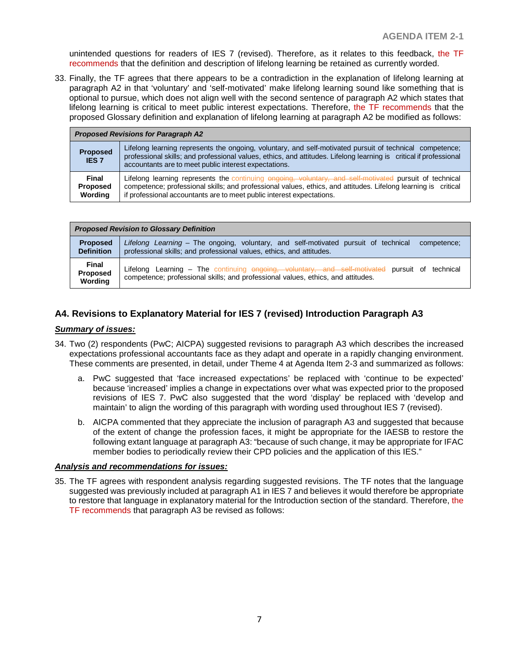unintended questions for readers of IES 7 (revised). Therefore, as it relates to this feedback, the TF recommends that the definition and description of lifelong learning be retained as currently worded.

33. Finally, the TF agrees that there appears to be a contradiction in the explanation of lifelong learning at paragraph A2 in that 'voluntary' and 'self-motivated' make lifelong learning sound like something that is optional to pursue, which does not align well with the second sentence of paragraph A2 which states that lifelong learning is critical to meet public interest expectations. Therefore, the TF recommends that the proposed Glossary definition and explanation of lifelong learning at paragraph A2 be modified as follows:

| <b>Proposed Revisions for Paragraph A2</b> |                                                                                                                                                                                                                                                                                                    |  |
|--------------------------------------------|----------------------------------------------------------------------------------------------------------------------------------------------------------------------------------------------------------------------------------------------------------------------------------------------------|--|
| <b>Proposed</b><br><b>IES 7</b>            | Lifelong learning represents the ongoing, voluntary, and self-motivated pursuit of technical competence;<br>professional skills; and professional values, ethics, and attitudes. Lifelong learning is critical if professional<br>accountants are to meet public interest expectations.            |  |
| <b>Final</b><br><b>Proposed</b><br>Wording | Lifelong learning represents the continuing engoing, voluntary, and self-motivated pursuit of technical<br>competence; professional skills; and professional values, ethics, and attitudes. Lifelong learning is critical<br>if professional accountants are to meet public interest expectations. |  |

| <b>Proposed Revision to Glossary Definition</b> |                                                                                                 |  |
|-------------------------------------------------|-------------------------------------------------------------------------------------------------|--|
| <b>Proposed</b>                                 | Lifelong Learning – The ongoing, voluntary, and self-motivated pursuit of technical competence; |  |
| <b>Definition</b>                               | professional skills; and professional values, ethics, and attitudes.                            |  |
| Final                                           | Lifelong Learning – The continuing <del>ongoing, voluntary, and solf-motivated</del>            |  |
| <b>Proposed</b>                                 | pursuit of technical                                                                            |  |
| Wording                                         | competence; professional skills; and professional values, ethics, and attitudes.                |  |

## **A4. Revisions to Explanatory Material for IES 7 (revised) Introduction Paragraph A3**

#### *Summary of issues:*

- 34. Two (2) respondents (PwC; AICPA) suggested revisions to paragraph A3 which describes the increased expectations professional accountants face as they adapt and operate in a rapidly changing environment. These comments are presented, in detail, under Theme 4 at Agenda Item 2-3 and summarized as follows:
	- a. PwC suggested that 'face increased expectations' be replaced with 'continue to be expected' because 'increased' implies a change in expectations over what was expected prior to the proposed revisions of IES 7. PwC also suggested that the word 'display' be replaced with 'develop and maintain' to align the wording of this paragraph with wording used throughout IES 7 (revised).
	- b. AICPA commented that they appreciate the inclusion of paragraph A3 and suggested that because of the extent of change the profession faces, it might be appropriate for the IAESB to restore the following extant language at paragraph A3: "because of such change, it may be appropriate for IFAC member bodies to periodically review their CPD policies and the application of this IES."

#### *Analysis and recommendations for issues:*

35. The TF agrees with respondent analysis regarding suggested revisions. The TF notes that the language suggested was previously included at paragraph A1 in IES 7 and believes it would therefore be appropriate to restore that language in explanatory material for the Introduction section of the standard. Therefore, the TF recommends that paragraph A3 be revised as follows: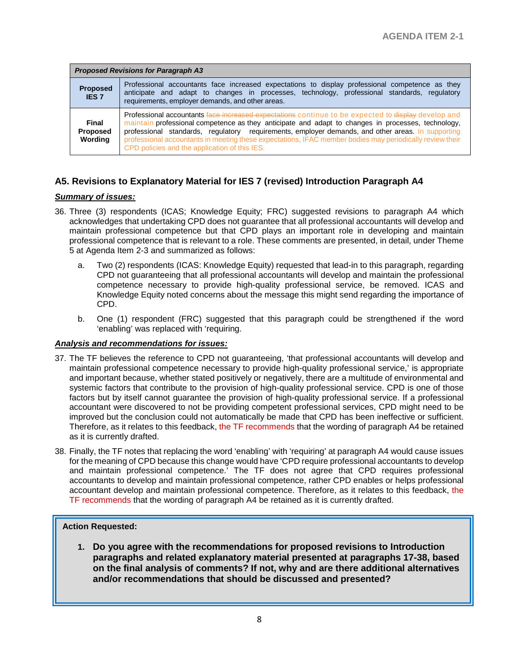| <b>Proposed Revisions for Paragraph A3</b> |                                                                                                                                                                                                                                                                                                                                                                                                                                                                             |  |
|--------------------------------------------|-----------------------------------------------------------------------------------------------------------------------------------------------------------------------------------------------------------------------------------------------------------------------------------------------------------------------------------------------------------------------------------------------------------------------------------------------------------------------------|--|
| <b>Proposed</b><br><b>IES 7</b>            | Professional accountants face increased expectations to display professional competence as they<br>anticipate and adapt to changes in processes, technology, professional standards, regulatory<br>requirements, employer demands, and other areas.                                                                                                                                                                                                                         |  |
| Final<br>Proposed<br>Wording               | Professional accountants face increased expectations continue to be expected to display develop and<br>maintain professional competence as they anticipate and adapt to changes in processes, technology,<br>professional standards, regulatory requirements, employer demands, and other areas. In supporting<br>professional accountants in meeting these expectations, IFAC member bodies may periodically review their<br>CPD policies and the application of this IES. |  |

## **A5. Revisions to Explanatory Material for IES 7 (revised) Introduction Paragraph A4**

#### *Summary of issues:*

- 36. Three (3) respondents (ICAS; Knowledge Equity; FRC) suggested revisions to paragraph A4 which acknowledges that undertaking CPD does not guarantee that all professional accountants will develop and maintain professional competence but that CPD plays an important role in developing and maintain professional competence that is relevant to a role. These comments are presented, in detail, under Theme 5 at Agenda Item 2-3 and summarized as follows:
	- a. Two (2) respondents (ICAS: Knowledge Equity) requested that lead-in to this paragraph, regarding CPD not guaranteeing that all professional accountants will develop and maintain the professional competence necessary to provide high-quality professional service, be removed. ICAS and Knowledge Equity noted concerns about the message this might send regarding the importance of CPD.
	- b. One (1) respondent (FRC) suggested that this paragraph could be strengthened if the word 'enabling' was replaced with 'requiring.

## *Analysis and recommendations for issues:*

- 37. The TF believes the reference to CPD not guaranteeing, 'that professional accountants will develop and maintain professional competence necessary to provide high-quality professional service,' is appropriate and important because, whether stated positively or negatively, there are a multitude of environmental and systemic factors that contribute to the provision of high-quality professional service. CPD is one of those factors but by itself cannot guarantee the provision of high-quality professional service. If a professional accountant were discovered to not be providing competent professional services, CPD might need to be improved but the conclusion could not automatically be made that CPD has been ineffective or sufficient. Therefore, as it relates to this feedback, the TF recommends that the wording of paragraph A4 be retained as it is currently drafted.
- 38. Finally, the TF notes that replacing the word 'enabling' with 'requiring' at paragraph A4 would cause issues for the meaning of CPD because this change would have 'CPD require professional accountants to develop and maintain professional competence.' The TF does not agree that CPD requires professional accountants to develop and maintain professional competence, rather CPD enables or helps professional accountant develop and maintain professional competence. Therefore, as it relates to this feedback, the TF recommends that the wording of paragraph A4 be retained as it is currently drafted.

## **Action Requested:**

**1. Do you agree with the recommendations for proposed revisions to Introduction paragraphs and related explanatory material presented at paragraphs 17-38, based on the final analysis of comments? If not, why and are there additional alternatives and/or recommendations that should be discussed and presented?**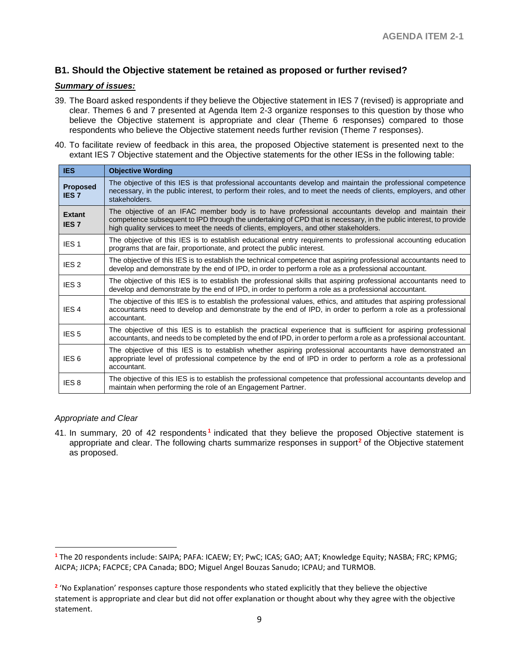## **B1. Should the Objective statement be retained as proposed or further revised?**

#### *Summary of issues:*

- 39. The Board asked respondents if they believe the Objective statement in IES 7 (revised) is appropriate and clear. Themes 6 and 7 presented at Agenda Item 2-3 organize responses to this question by those who believe the Objective statement is appropriate and clear (Theme 6 responses) compared to those respondents who believe the Objective statement needs further revision (Theme 7 responses).
- 40. To facilitate review of feedback in this area, the proposed Objective statement is presented next to the extant IES 7 Objective statement and the Objective statements for the other IESs in the following table:

| <b>IES</b>                      | <b>Objective Wording</b>                                                                                                                                                                                                                                                                                           |
|---------------------------------|--------------------------------------------------------------------------------------------------------------------------------------------------------------------------------------------------------------------------------------------------------------------------------------------------------------------|
| <b>Proposed</b><br><b>IES 7</b> | The objective of this IES is that professional accountants develop and maintain the professional competence<br>necessary, in the public interest, to perform their roles, and to meet the needs of clients, employers, and other<br>stakeholders.                                                                  |
| Extant<br><b>IES7</b>           | The objective of an IFAC member body is to have professional accountants develop and maintain their<br>competence subsequent to IPD through the undertaking of CPD that is necessary, in the public interest, to provide<br>high quality services to meet the needs of clients, employers, and other stakeholders. |
| IES <sub>1</sub>                | The objective of this IES is to establish educational entry requirements to professional accounting education<br>programs that are fair, proportionate, and protect the public interest.                                                                                                                           |
| IES <sub>2</sub>                | The objective of this IES is to establish the technical competence that aspiring professional accountants need to<br>develop and demonstrate by the end of IPD, in order to perform a role as a professional accountant.                                                                                           |
| IES <sub>3</sub>                | The objective of this IES is to establish the professional skills that aspiring professional accountants need to<br>develop and demonstrate by the end of IPD, in order to perform a role as a professional accountant.                                                                                            |
| IES <sub>4</sub>                | The objective of this IES is to establish the professional values, ethics, and attitudes that aspiring professional<br>accountants need to develop and demonstrate by the end of IPD, in order to perform a role as a professional<br>accountant.                                                                  |
| IES <sub>5</sub>                | The objective of this IES is to establish the practical experience that is sufficient for aspiring professional<br>accountants, and needs to be completed by the end of IPD, in order to perform a role as a professional accountant.                                                                              |
| IES <sub>6</sub>                | The objective of this IES is to establish whether aspiring professional accountants have demonstrated an<br>appropriate level of professional competence by the end of IPD in order to perform a role as a professional<br>accountant.                                                                             |
| IES <sub>8</sub>                | The objective of this IES is to establish the professional competence that professional accountants develop and<br>maintain when performing the role of an Engagement Partner.                                                                                                                                     |

#### *Appropriate and Clear*

 $\overline{a}$ 

41. In summary, 20 of 42 respondents **[1](#page-8-0)** indicated that they believe the proposed Objective statement is appropriate and clear. The following charts summarize responses in support**[2](#page-8-1)** of the Objective statement as proposed.

<span id="page-8-0"></span>**<sup>1</sup>** The 20 respondents include: SAIPA; PAFA: ICAEW; EY; PwC; ICAS; GAO; AAT; Knowledge Equity; NASBA; FRC; KPMG; AICPA; JICPA; FACPCE; CPA Canada; BDO; Miguel Angel Bouzas Sanudo; ICPAU; and TURMOB.

<span id="page-8-1"></span><sup>&</sup>lt;sup>2</sup> 'No Explanation' responses capture those respondents who stated explicitly that they believe the obiective statement is appropriate and clear but did not offer explanation or thought about why they agree with the objective statement.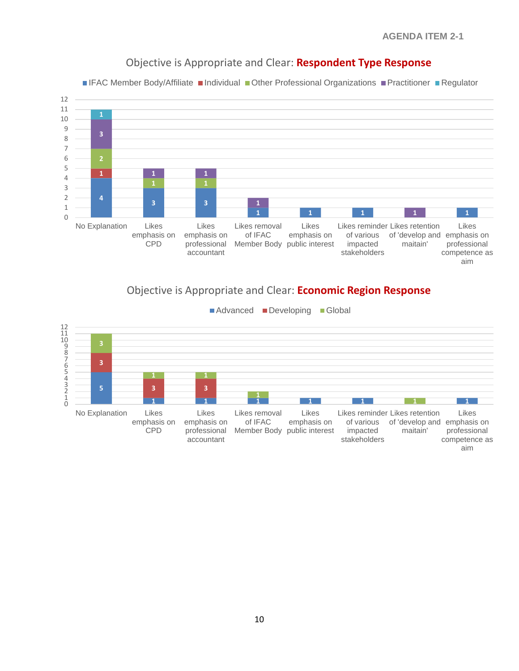

## Objective is Appropriate and Clear: **Respondent Type Response**

■IFAC Member Body/Affiliate ■Individual ■Other Professional Organizations ■Practitioner ■Regulator

# Objective is Appropriate and Clear: **Economic Region Response**

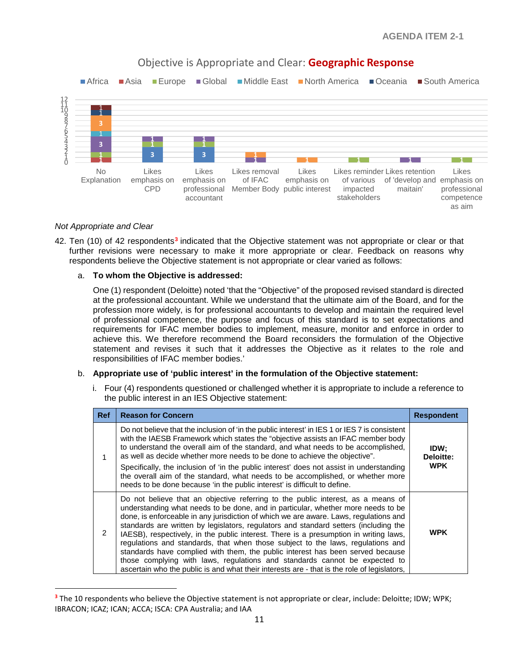

## Objective is Appropriate and Clear: **Geographic Response**

#### *Not Appropriate and Clear*

 $\overline{a}$ 

42. Ten (10) of 42 respondents**[3](#page-10-0)** indicated that the Objective statement was not appropriate or clear or that further revisions were necessary to make it more appropriate or clear. Feedback on reasons why respondents believe the Objective statement is not appropriate or clear varied as follows:

#### a. **To whom the Objective is addressed:**

One (1) respondent (Deloitte) noted 'that the "Objective" of the proposed revised standard is directed at the professional accountant. While we understand that the ultimate aim of the Board, and for the profession more widely, is for professional accountants to develop and maintain the required level of professional competence, the purpose and focus of this standard is to set expectations and requirements for IFAC member bodies to implement, measure, monitor and enforce in order to achieve this. We therefore recommend the Board reconsiders the formulation of the Objective statement and revises it such that it addresses the Objective as it relates to the role and responsibilities of IFAC member bodies.'

## b. **Appropriate use of 'public interest' in the formulation of the Objective statement:**

i. Four (4) respondents questioned or challenged whether it is appropriate to include a reference to the public interest in an IES Objective statement:

| <b>Ref</b>    | <b>Reason for Concern</b>                                                                                                                                                                                                                                                                                                                                                                                                                                                                                                                                                                                                                                                                                                                                                                        | <b>Respondent</b>               |
|---------------|--------------------------------------------------------------------------------------------------------------------------------------------------------------------------------------------------------------------------------------------------------------------------------------------------------------------------------------------------------------------------------------------------------------------------------------------------------------------------------------------------------------------------------------------------------------------------------------------------------------------------------------------------------------------------------------------------------------------------------------------------------------------------------------------------|---------------------------------|
|               | Do not believe that the inclusion of 'in the public interest' in IES 1 or IES 7 is consistent<br>with the IAESB Framework which states the "objective assists an IFAC member body<br>to understand the overall aim of the standard, and what needs to be accomplished.<br>as well as decide whether more needs to be done to achieve the objective".<br>Specifically, the inclusion of 'in the public interest' does not assist in understanding<br>the overall aim of the standard, what needs to be accomplished, or whether more<br>needs to be done because 'in the public interest' is difficult to define.                                                                                                                                                                                 | IDW;<br>Deloitte:<br><b>WPK</b> |
| $\mathcal{P}$ | Do not believe that an objective referring to the public interest, as a means of<br>understanding what needs to be done, and in particular, whether more needs to be<br>done, is enforceable in any jurisdiction of which we are aware. Laws, regulations and<br>standards are written by legislators, regulators and standard setters (including the<br>IAESB), respectively, in the public interest. There is a presumption in writing laws,<br>regulations and standards, that when those subject to the laws, regulations and<br>standards have complied with them, the public interest has been served because<br>those complying with laws, regulations and standards cannot be expected to<br>ascertain who the public is and what their interests are - that is the role of legislators, | <b>WPK</b>                      |

<span id="page-10-0"></span>**<sup>3</sup>** The 10 respondents who believe the Objective statement is not appropriate or clear, include: Deloitte; IDW; WPK; IBRACON; ICAZ; ICAN; ACCA; ISCA: CPA Australia; and IAA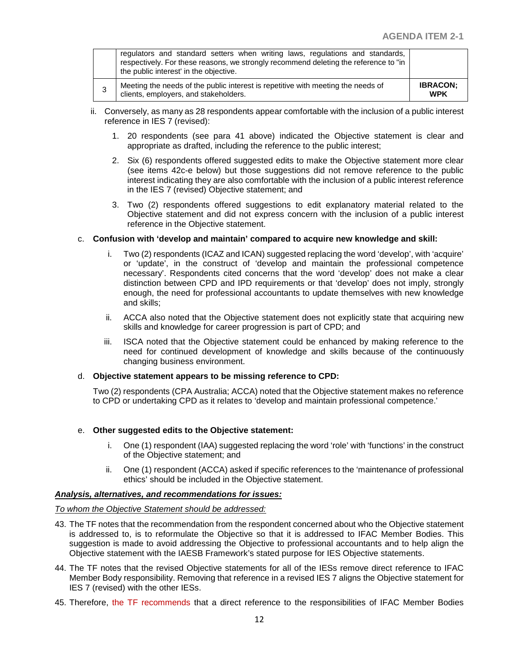| 3 | Meeting the needs of the public interest is repetitive with meeting the needs of<br>clients, employers, and stakeholders.                                                                                       | <b>IBRACON:</b><br><b>WPK</b> |
|---|-----------------------------------------------------------------------------------------------------------------------------------------------------------------------------------------------------------------|-------------------------------|
|   | regulators and standard setters when writing laws, regulations and standards,<br>respectively. For these reasons, we strongly recommend deleting the reference to "in<br>the public interest' in the objective. |                               |

- ii. Conversely, as many as 28 respondents appear comfortable with the inclusion of a public interest reference in IES 7 (revised):
	- 1. 20 respondents (see para 41 above) indicated the Objective statement is clear and appropriate as drafted, including the reference to the public interest;
	- 2. Six (6) respondents offered suggested edits to make the Objective statement more clear (see items 42c-e below) but those suggestions did not remove reference to the public interest indicating they are also comfortable with the inclusion of a public interest reference in the IES 7 (revised) Objective statement; and
	- 3. Two (2) respondents offered suggestions to edit explanatory material related to the Objective statement and did not express concern with the inclusion of a public interest reference in the Objective statement.

#### c. **Confusion with 'develop and maintain' compared to acquire new knowledge and skill:**

- i. Two (2) respondents (ICAZ and ICAN) suggested replacing the word 'develop', with 'acquire' or 'update', in the construct of 'develop and maintain the professional competence necessary'. Respondents cited concerns that the word 'develop' does not make a clear distinction between CPD and IPD requirements or that 'develop' does not imply, strongly enough, the need for professional accountants to update themselves with new knowledge and skills;
- ii. ACCA also noted that the Objective statement does not explicitly state that acquiring new skills and knowledge for career progression is part of CPD; and
- iii. ISCA noted that the Objective statement could be enhanced by making reference to the need for continued development of knowledge and skills because of the continuously changing business environment.

#### d. **Objective statement appears to be missing reference to CPD:**

Two (2) respondents (CPA Australia; ACCA) noted that the Objective statement makes no reference to CPD or undertaking CPD as it relates to 'develop and maintain professional competence.'

#### e. **Other suggested edits to the Objective statement:**

- i. One (1) respondent (IAA) suggested replacing the word 'role' with 'functions' in the construct of the Objective statement; and
- ii. One (1) respondent (ACCA) asked if specific references to the 'maintenance of professional ethics' should be included in the Objective statement.

#### *Analysis, alternatives, and recommendations for issues:*

#### *To whom the Objective Statement should be addressed:*

- 43. The TF notes that the recommendation from the respondent concerned about who the Objective statement is addressed to, is to reformulate the Objective so that it is addressed to IFAC Member Bodies. This suggestion is made to avoid addressing the Objective to professional accountants and to help align the Objective statement with the IAESB Framework's stated purpose for IES Objective statements.
- 44. The TF notes that the revised Objective statements for all of the IESs remove direct reference to IFAC Member Body responsibility. Removing that reference in a revised IES 7 aligns the Objective statement for IES 7 (revised) with the other IESs.
- 45. Therefore, the TF recommends that a direct reference to the responsibilities of IFAC Member Bodies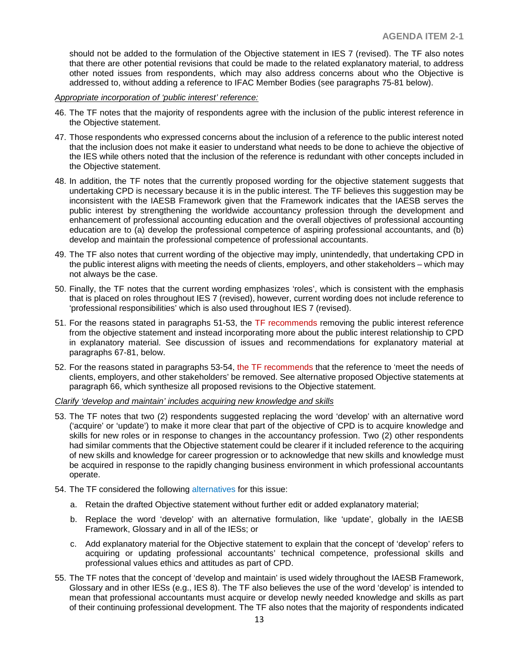should not be added to the formulation of the Objective statement in IES 7 (revised). The TF also notes that there are other potential revisions that could be made to the related explanatory material, to address other noted issues from respondents, which may also address concerns about who the Objective is addressed to, without adding a reference to IFAC Member Bodies (see paragraphs 75-81 below).

*Appropriate incorporation of 'public interest' reference:*

- 46. The TF notes that the majority of respondents agree with the inclusion of the public interest reference in the Objective statement.
- 47. Those respondents who expressed concerns about the inclusion of a reference to the public interest noted that the inclusion does not make it easier to understand what needs to be done to achieve the objective of the IES while others noted that the inclusion of the reference is redundant with other concepts included in the Objective statement.
- 48. In addition, the TF notes that the currently proposed wording for the objective statement suggests that undertaking CPD is necessary because it is in the public interest. The TF believes this suggestion may be inconsistent with the IAESB Framework given that the Framework indicates that the IAESB serves the public interest by strengthening the worldwide accountancy profession through the development and enhancement of professional accounting education and the overall objectives of professional accounting education are to (a) develop the professional competence of aspiring professional accountants, and (b) develop and maintain the professional competence of professional accountants.
- 49. The TF also notes that current wording of the objective may imply, unintendedly, that undertaking CPD in the public interest aligns with meeting the needs of clients, employers, and other stakeholders – which may not always be the case.
- 50. Finally, the TF notes that the current wording emphasizes 'roles', which is consistent with the emphasis that is placed on roles throughout IES 7 (revised), however, current wording does not include reference to 'professional responsibilities' which is also used throughout IES 7 (revised).
- 51. For the reasons stated in paragraphs 51-53, the TF recommends removing the public interest reference from the objective statement and instead incorporating more about the public interest relationship to CPD in explanatory material. See discussion of issues and recommendations for explanatory material at paragraphs 67-81, below.
- 52. For the reasons stated in paragraphs 53-54, the TF recommends that the reference to 'meet the needs of clients, employers, and other stakeholders' be removed. See alternative proposed Objective statements at paragraph 66, which synthesize all proposed revisions to the Objective statement.

*Clarify 'develop and maintain' includes acquiring new knowledge and skills*

- 53. The TF notes that two (2) respondents suggested replacing the word 'develop' with an alternative word ('acquire' or 'update') to make it more clear that part of the objective of CPD is to acquire knowledge and skills for new roles or in response to changes in the accountancy profession. Two (2) other respondents had similar comments that the Objective statement could be clearer if it included reference to the acquiring of new skills and knowledge for career progression or to acknowledge that new skills and knowledge must be acquired in response to the rapidly changing business environment in which professional accountants operate.
- 54. The TF considered the following alternatives for this issue:
	- a. Retain the drafted Objective statement without further edit or added explanatory material;
	- b. Replace the word 'develop' with an alternative formulation, like 'update', globally in the IAESB Framework, Glossary and in all of the IESs; or
	- c. Add explanatory material for the Objective statement to explain that the concept of 'develop' refers to acquiring or updating professional accountants' technical competence, professional skills and professional values ethics and attitudes as part of CPD.
- 55. The TF notes that the concept of 'develop and maintain' is used widely throughout the IAESB Framework, Glossary and in other IESs (e.g., IES 8). The TF also believes the use of the word 'develop' is intended to mean that professional accountants must acquire or develop newly needed knowledge and skills as part of their continuing professional development. The TF also notes that the majority of respondents indicated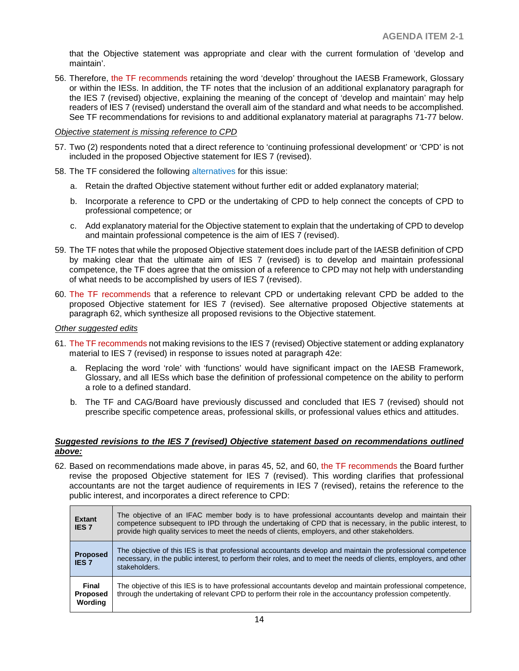that the Objective statement was appropriate and clear with the current formulation of 'develop and maintain'.

56. Therefore, the TF recommends retaining the word 'develop' throughout the IAESB Framework, Glossary or within the IESs. In addition, the TF notes that the inclusion of an additional explanatory paragraph for the IES 7 (revised) objective, explaining the meaning of the concept of 'develop and maintain' may help readers of IES 7 (revised) understand the overall aim of the standard and what needs to be accomplished. See TF recommendations for revisions to and additional explanatory material at paragraphs 71-77 below.

*Objective statement is missing reference to CPD*

- 57. Two (2) respondents noted that a direct reference to 'continuing professional development' or 'CPD' is not included in the proposed Objective statement for IES 7 (revised).
- 58. The TF considered the following alternatives for this issue:
	- a. Retain the drafted Objective statement without further edit or added explanatory material;
	- b. Incorporate a reference to CPD or the undertaking of CPD to help connect the concepts of CPD to professional competence; or
	- c. Add explanatory material for the Objective statement to explain that the undertaking of CPD to develop and maintain professional competence is the aim of IES 7 (revised).
- 59. The TF notes that while the proposed Objective statement does include part of the IAESB definition of CPD by making clear that the ultimate aim of IES 7 (revised) is to develop and maintain professional competence, the TF does agree that the omission of a reference to CPD may not help with understanding of what needs to be accomplished by users of IES 7 (revised).
- 60. The TF recommends that a reference to relevant CPD or undertaking relevant CPD be added to the proposed Objective statement for IES 7 (revised). See alternative proposed Objective statements at paragraph 62, which synthesize all proposed revisions to the Objective statement.

#### *Other suggested edits*

- 61. The TF recommends not making revisions to the IES 7 (revised) Objective statement or adding explanatory material to IES 7 (revised) in response to issues noted at paragraph 42e:
	- a. Replacing the word 'role' with 'functions' would have significant impact on the IAESB Framework, Glossary, and all IESs which base the definition of professional competence on the ability to perform a role to a defined standard.
	- b. The TF and CAG/Board have previously discussed and concluded that IES 7 (revised) should not prescribe specific competence areas, professional skills, or professional values ethics and attitudes.

#### *Suggested revisions to the IES 7 (revised) Objective statement based on recommendations outlined above:*

62. Based on recommendations made above, in paras 45, 52, and 60, the TF recommends the Board further revise the proposed Objective statement for IES 7 (revised). This wording clarifies that professional accountants are not the target audience of requirements in IES 7 (revised), retains the reference to the public interest, and incorporates a direct reference to CPD:

| <b>Extant</b><br><b>IES 7</b>       | The objective of an IFAC member body is to have professional accountants develop and maintain their<br>competence subsequent to IPD through the undertaking of CPD that is necessary, in the public interest, to<br>provide high quality services to meet the needs of clients, employers, and other stakeholders. |
|-------------------------------------|--------------------------------------------------------------------------------------------------------------------------------------------------------------------------------------------------------------------------------------------------------------------------------------------------------------------|
| <b>Proposed</b><br><b>IES 7</b>     | The objective of this IES is that professional accountants develop and maintain the professional competence<br>necessary, in the public interest, to perform their roles, and to meet the needs of clients, employers, and other<br>stakeholders.                                                                  |
| Final<br><b>Proposed</b><br>Wording | The objective of this IES is to have professional accountants develop and maintain professional competence,<br>through the undertaking of relevant CPD to perform their role in the accountancy profession competently.                                                                                            |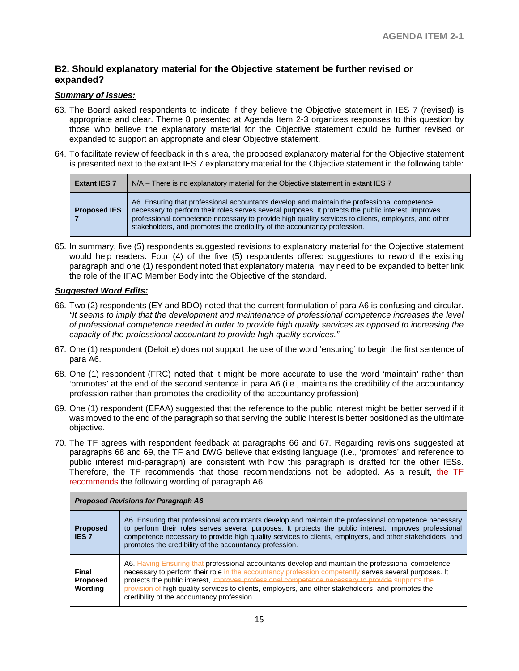## **B2. Should explanatory material for the Objective statement be further revised or expanded?**

#### *Summary of issues:*

- 63. The Board asked respondents to indicate if they believe the Objective statement in IES 7 (revised) is appropriate and clear. Theme 8 presented at Agenda Item 2-3 organizes responses to this question by those who believe the explanatory material for the Objective statement could be further revised or expanded to support an appropriate and clear Objective statement.
- 64. To facilitate review of feedback in this area, the proposed explanatory material for the Objective statement is presented next to the extant IES 7 explanatory material for the Objective statement in the following table:

| <b>Extant IES 7</b> | $N/A$ – There is no explanatory material for the Objective statement in extant IES 7                                                                                                                                                                                                                                                                                                   |  |  |  |
|---------------------|----------------------------------------------------------------------------------------------------------------------------------------------------------------------------------------------------------------------------------------------------------------------------------------------------------------------------------------------------------------------------------------|--|--|--|
| <b>Proposed IES</b> | A6. Ensuring that professional accountants develop and maintain the professional competence<br>necessary to perform their roles serves several purposes. It protects the public interest, improves<br>professional competence necessary to provide high quality services to clients, employers, and other<br>stakeholders, and promotes the credibility of the accountancy profession. |  |  |  |

65. In summary, five (5) respondents suggested revisions to explanatory material for the Objective statement would help readers. Four (4) of the five (5) respondents offered suggestions to reword the existing paragraph and one (1) respondent noted that explanatory material may need to be expanded to better link the role of the IFAC Member Body into the Objective of the standard.

#### *Suggested Word Edits:*

- 66. Two (2) respondents (EY and BDO) noted that the current formulation of para A6 is confusing and circular. *"It seems to imply that the development and maintenance of professional competence increases the level of professional competence needed in order to provide high quality services as opposed to increasing the capacity of the professional accountant to provide high quality services."*
- 67. One (1) respondent (Deloitte) does not support the use of the word 'ensuring' to begin the first sentence of para A6.
- 68. One (1) respondent (FRC) noted that it might be more accurate to use the word 'maintain' rather than 'promotes' at the end of the second sentence in para A6 (i.e., maintains the credibility of the accountancy profession rather than promotes the credibility of the accountancy profession)
- 69. One (1) respondent (EFAA) suggested that the reference to the public interest might be better served if it was moved to the end of the paragraph so that serving the public interest is better positioned as the ultimate objective.
- 70. The TF agrees with respondent feedback at paragraphs 66 and 67. Regarding revisions suggested at paragraphs 68 and 69, the TF and DWG believe that existing language (i.e., 'promotes' and reference to public interest mid-paragraph) are consistent with how this paragraph is drafted for the other IESs. Therefore, the TF recommends that those recommendations not be adopted. As a result, the TF recommends the following wording of paragraph A6:

| <b>Proposed Revisions for Paragraph A6</b> |                                                                                                                                                                                                                                                                                                                                                                                                                                                                     |
|--------------------------------------------|---------------------------------------------------------------------------------------------------------------------------------------------------------------------------------------------------------------------------------------------------------------------------------------------------------------------------------------------------------------------------------------------------------------------------------------------------------------------|
| <b>Proposed</b><br><b>IES 7</b>            | A6. Ensuring that professional accountants develop and maintain the professional competence necessary<br>to perform their roles serves several purposes. It protects the public interest, improves professional<br>competence necessary to provide high quality services to clients, employers, and other stakeholders, and<br>promotes the credibility of the accountancy profession.                                                                              |
| Final<br><b>Proposed</b><br>Wordina        | A6. Having Ensuring that professional accountants develop and maintain the professional competence<br>necessary to perform their role in the accountancy profession competently serves several purposes. It<br>protects the public interest, improves professional competence necessary to provide supports the<br>provision of high quality services to clients, employers, and other stakeholders, and promotes the<br>credibility of the accountancy profession. |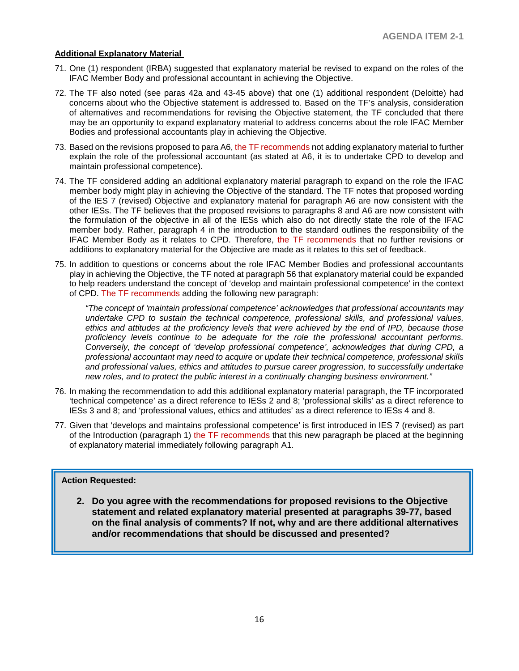#### **Additional Explanatory Material**

- 71. One (1) respondent (IRBA) suggested that explanatory material be revised to expand on the roles of the IFAC Member Body and professional accountant in achieving the Objective.
- 72. The TF also noted (see paras 42a and 43-45 above) that one (1) additional respondent (Deloitte) had concerns about who the Objective statement is addressed to. Based on the TF's analysis, consideration of alternatives and recommendations for revising the Objective statement, the TF concluded that there may be an opportunity to expand explanatory material to address concerns about the role IFAC Member Bodies and professional accountants play in achieving the Objective.
- 73. Based on the revisions proposed to para A6, the TF recommends not adding explanatory material to further explain the role of the professional accountant (as stated at A6, it is to undertake CPD to develop and maintain professional competence).
- 74. The TF considered adding an additional explanatory material paragraph to expand on the role the IFAC member body might play in achieving the Objective of the standard. The TF notes that proposed wording of the IES 7 (revised) Objective and explanatory material for paragraph A6 are now consistent with the other IESs. The TF believes that the proposed revisions to paragraphs 8 and A6 are now consistent with the formulation of the objective in all of the IESs which also do not directly state the role of the IFAC member body. Rather, paragraph 4 in the introduction to the standard outlines the responsibility of the IFAC Member Body as it relates to CPD. Therefore, the TF recommends that no further revisions or additions to explanatory material for the Objective are made as it relates to this set of feedback.
- 75. In addition to questions or concerns about the role IFAC Member Bodies and professional accountants play in achieving the Objective, the TF noted at paragraph 56 that explanatory material could be expanded to help readers understand the concept of 'develop and maintain professional competence' in the context of CPD. The TF recommends adding the following new paragraph:

*"The concept of 'maintain professional competence' acknowledges that professional accountants may undertake CPD to sustain the technical competence, professional skills, and professional values, ethics and attitudes at the proficiency levels that were achieved by the end of IPD, because those proficiency levels continue to be adequate for the role the professional accountant performs. Conversely, the concept of 'develop professional competence', acknowledges that during CPD, a professional accountant may need to acquire or update their technical competence, professional skills and professional values, ethics and attitudes to pursue career progression, to successfully undertake new roles, and to protect the public interest in a continually changing business environment."*

- 76. In making the recommendation to add this additional explanatory material paragraph, the TF incorporated 'technical competence' as a direct reference to IESs 2 and 8; 'professional skills' as a direct reference to IESs 3 and 8; and 'professional values, ethics and attitudes' as a direct reference to IESs 4 and 8.
- 77. Given that 'develops and maintains professional competence' is first introduced in IES 7 (revised) as part of the Introduction (paragraph 1) the TF recommends that this new paragraph be placed at the beginning of explanatory material immediately following paragraph A1.

#### **Action Requested:**

**2. Do you agree with the recommendations for proposed revisions to the Objective statement and related explanatory material presented at paragraphs 39-77, based on the final analysis of comments? If not, why and are there additional alternatives and/or recommendations that should be discussed and presented?**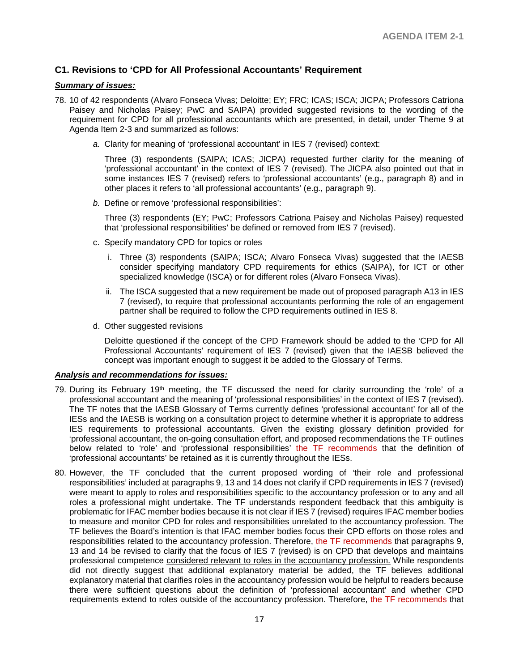## **C1. Revisions to 'CPD for All Professional Accountants' Requirement**

#### *Summary of issues:*

- 78. 10 of 42 respondents (Alvaro Fonseca Vivas; Deloitte; EY; FRC; ICAS; ISCA; JICPA; Professors Catriona Paisey and Nicholas Paisey; PwC and SAIPA) provided suggested revisions to the wording of the requirement for CPD for all professional accountants which are presented, in detail, under Theme 9 at Agenda Item 2-3 and summarized as follows:
	- *a.* Clarity for meaning of 'professional accountant' in IES 7 (revised) context:

Three (3) respondents (SAIPA; ICAS; JICPA) requested further clarity for the meaning of 'professional accountant' in the context of IES 7 (revised). The JICPA also pointed out that in some instances IES 7 (revised) refers to 'professional accountants' (e.g., paragraph 8) and in other places it refers to 'all professional accountants' (e.g., paragraph 9).

*b.* Define or remove 'professional responsibilities':

Three (3) respondents (EY; PwC; Professors Catriona Paisey and Nicholas Paisey) requested that 'professional responsibilities' be defined or removed from IES 7 (revised).

- c. Specify mandatory CPD for topics or roles
	- i. Three (3) respondents (SAIPA; ISCA; Alvaro Fonseca Vivas) suggested that the IAESB consider specifying mandatory CPD requirements for ethics (SAIPA), for ICT or other specialized knowledge (ISCA) or for different roles (Alvaro Fonseca Vivas).
	- ii. The ISCA suggested that a new requirement be made out of proposed paragraph A13 in IES 7 (revised), to require that professional accountants performing the role of an engagement partner shall be required to follow the CPD requirements outlined in IES 8.
- d. Other suggested revisions

Deloitte questioned if the concept of the CPD Framework should be added to the 'CPD for All Professional Accountants' requirement of IES 7 (revised) given that the IAESB believed the concept was important enough to suggest it be added to the Glossary of Terms.

#### *Analysis and recommendations for issues:*

- 79. During its February 19<sup>th</sup> meeting, the TF discussed the need for clarity surrounding the 'role' of a professional accountant and the meaning of 'professional responsibilities' in the context of IES 7 (revised). The TF notes that the IAESB Glossary of Terms currently defines 'professional accountant' for all of the IESs and the IAESB is working on a consultation project to determine whether it is appropriate to address IES requirements to professional accountants. Given the existing glossary definition provided for 'professional accountant, the on-going consultation effort, and proposed recommendations the TF outlines below related to 'role' and 'professional responsibilities' the TF recommends that the definition of 'professional accountants' be retained as it is currently throughout the IESs.
- 80. However, the TF concluded that the current proposed wording of 'their role and professional responsibilities' included at paragraphs 9, 13 and 14 does not clarify if CPD requirements in IES 7 (revised) were meant to apply to roles and responsibilities specific to the accountancy profession or to any and all roles a professional might undertake. The TF understands respondent feedback that this ambiguity is problematic for IFAC member bodies because it is not clear if IES 7 (revised) requires IFAC member bodies to measure and monitor CPD for roles and responsibilities unrelated to the accountancy profession. The TF believes the Board's intention is that IFAC member bodies focus their CPD efforts on those roles and responsibilities related to the accountancy profession. Therefore, the TF recommends that paragraphs 9, 13 and 14 be revised to clarify that the focus of IES 7 (revised) is on CPD that develops and maintains professional competence considered relevant to roles in the accountancy profession. While respondents did not directly suggest that additional explanatory material be added, the TF believes additional explanatory material that clarifies roles in the accountancy profession would be helpful to readers because there were sufficient questions about the definition of 'professional accountant' and whether CPD requirements extend to roles outside of the accountancy profession. Therefore, the TF recommends that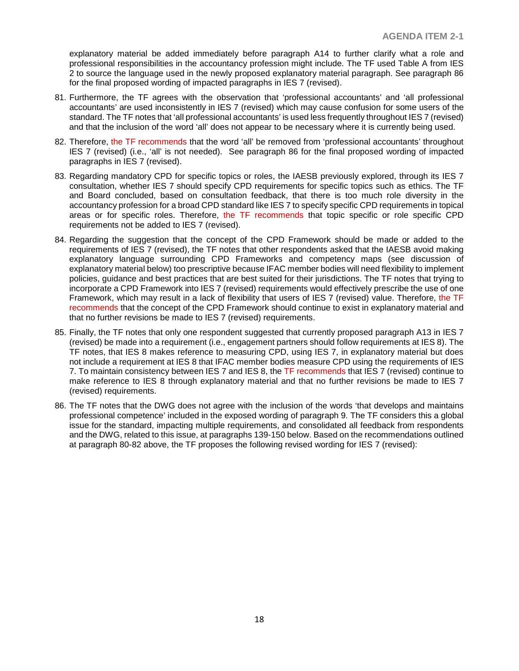explanatory material be added immediately before paragraph A14 to further clarify what a role and professional responsibilities in the accountancy profession might include. The TF used Table A from IES 2 to source the language used in the newly proposed explanatory material paragraph. See paragraph 86 for the final proposed wording of impacted paragraphs in IES 7 (revised).

- 81. Furthermore, the TF agrees with the observation that 'professional accountants' and 'all professional accountants' are used inconsistently in IES 7 (revised) which may cause confusion for some users of the standard. The TF notes that 'all professional accountants' is used less frequently throughout IES 7 (revised) and that the inclusion of the word 'all' does not appear to be necessary where it is currently being used.
- 82. Therefore, the TF recommends that the word 'all' be removed from 'professional accountants' throughout IES 7 (revised) (i.e., 'all' is not needed). See paragraph 86 for the final proposed wording of impacted paragraphs in IES 7 (revised).
- 83. Regarding mandatory CPD for specific topics or roles, the IAESB previously explored, through its IES 7 consultation, whether IES 7 should specify CPD requirements for specific topics such as ethics. The TF and Board concluded, based on consultation feedback, that there is too much role diversity in the accountancy profession for a broad CPD standard like IES 7 to specify specific CPD requirements in topical areas or for specific roles. Therefore, the TF recommends that topic specific or role specific CPD requirements not be added to IES 7 (revised).
- 84. Regarding the suggestion that the concept of the CPD Framework should be made or added to the requirements of IES 7 (revised), the TF notes that other respondents asked that the IAESB avoid making explanatory language surrounding CPD Frameworks and competency maps (see discussion of explanatory material below) too prescriptive because IFAC member bodies will need flexibility to implement policies, guidance and best practices that are best suited for their jurisdictions. The TF notes that trying to incorporate a CPD Framework into IES 7 (revised) requirements would effectively prescribe the use of one Framework, which may result in a lack of flexibility that users of IES 7 (revised) value. Therefore, the TF recommends that the concept of the CPD Framework should continue to exist in explanatory material and that no further revisions be made to IES 7 (revised) requirements.
- 85. Finally, the TF notes that only one respondent suggested that currently proposed paragraph A13 in IES 7 (revised) be made into a requirement (i.e., engagement partners should follow requirements at IES 8). The TF notes, that IES 8 makes reference to measuring CPD, using IES 7, in explanatory material but does not include a requirement at IES 8 that IFAC member bodies measure CPD using the requirements of IES 7. To maintain consistency between IES 7 and IES 8, the TF recommends that IES 7 (revised) continue to make reference to IES 8 through explanatory material and that no further revisions be made to IES 7 (revised) requirements.
- 86. The TF notes that the DWG does not agree with the inclusion of the words 'that develops and maintains professional competence' included in the exposed wording of paragraph 9. The TF considers this a global issue for the standard, impacting multiple requirements, and consolidated all feedback from respondents and the DWG, related to this issue, at paragraphs 139-150 below. Based on the recommendations outlined at paragraph 80-82 above, the TF proposes the following revised wording for IES 7 (revised):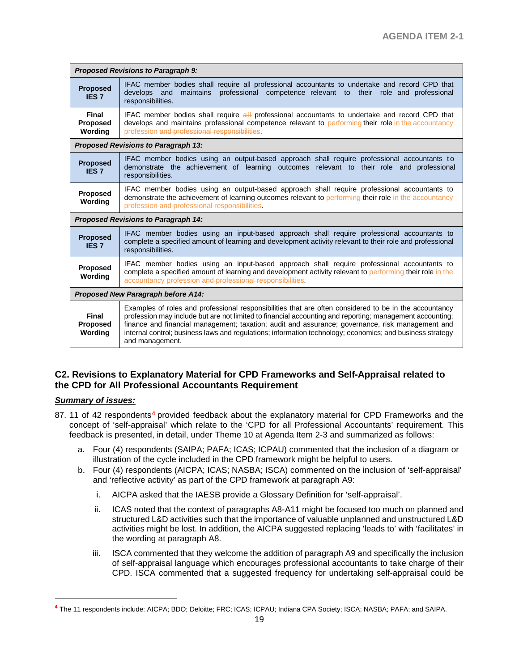|                                            | <b>Proposed Revisions to Paragraph 9:</b>                                                                                                                                                                                                                                                                                                                                                                                                              |  |  |  |
|--------------------------------------------|--------------------------------------------------------------------------------------------------------------------------------------------------------------------------------------------------------------------------------------------------------------------------------------------------------------------------------------------------------------------------------------------------------------------------------------------------------|--|--|--|
| <b>Proposed</b><br><b>IES7</b>             | IFAC member bodies shall require all professional accountants to undertake and record CPD that<br>professional competence relevant to their role and professional<br>develops and<br>maintains<br>responsibilities.                                                                                                                                                                                                                                    |  |  |  |
| Final<br><b>Proposed</b><br>Wording        | IFAC member bodies shall require all professional accountants to undertake and record CPD that<br>develops and maintains professional competence relevant to performing their role in the accountancy<br>profession and professional responsibilities.                                                                                                                                                                                                 |  |  |  |
|                                            | <b>Proposed Revisions to Paragraph 13:</b>                                                                                                                                                                                                                                                                                                                                                                                                             |  |  |  |
| <b>Proposed</b><br><b>IES7</b>             | IFAC member bodies using an output-based approach shall require professional accountants to<br>demonstrate the achievement of learning outcomes relevant to their role and professional<br>responsibilities.                                                                                                                                                                                                                                           |  |  |  |
| Proposed<br>Wording                        | IFAC member bodies using an output-based approach shall require professional accountants to<br>demonstrate the achievement of learning outcomes relevant to performing their role in the accountancy<br>profession-and professional responsibilities.                                                                                                                                                                                                  |  |  |  |
| <b>Proposed Revisions to Paragraph 14:</b> |                                                                                                                                                                                                                                                                                                                                                                                                                                                        |  |  |  |
| <b>Proposed</b><br><b>IES7</b>             | IFAC member bodies using an input-based approach shall require professional accountants to<br>complete a specified amount of learning and development activity relevant to their role and professional<br>responsibilities.                                                                                                                                                                                                                            |  |  |  |
| Proposed<br>Wording                        | IFAC member bodies using an input-based approach shall require professional accountants to<br>complete a specified amount of learning and development activity relevant to performing their role in the<br>accountancy profession and professional responsibilities.                                                                                                                                                                                   |  |  |  |
| <b>Proposed New Paragraph before A14:</b>  |                                                                                                                                                                                                                                                                                                                                                                                                                                                        |  |  |  |
| Final<br><b>Proposed</b><br>Wording        | Examples of roles and professional responsibilities that are often considered to be in the accountancy<br>profession may include but are not limited to financial accounting and reporting; management accounting;<br>finance and financial management; taxation; audit and assurance; governance, risk management and<br>internal control; business laws and regulations; information technology; economics; and business strategy<br>and management. |  |  |  |

## **C2. Revisions to Explanatory Material for CPD Frameworks and Self-Appraisal related to the CPD for All Professional Accountants Requirement**

## *Summary of issues:*

 $\overline{a}$ 

- 87. 11 of 42 respondents**[4](#page-18-0)** provided feedback about the explanatory material for CPD Frameworks and the concept of 'self-appraisal' which relate to the 'CPD for all Professional Accountants' requirement. This feedback is presented, in detail, under Theme 10 at Agenda Item 2-3 and summarized as follows:
	- a. Four (4) respondents (SAIPA; PAFA; ICAS; ICPAU) commented that the inclusion of a diagram or illustration of the cycle included in the CPD framework might be helpful to users.
	- b. Four (4) respondents (AICPA; ICAS; NASBA; ISCA) commented on the inclusion of 'self-appraisal' and 'reflective activity' as part of the CPD framework at paragraph A9:
		- i. AICPA asked that the IAESB provide a Glossary Definition for 'self-appraisal'.
		- ii. ICAS noted that the context of paragraphs A8-A11 might be focused too much on planned and structured L&D activities such that the importance of valuable unplanned and unstructured L&D activities might be lost. In addition, the AICPA suggested replacing 'leads to' with 'facilitates' in the wording at paragraph A8.
		- iii. ISCA commented that they welcome the addition of paragraph A9 and specifically the inclusion of self-appraisal language which encourages professional accountants to take charge of their CPD. ISCA commented that a suggested frequency for undertaking self-appraisal could be

<span id="page-18-0"></span>**<sup>4</sup>** The 11 respondents include: AICPA; BDO; Deloitte; FRC; ICAS; ICPAU; Indiana CPA Society; ISCA; NASBA; PAFA; and SAIPA.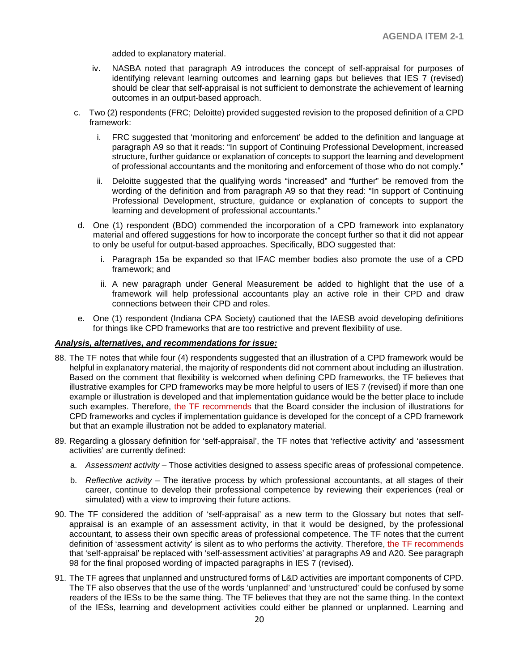added to explanatory material.

- iv. NASBA noted that paragraph A9 introduces the concept of self-appraisal for purposes of identifying relevant learning outcomes and learning gaps but believes that IES 7 (revised) should be clear that self-appraisal is not sufficient to demonstrate the achievement of learning outcomes in an output-based approach.
- c. Two (2) respondents (FRC; Deloitte) provided suggested revision to the proposed definition of a CPD framework:
	- i. FRC suggested that 'monitoring and enforcement' be added to the definition and language at paragraph A9 so that it reads: "In support of Continuing Professional Development, increased structure, further guidance or explanation of concepts to support the learning and development of professional accountants and the monitoring and enforcement of those who do not comply."
	- ii. Deloitte suggested that the qualifying words "increased" and "further" be removed from the wording of the definition and from paragraph A9 so that they read: "In support of Continuing Professional Development, structure, guidance or explanation of concepts to support the learning and development of professional accountants."
- d. One (1) respondent (BDO) commended the incorporation of a CPD framework into explanatory material and offered suggestions for how to incorporate the concept further so that it did not appear to only be useful for output-based approaches. Specifically, BDO suggested that:
	- i. Paragraph 15a be expanded so that IFAC member bodies also promote the use of a CPD framework; and
	- ii. A new paragraph under General Measurement be added to highlight that the use of a framework will help professional accountants play an active role in their CPD and draw connections between their CPD and roles.
- e. One (1) respondent (Indiana CPA Society) cautioned that the IAESB avoid developing definitions for things like CPD frameworks that are too restrictive and prevent flexibility of use.

#### *Analysis, alternatives, and recommendations for issue:*

- 88. The TF notes that while four (4) respondents suggested that an illustration of a CPD framework would be helpful in explanatory material, the majority of respondents did not comment about including an illustration. Based on the comment that flexibility is welcomed when defining CPD frameworks, the TF believes that illustrative examples for CPD frameworks may be more helpful to users of IES 7 (revised) if more than one example or illustration is developed and that implementation guidance would be the better place to include such examples. Therefore, the TF recommends that the Board consider the inclusion of illustrations for CPD frameworks and cycles if implementation guidance is developed for the concept of a CPD framework but that an example illustration not be added to explanatory material.
- 89. Regarding a glossary definition for 'self-appraisal', the TF notes that 'reflective activity' and 'assessment activities' are currently defined:
	- a. *Assessment activity* Those activities designed to assess specific areas of professional competence.
	- b. *Reflective activity*  The iterative process by which professional accountants, at all stages of their career, continue to develop their professional competence by reviewing their experiences (real or simulated) with a view to improving their future actions.
- 90. The TF considered the addition of 'self-appraisal' as a new term to the Glossary but notes that selfappraisal is an example of an assessment activity, in that it would be designed, by the professional accountant, to assess their own specific areas of professional competence. The TF notes that the current definition of 'assessment activity' is silent as to who performs the activity. Therefore, the TF recommends that 'self-appraisal' be replaced with 'self-assessment activities' at paragraphs A9 and A20. See paragraph 98 for the final proposed wording of impacted paragraphs in IES 7 (revised).
- 91. The TF agrees that unplanned and unstructured forms of L&D activities are important components of CPD. The TF also observes that the use of the words 'unplanned' and 'unstructured' could be confused by some readers of the IESs to be the same thing. The TF believes that they are not the same thing. In the context of the IESs, learning and development activities could either be planned or unplanned. Learning and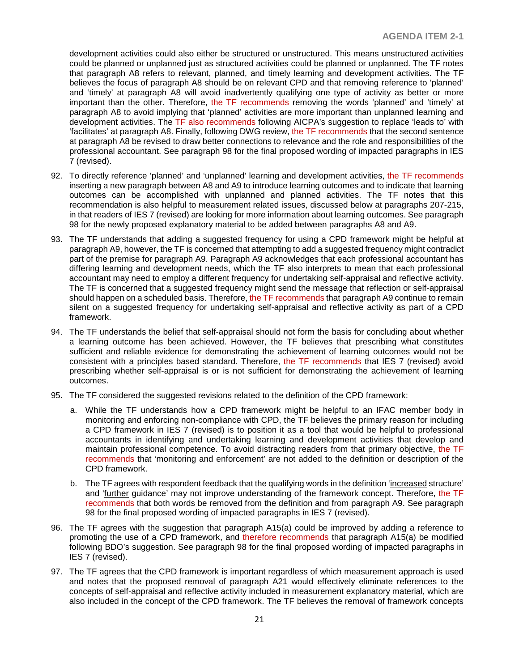development activities could also either be structured or unstructured. This means unstructured activities could be planned or unplanned just as structured activities could be planned or unplanned. The TF notes that paragraph A8 refers to relevant, planned, and timely learning and development activities. The TF believes the focus of paragraph A8 should be on relevant CPD and that removing reference to 'planned' and 'timely' at paragraph A8 will avoid inadvertently qualifying one type of activity as better or more important than the other. Therefore, the TF recommends removing the words 'planned' and 'timely' at paragraph A8 to avoid implying that 'planned' activities are more important than unplanned learning and development activities. The TF also recommends following AICPA's suggestion to replace 'leads to' with 'facilitates' at paragraph A8. Finally, following DWG review, the TF recommends that the second sentence at paragraph A8 be revised to draw better connections to relevance and the role and responsibilities of the professional accountant. See paragraph 98 for the final proposed wording of impacted paragraphs in IES 7 (revised).

- 92. To directly reference 'planned' and 'unplanned' learning and development activities, the TF recommends inserting a new paragraph between A8 and A9 to introduce learning outcomes and to indicate that learning outcomes can be accomplished with unplanned and planned activities. The TF notes that this recommendation is also helpful to measurement related issues, discussed below at paragraphs 207-215, in that readers of IES 7 (revised) are looking for more information about learning outcomes. See paragraph 98 for the newly proposed explanatory material to be added between paragraphs A8 and A9.
- 93. The TF understands that adding a suggested frequency for using a CPD framework might be helpful at paragraph A9, however, the TF is concerned that attempting to add a suggested frequency might contradict part of the premise for paragraph A9. Paragraph A9 acknowledges that each professional accountant has differing learning and development needs, which the TF also interprets to mean that each professional accountant may need to employ a different frequency for undertaking self-appraisal and reflective activity. The TF is concerned that a suggested frequency might send the message that reflection or self-appraisal should happen on a scheduled basis. Therefore, the TF recommends that paragraph A9 continue to remain silent on a suggested frequency for undertaking self-appraisal and reflective activity as part of a CPD framework.
- 94. The TF understands the belief that self-appraisal should not form the basis for concluding about whether a learning outcome has been achieved. However, the TF believes that prescribing what constitutes sufficient and reliable evidence for demonstrating the achievement of learning outcomes would not be consistent with a principles based standard. Therefore, the TF recommends that IES 7 (revised) avoid prescribing whether self-appraisal is or is not sufficient for demonstrating the achievement of learning outcomes.
- 95. The TF considered the suggested revisions related to the definition of the CPD framework:
	- a. While the TF understands how a CPD framework might be helpful to an IFAC member body in monitoring and enforcing non-compliance with CPD, the TF believes the primary reason for including a CPD framework in IES 7 (revised) is to position it as a tool that would be helpful to professional accountants in identifying and undertaking learning and development activities that develop and maintain professional competence. To avoid distracting readers from that primary objective, the TF recommends that 'monitoring and enforcement' are not added to the definition or description of the CPD framework.
	- b. The TF agrees with respondent feedback that the qualifying words in the definition 'increased structure' and 'further guidance' may not improve understanding of the framework concept. Therefore, the TF recommends that both words be removed from the definition and from paragraph A9. See paragraph 98 for the final proposed wording of impacted paragraphs in IES 7 (revised).
- 96. The TF agrees with the suggestion that paragraph A15(a) could be improved by adding a reference to promoting the use of a CPD framework, and therefore recommends that paragraph A15(a) be modified following BDO's suggestion. See paragraph 98 for the final proposed wording of impacted paragraphs in IES 7 (revised).
- 97. The TF agrees that the CPD framework is important regardless of which measurement approach is used and notes that the proposed removal of paragraph A21 would effectively eliminate references to the concepts of self-appraisal and reflective activity included in measurement explanatory material, which are also included in the concept of the CPD framework. The TF believes the removal of framework concepts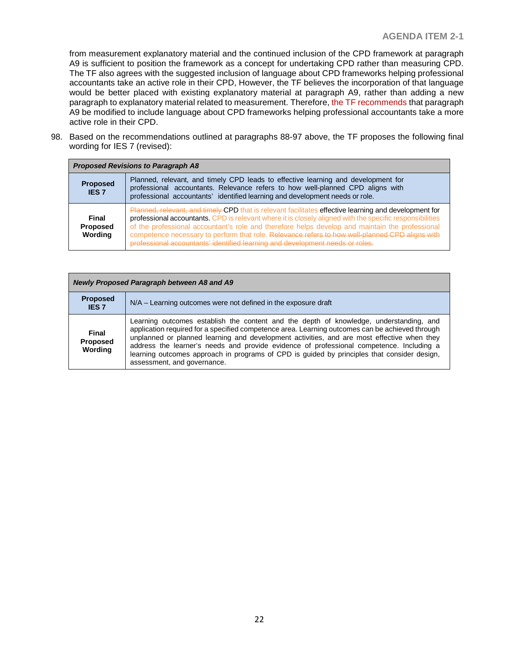from measurement explanatory material and the continued inclusion of the CPD framework at paragraph A9 is sufficient to position the framework as a concept for undertaking CPD rather than measuring CPD. The TF also agrees with the suggested inclusion of language about CPD frameworks helping professional accountants take an active role in their CPD, However, the TF believes the incorporation of that language would be better placed with existing explanatory material at paragraph A9, rather than adding a new paragraph to explanatory material related to measurement. Therefore, the TF recommends that paragraph A9 be modified to include language about CPD frameworks helping professional accountants take a more active role in their CPD.

98. Based on the recommendations outlined at paragraphs 88-97 above, the TF proposes the following final wording for IES 7 (revised):

|                                     | <b>Proposed Revisions to Paragraph A8</b>                                                                                                                                                                                                                                                                                                                                                                                                                                                                |  |
|-------------------------------------|----------------------------------------------------------------------------------------------------------------------------------------------------------------------------------------------------------------------------------------------------------------------------------------------------------------------------------------------------------------------------------------------------------------------------------------------------------------------------------------------------------|--|
| <b>Proposed</b><br><b>IES 7</b>     | Planned, relevant, and timely CPD leads to effective learning and development for<br>professional accountants. Relevance refers to how well-planned CPD aligns with<br>professional accountants' identified learning and development needs or role.                                                                                                                                                                                                                                                      |  |
| Final<br><b>Proposed</b><br>Wordina | Planned, relevant, and timely CPD that is relevant facilitates effective learning and development for<br>professional accountants. CPD is relevant where it is closely aligned with the specific responsibilities<br>of the professional accountant's role and therefore helps develop and maintain the professional<br>competence necessary to perform that role. Relevance refers to how well-planned CPD alians with<br>professional accountants' identified learning and development peeds or roles. |  |

| Newly Proposed Paragraph between A8 and A9 |                                                                                                                                                                                                                                                                                                                                                                                                                                                                                                                   |
|--------------------------------------------|-------------------------------------------------------------------------------------------------------------------------------------------------------------------------------------------------------------------------------------------------------------------------------------------------------------------------------------------------------------------------------------------------------------------------------------------------------------------------------------------------------------------|
| <b>Proposed</b><br>IES <sub>7</sub>        | N/A – Learning outcomes were not defined in the exposure draft                                                                                                                                                                                                                                                                                                                                                                                                                                                    |
| Final<br>Proposed<br>Wording               | Learning outcomes establish the content and the depth of knowledge, understanding, and<br>application required for a specified competence area. Learning outcomes can be achieved through<br>unplanned or planned learning and development activities, and are most effective when they<br>address the learner's needs and provide evidence of professional competence. Including a<br>learning outcomes approach in programs of CPD is guided by principles that consider design,<br>assessment, and governance. |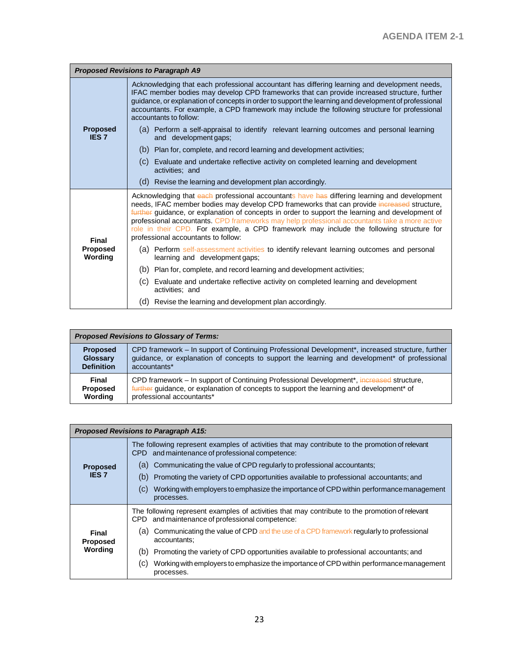| <b>Proposed Revisions to Paragraph A9</b>  |                                                                                                                                                                                                                                                                                                                                                                                                                                                                                                                                   |  |
|--------------------------------------------|-----------------------------------------------------------------------------------------------------------------------------------------------------------------------------------------------------------------------------------------------------------------------------------------------------------------------------------------------------------------------------------------------------------------------------------------------------------------------------------------------------------------------------------|--|
| <b>Proposed</b><br><b>IES 7</b>            | Acknowledging that each professional accountant has differing learning and development needs,<br>IFAC member bodies may develop CPD frameworks that can provide increased structure, further<br>guidance, or explanation of concepts in order to support the learning and development of professional<br>accountants. For example, a CPD framework may include the following structure for professional<br>accountants to follow:                                                                                                 |  |
|                                            | (a) Perform a self-appraisal to identify relevant learning outcomes and personal learning<br>and development gaps;                                                                                                                                                                                                                                                                                                                                                                                                                |  |
|                                            | (b)<br>Plan for, complete, and record learning and development activities;                                                                                                                                                                                                                                                                                                                                                                                                                                                        |  |
|                                            | Evaluate and undertake reflective activity on completed learning and development<br>(C)<br>activities: and                                                                                                                                                                                                                                                                                                                                                                                                                        |  |
|                                            | Revise the learning and development plan accordingly.<br>(d)                                                                                                                                                                                                                                                                                                                                                                                                                                                                      |  |
| <b>Final</b><br><b>Proposed</b><br>Wording | Acknowledging that each professional accountants have has differing learning and development<br>needs, IFAC member bodies may develop CPD frameworks that can provide increased structure,<br>further guidance, or explanation of concepts in order to support the learning and development of<br>professional accountants. CPD frameworks may help professional accountants take a more active<br>role in their CPD. For example, a CPD framework may include the following structure for<br>professional accountants to follow: |  |
|                                            | (a) Perform self-assessment activities to identify relevant learning outcomes and personal<br>learning and development gaps;                                                                                                                                                                                                                                                                                                                                                                                                      |  |
|                                            | (b)<br>Plan for, complete, and record learning and development activities;                                                                                                                                                                                                                                                                                                                                                                                                                                                        |  |
|                                            | Evaluate and undertake reflective activity on completed learning and development<br>(C)  <br>activities: and                                                                                                                                                                                                                                                                                                                                                                                                                      |  |
|                                            | Revise the learning and development plan accordingly.<br>(d)                                                                                                                                                                                                                                                                                                                                                                                                                                                                      |  |

| <b>Proposed Revisions to Glossary of Terms:</b> |                                                                                                           |
|-------------------------------------------------|-----------------------------------------------------------------------------------------------------------|
| <b>Proposed</b>                                 | CPD framework - In support of Continuing Professional Development*, increased structure, further          |
| <b>Glossary</b>                                 | guidance, or explanation of concepts to support the learning and development <sup>*</sup> of professional |
| <b>Definition</b>                               | accountants*                                                                                              |
| Final                                           | CPD framework - In support of Continuing Professional Development*, increased structure,                  |
| <b>Proposed</b>                                 | further guidance, or explanation of concepts to support the learning and development* of                  |
| Wording                                         | professional accountants*                                                                                 |

| <b>Proposed Revisions to Paragraph A15:</b> |                                                                                                                                                    |
|---------------------------------------------|----------------------------------------------------------------------------------------------------------------------------------------------------|
| <b>Proposed</b><br><b>IES 7</b>             | The following represent examples of activities that may contribute to the promotion of relevant<br>CPD and maintenance of professional competence: |
|                                             | Communicating the value of CPD regularly to professional accountants:<br>(a)                                                                       |
|                                             | Promoting the variety of CPD opportunities available to professional accountants; and<br>(b)                                                       |
|                                             | Working with employers to emphasize the importance of CPD within performance management<br>(C)<br>processes.                                       |
| Final<br>Proposed                           | The following represent examples of activities that may contribute to the promotion of relevant<br>CPD and maintenance of professional competence: |
|                                             | Communicating the value of CPD and the use of a CPD framework regularly to professional<br>(a)<br>accountants;                                     |
| Wording                                     | (b)<br>Promoting the variety of CPD opportunities available to professional accountants; and                                                       |
|                                             | Working with employers to emphasize the importance of CPD within performance management<br>(C)<br>processes.                                       |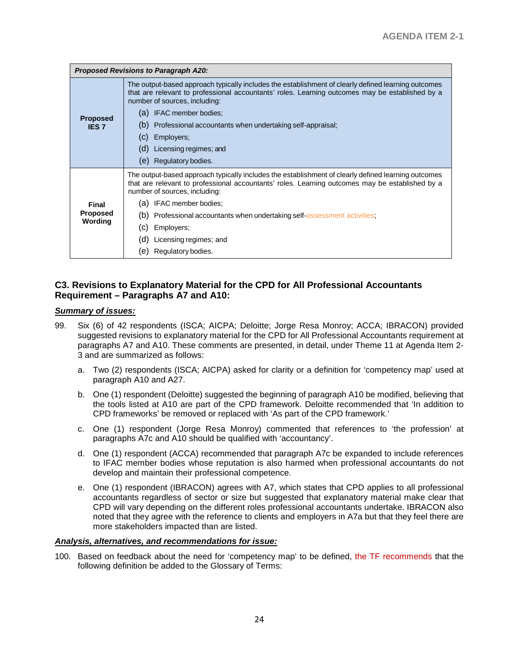| <b>Proposed Revisions to Paragraph A20:</b> |                                                                                                                                                                                                                                         |  |
|---------------------------------------------|-----------------------------------------------------------------------------------------------------------------------------------------------------------------------------------------------------------------------------------------|--|
| <b>Proposed</b><br><b>IES 7</b>             | The output-based approach typically includes the establishment of clearly defined learning outcomes<br>that are relevant to professional accountants' roles. Learning outcomes may be established by a<br>number of sources, including: |  |
|                                             | IFAC member bodies;<br>(a)                                                                                                                                                                                                              |  |
|                                             | Professional accountants when undertaking self-appraisal;<br>(b)                                                                                                                                                                        |  |
|                                             | (C)<br>Employers;                                                                                                                                                                                                                       |  |
|                                             | (d)<br>Licensing regimes; and                                                                                                                                                                                                           |  |
|                                             | Regulatory bodies.<br>(e)                                                                                                                                                                                                               |  |
|                                             | The output-based approach typically includes the establishment of clearly defined learning outcomes<br>that are relevant to professional accountants' roles. Learning outcomes may be established by a<br>number of sources, including: |  |
| Final                                       | IFAC member bodies:<br>(a)                                                                                                                                                                                                              |  |
| <b>Proposed</b><br>Wording                  | Professional accountants when undertaking self-assessment activities;<br>(b)                                                                                                                                                            |  |
|                                             | Employers;<br>(C)                                                                                                                                                                                                                       |  |
|                                             | Licensing regimes; and<br>(d)                                                                                                                                                                                                           |  |
|                                             | Regulatory bodies.<br>(e)                                                                                                                                                                                                               |  |

## **C3. Revisions to Explanatory Material for the CPD for All Professional Accountants Requirement – Paragraphs A7 and A10:**

#### *Summary of issues:*

- 99. Six (6) of 42 respondents (ISCA; AICPA; Deloitte; Jorge Resa Monroy; ACCA; IBRACON) provided suggested revisions to explanatory material for the CPD for All Professional Accountants requirement at paragraphs A7 and A10. These comments are presented, in detail, under Theme 11 at Agenda Item 2- 3 and are summarized as follows:
	- a. Two (2) respondents (ISCA; AICPA) asked for clarity or a definition for 'competency map' used at paragraph A10 and A27.
	- b. One (1) respondent (Deloitte) suggested the beginning of paragraph A10 be modified, believing that the tools listed at A10 are part of the CPD framework. Deloitte recommended that 'In addition to CPD frameworks' be removed or replaced with 'As part of the CPD framework.'
	- c. One (1) respondent (Jorge Resa Monroy) commented that references to 'the profession' at paragraphs A7c and A10 should be qualified with 'accountancy'.
	- d. One (1) respondent (ACCA) recommended that paragraph A7c be expanded to include references to IFAC member bodies whose reputation is also harmed when professional accountants do not develop and maintain their professional competence.
	- e. One (1) respondent (IBRACON) agrees with A7, which states that CPD applies to all professional accountants regardless of sector or size but suggested that explanatory material make clear that CPD will vary depending on the different roles professional accountants undertake. IBRACON also noted that they agree with the reference to clients and employers in A7a but that they feel there are more stakeholders impacted than are listed.

#### *Analysis, alternatives, and recommendations for issue:*

100. Based on feedback about the need for 'competency map' to be defined, the TF recommends that the following definition be added to the Glossary of Terms: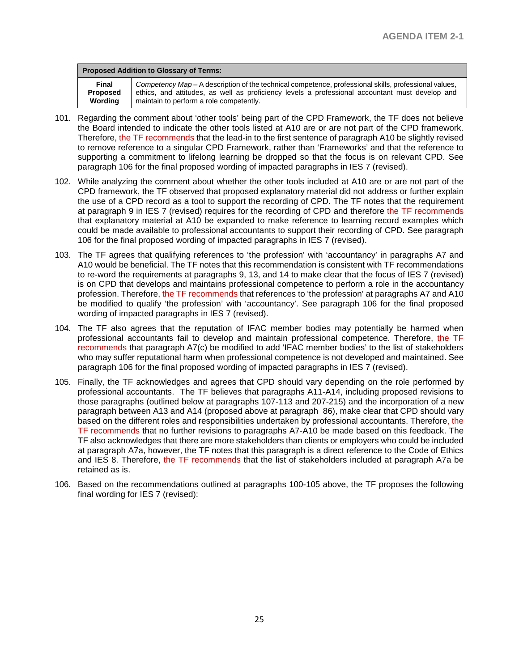| <b>Proposed Addition to Glossary of Terms:</b> |                                                                                                       |
|------------------------------------------------|-------------------------------------------------------------------------------------------------------|
| Final                                          | Competency Map – A description of the technical competence, professional skills, professional values, |
| <b>Proposed</b>                                | ethics, and attitudes, as well as proficiency levels a professional accountant must develop and       |
| Wordina                                        | maintain to perform a role competently.                                                               |

- 101. Regarding the comment about 'other tools' being part of the CPD Framework, the TF does not believe the Board intended to indicate the other tools listed at A10 are or are not part of the CPD framework. Therefore, the TF recommends that the lead-in to the first sentence of paragraph A10 be slightly revised to remove reference to a singular CPD Framework, rather than 'Frameworks' and that the reference to supporting a commitment to lifelong learning be dropped so that the focus is on relevant CPD. See paragraph 106 for the final proposed wording of impacted paragraphs in IES 7 (revised).
- 102. While analyzing the comment about whether the other tools included at A10 are or are not part of the CPD framework, the TF observed that proposed explanatory material did not address or further explain the use of a CPD record as a tool to support the recording of CPD. The TF notes that the requirement at paragraph 9 in IES 7 (revised) requires for the recording of CPD and therefore the TF recommends that explanatory material at A10 be expanded to make reference to learning record examples which could be made available to professional accountants to support their recording of CPD. See paragraph 106 for the final proposed wording of impacted paragraphs in IES 7 (revised).
- 103. The TF agrees that qualifying references to 'the profession' with 'accountancy' in paragraphs A7 and A10 would be beneficial. The TF notes that this recommendation is consistent with TF recommendations to re-word the requirements at paragraphs 9, 13, and 14 to make clear that the focus of IES 7 (revised) is on CPD that develops and maintains professional competence to perform a role in the accountancy profession. Therefore, the TF recommends that references to 'the profession' at paragraphs A7 and A10 be modified to qualify 'the profession' with 'accountancy'. See paragraph 106 for the final proposed wording of impacted paragraphs in IES 7 (revised).
- 104. The TF also agrees that the reputation of IFAC member bodies may potentially be harmed when professional accountants fail to develop and maintain professional competence. Therefore, the TF recommends that paragraph A7(c) be modified to add 'IFAC member bodies' to the list of stakeholders who may suffer reputational harm when professional competence is not developed and maintained. See paragraph 106 for the final proposed wording of impacted paragraphs in IES 7 (revised).
- 105. Finally, the TF acknowledges and agrees that CPD should vary depending on the role performed by professional accountants. The TF believes that paragraphs A11-A14, including proposed revisions to those paragraphs (outlined below at paragraphs 107-113 and 207-215) and the incorporation of a new paragraph between A13 and A14 (proposed above at paragraph 86), make clear that CPD should vary based on the different roles and responsibilities undertaken by professional accountants. Therefore, the TF recommends that no further revisions to paragraphs A7-A10 be made based on this feedback. The TF also acknowledges that there are more stakeholders than clients or employers who could be included at paragraph A7a, however, the TF notes that this paragraph is a direct reference to the Code of Ethics and IES 8. Therefore, the TF recommends that the list of stakeholders included at paragraph A7a be retained as is.
- 106. Based on the recommendations outlined at paragraphs 100-105 above, the TF proposes the following final wording for IES 7 (revised):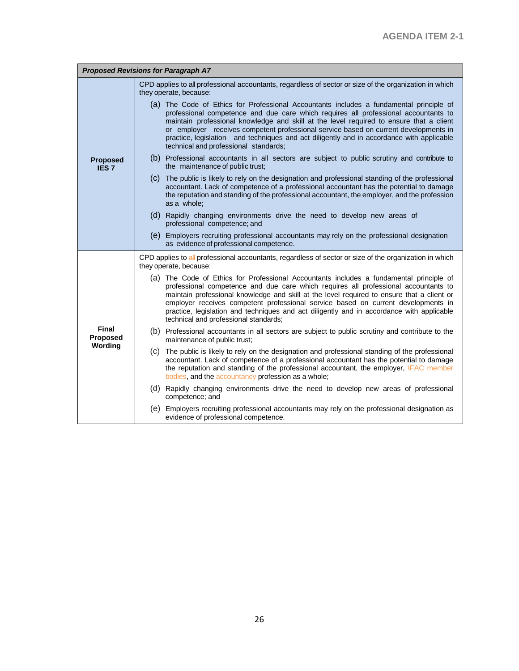| <b>Proposed Revisions for Paragraph A7</b> |                                                                                                                                                                                                                                                                                                                                                                                                                                                                                                         |  |
|--------------------------------------------|---------------------------------------------------------------------------------------------------------------------------------------------------------------------------------------------------------------------------------------------------------------------------------------------------------------------------------------------------------------------------------------------------------------------------------------------------------------------------------------------------------|--|
|                                            | CPD applies to all professional accountants, regardless of sector or size of the organization in which<br>they operate, because:                                                                                                                                                                                                                                                                                                                                                                        |  |
| <b>Proposed</b><br><b>IES7</b>             | (a) The Code of Ethics for Professional Accountants includes a fundamental principle of<br>professional competence and due care which requires all professional accountants to<br>maintain professional knowledge and skill at the level required to ensure that a client<br>or employer receives competent professional service based on current developments in<br>practice, legislation and techniques and act diligently and in accordance with applicable<br>technical and professional standards; |  |
|                                            | (b) Professional accountants in all sectors are subject to public scrutiny and contribute to<br>the maintenance of public trust;                                                                                                                                                                                                                                                                                                                                                                        |  |
|                                            | (c) The public is likely to rely on the designation and professional standing of the professional<br>accountant. Lack of competence of a professional accountant has the potential to damage<br>the reputation and standing of the professional accountant, the employer, and the profession<br>as a whole:                                                                                                                                                                                             |  |
|                                            | (d) Rapidly changing environments drive the need to develop new areas of<br>professional competence; and                                                                                                                                                                                                                                                                                                                                                                                                |  |
|                                            | (e) Employers recruiting professional accountants may rely on the professional designation<br>as evidence of professional competence.                                                                                                                                                                                                                                                                                                                                                                   |  |
|                                            | CPD applies to all professional accountants, regardless of sector or size of the organization in which<br>they operate, because:                                                                                                                                                                                                                                                                                                                                                                        |  |
|                                            | (a) The Code of Ethics for Professional Accountants includes a fundamental principle of<br>professional competence and due care which requires all professional accountants to<br>maintain professional knowledge and skill at the level required to ensure that a client or<br>employer receives competent professional service based on current developments in<br>practice, legislation and techniques and act diligently and in accordance with applicable<br>technical and professional standards; |  |
| <b>Final</b><br>Proposed                   | (b) Professional accountants in all sectors are subject to public scrutiny and contribute to the<br>maintenance of public trust;                                                                                                                                                                                                                                                                                                                                                                        |  |
| Wording                                    | (c) The public is likely to rely on the designation and professional standing of the professional<br>accountant. Lack of competence of a professional accountant has the potential to damage<br>the reputation and standing of the professional accountant, the employer, IFAC member<br>bodies, and the accountancy profession as a whole;                                                                                                                                                             |  |
|                                            | (d) Rapidly changing environments drive the need to develop new areas of professional<br>competence; and                                                                                                                                                                                                                                                                                                                                                                                                |  |
|                                            | (e) Employers recruiting professional accountants may rely on the professional designation as<br>evidence of professional competence.                                                                                                                                                                                                                                                                                                                                                                   |  |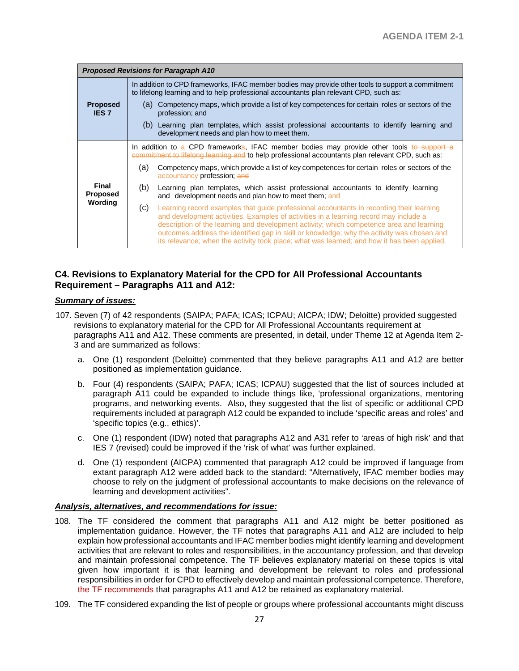|                                     | <b>Proposed Revisions for Paragraph A10</b> |                                                                                                                                                                                                                                                                                                                                                                                                                                                                            |
|-------------------------------------|---------------------------------------------|----------------------------------------------------------------------------------------------------------------------------------------------------------------------------------------------------------------------------------------------------------------------------------------------------------------------------------------------------------------------------------------------------------------------------------------------------------------------------|
|                                     |                                             | In addition to CPD frameworks, IFAC member bodies may provide other tools to support a commitment<br>to lifelong learning and to help professional accountants plan relevant CPD, such as:                                                                                                                                                                                                                                                                                 |
| <b>Proposed</b><br><b>IES 7</b>     |                                             | (a) Competency maps, which provide a list of key competences for certain roles or sectors of the<br>profession; and                                                                                                                                                                                                                                                                                                                                                        |
|                                     |                                             | (b) Learning plan templates, which assist professional accountants to identify learning and<br>development needs and plan how to meet them.                                                                                                                                                                                                                                                                                                                                |
| Final<br><b>Proposed</b><br>Wording |                                             | In addition to a CPD frameworks, IFAC member bodies may provide other tools to support a<br>commitment to lifelong learning and to help professional accountants plan relevant CPD, such as:                                                                                                                                                                                                                                                                               |
|                                     | (a)                                         | Competency maps, which provide a list of key competences for certain roles or sectors of the<br>accountancy profession; and                                                                                                                                                                                                                                                                                                                                                |
|                                     | (b)                                         | Learning plan templates, which assist professional accountants to identify learning<br>and development needs and plan how to meet them; and                                                                                                                                                                                                                                                                                                                                |
|                                     | (C)                                         | Learning record examples that quide professional accountants in recording their learning<br>and development activities. Examples of activities in a learning record may include a<br>description of the learning and development activity; which competence area and learning<br>outcomes address the identified gap in skill or knowledge; why the activity was chosen and<br>its relevance; when the activity took place; what was learned; and how it has been applied. |

## **C4. Revisions to Explanatory Material for the CPD for All Professional Accountants Requirement – Paragraphs A11 and A12:**

#### *Summary of issues:*

- 107. Seven (7) of 42 respondents (SAIPA; PAFA; ICAS; ICPAU; AICPA; IDW; Deloitte) provided suggested revisions to explanatory material for the CPD for All Professional Accountants requirement at paragraphs A11 and A12. These comments are presented, in detail, under Theme 12 at Agenda Item 2- 3 and are summarized as follows:
	- a. One (1) respondent (Deloitte) commented that they believe paragraphs A11 and A12 are better positioned as implementation guidance.
	- b. Four (4) respondents (SAIPA; PAFA; ICAS; ICPAU) suggested that the list of sources included at paragraph A11 could be expanded to include things like, 'professional organizations, mentoring programs, and networking events. Also, they suggested that the list of specific or additional CPD requirements included at paragraph A12 could be expanded to include 'specific areas and roles' and 'specific topics (e.g., ethics)'.
	- c. One (1) respondent (IDW) noted that paragraphs A12 and A31 refer to 'areas of high risk' and that IES 7 (revised) could be improved if the 'risk of what' was further explained.
	- d. One (1) respondent (AICPA) commented that paragraph A12 could be improved if language from extant paragraph A12 were added back to the standard: "Alternatively, IFAC member bodies may choose to rely on the judgment of professional accountants to make decisions on the relevance of learning and development activities".

#### *Analysis, alternatives, and recommendations for issue:*

- 108. The TF considered the comment that paragraphs A11 and A12 might be better positioned as implementation guidance. However, the TF notes that paragraphs A11 and A12 are included to help explain how professional accountants and IFAC member bodies might identify learning and development activities that are relevant to roles and responsibilities, in the accountancy profession, and that develop and maintain professional competence. The TF believes explanatory material on these topics is vital given how important it is that learning and development be relevant to roles and professional responsibilities in order for CPD to effectively develop and maintain professional competence. Therefore, the TF recommends that paragraphs A11 and A12 be retained as explanatory material.
- 109. The TF considered expanding the list of people or groups where professional accountants might discuss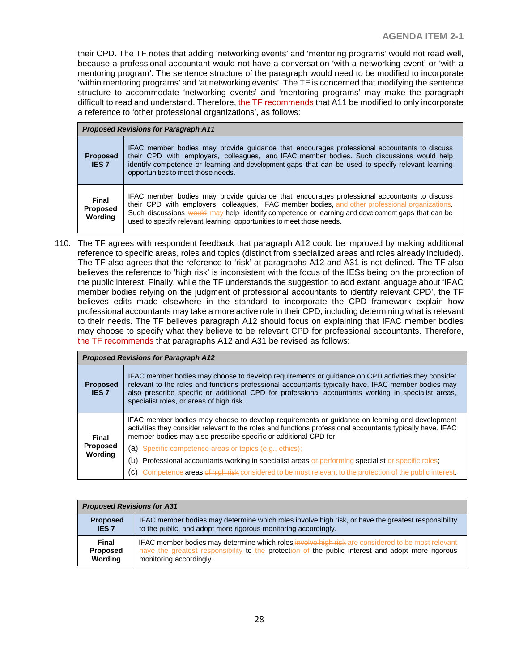their CPD. The TF notes that adding 'networking events' and 'mentoring programs' would not read well, because a professional accountant would not have a conversation 'with a networking event' or 'with a mentoring program'. The sentence structure of the paragraph would need to be modified to incorporate 'within mentoring programs' and 'at networking events'. The TF is concerned that modifying the sentence structure to accommodate 'networking events' and 'mentoring programs' may make the paragraph difficult to read and understand. Therefore, the TF recommends that A11 be modified to only incorporate a reference to 'other professional organizations', as follows:

| <b>Proposed Revisions for Paragraph A11</b> |                                                                                                                                                                                                                                                                                                                                                                            |  |
|---------------------------------------------|----------------------------------------------------------------------------------------------------------------------------------------------------------------------------------------------------------------------------------------------------------------------------------------------------------------------------------------------------------------------------|--|
| <b>Proposed</b><br><b>IES 7</b>             | IFAC member bodies may provide guidance that encourages professional accountants to discuss<br>their CPD with employers, colleagues, and IFAC member bodies. Such discussions would help<br>identify competence or learning and development gaps that can be used to specify relevant learning<br>opportunities to meet those needs.                                       |  |
| Final<br><b>Proposed</b><br>Wordina         | IFAC member bodies may provide guidance that encourages professional accountants to discuss<br>their CPD with employers, colleagues, IFAC member bodies, and other professional organizations.<br>Such discussions would may help identify competence or learning and development gaps that can be<br>used to specify relevant learning opportunities to meet those needs. |  |

110. The TF agrees with respondent feedback that paragraph A12 could be improved by making additional reference to specific areas, roles and topics (distinct from specialized areas and roles already included). The TF also agrees that the reference to 'risk' at paragraphs A12 and A31 is not defined. The TF also believes the reference to 'high risk' is inconsistent with the focus of the IESs being on the protection of the public interest. Finally, while the TF understands the suggestion to add extant language about 'IFAC member bodies relying on the judgment of professional accountants to identify relevant CPD', the TF believes edits made elsewhere in the standard to incorporate the CPD framework explain how professional accountants may take a more active role in their CPD, including determining what is relevant to their needs. The TF believes paragraph A12 should focus on explaining that IFAC member bodies may choose to specify what they believe to be relevant CPD for professional accountants. Therefore, the TF recommends that paragraphs A12 and A31 be revised as follows:

| <b>Proposed Revisions for Paragraph A12</b> |                                                                                                                                                                                                                                                                                                                                                             |  |  |
|---------------------------------------------|-------------------------------------------------------------------------------------------------------------------------------------------------------------------------------------------------------------------------------------------------------------------------------------------------------------------------------------------------------------|--|--|
| <b>Proposed</b><br><b>IES 7</b>             | IFAC member bodies may choose to develop requirements or quidance on CPD activities they consider<br>relevant to the roles and functions professional accountants typically have. IFAC member bodies may<br>also prescribe specific or additional CPD for professional accountants working in specialist areas,<br>specialist roles, or areas of high risk. |  |  |
| Final<br><b>Proposed</b><br>Wording         | IFAC member bodies may choose to develop requirements or guidance on learning and development<br>activities they consider relevant to the roles and functions professional accountants typically have. IFAC<br>member bodies may also prescribe specific or additional CPD for:                                                                             |  |  |
|                                             | (a) Specific competence areas or topics (e.g., ethics);                                                                                                                                                                                                                                                                                                     |  |  |
|                                             | (b) Professional accountants working in specialist areas or performing specialist or specific roles;                                                                                                                                                                                                                                                        |  |  |
|                                             | (c) Competence areas of high risk considered to be most relevant to the protection of the public interest.                                                                                                                                                                                                                                                  |  |  |

| <b>Proposed Revisions for A31</b> |                                                                                                     |  |
|-----------------------------------|-----------------------------------------------------------------------------------------------------|--|
| <b>Proposed</b>                   | IFAC member bodies may determine which roles involve high risk, or have the greatest responsibility |  |
| <b>IES 7</b>                      | to the public, and adopt more rigorous monitoring accordingly.                                      |  |
| <b>Final</b>                      | IFAC member bodies may determine which roles involve high risk are considered to be most relevant   |  |
| <b>Proposed</b>                   | have the greatest responsibility to the protection of the public interest and adopt more rigorous   |  |
| Wording                           | monitoring accordingly.                                                                             |  |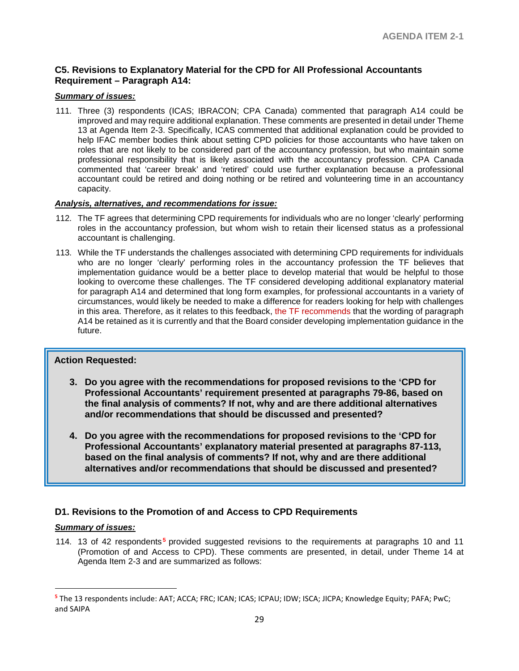## **C5. Revisions to Explanatory Material for the CPD for All Professional Accountants Requirement – Paragraph A14:**

#### *Summary of issues:*

111. Three (3) respondents (ICAS; IBRACON; CPA Canada) commented that paragraph A14 could be improved and may require additional explanation. These comments are presented in detail under Theme 13 at Agenda Item 2-3. Specifically, ICAS commented that additional explanation could be provided to help IFAC member bodies think about setting CPD policies for those accountants who have taken on roles that are not likely to be considered part of the accountancy profession, but who maintain some professional responsibility that is likely associated with the accountancy profession. CPA Canada commented that 'career break' and 'retired' could use further explanation because a professional accountant could be retired and doing nothing or be retired and volunteering time in an accountancy capacity.

#### *Analysis, alternatives, and recommendations for issue:*

- 112. The TF agrees that determining CPD requirements for individuals who are no longer 'clearly' performing roles in the accountancy profession, but whom wish to retain their licensed status as a professional accountant is challenging.
- 113. While the TF understands the challenges associated with determining CPD requirements for individuals who are no longer 'clearly' performing roles in the accountancy profession the TF believes that implementation guidance would be a better place to develop material that would be helpful to those looking to overcome these challenges. The TF considered developing additional explanatory material for paragraph A14 and determined that long form examples, for professional accountants in a variety of circumstances, would likely be needed to make a difference for readers looking for help with challenges in this area. Therefore, as it relates to this feedback, the TF recommends that the wording of paragraph A14 be retained as it is currently and that the Board consider developing implementation guidance in the future.

## **Action Requested:**

- **3. Do you agree with the recommendations for proposed revisions to the 'CPD for Professional Accountants' requirement presented at paragraphs 79-86, based on the final analysis of comments? If not, why and are there additional alternatives and/or recommendations that should be discussed and presented?**
- **4. Do you agree with the recommendations for proposed revisions to the 'CPD for Professional Accountants' explanatory material presented at paragraphs 87-113, based on the final analysis of comments? If not, why and are there additional alternatives and/or recommendations that should be discussed and presented?**

## **D1. Revisions to the Promotion of and Access to CPD Requirements**

#### *Summary of issues:*

 $\overline{a}$ 

114. 13 of 42 respondents **[5](#page-28-0)** provided suggested revisions to the requirements at paragraphs 10 and 11 (Promotion of and Access to CPD). These comments are presented, in detail, under Theme 14 at Agenda Item 2-3 and are summarized as follows:

<span id="page-28-0"></span>**<sup>5</sup>** The 13 respondents include: AAT; ACCA; FRC; ICAN; ICAS; ICPAU; IDW; ISCA; JICPA; Knowledge Equity; PAFA; PwC; and SAIPA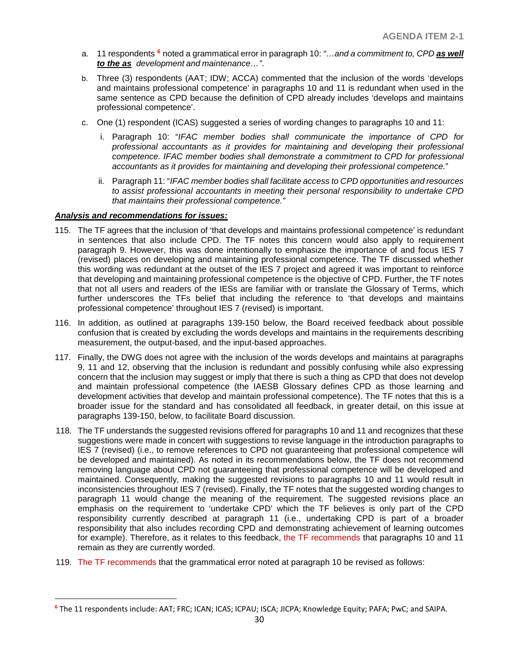- a. 11 respondents **[6](#page-29-0)** noted a grammatical error in paragraph 10: *"…and a commitment to, CPD as well to the as development and maintenance…"*.
- b. Three (3) respondents (AAT; IDW; ACCA) commented that the inclusion of the words 'develops and maintains professional competence' in paragraphs 10 and 11 is redundant when used in the same sentence as CPD because the definition of CPD already includes 'develops and maintains professional competence'.
- c. One (1) respondent (ICAS) suggested a series of wording changes to paragraphs 10 and 11:
	- i. Paragraph 10: "*IFAC member bodies shall communicate the importance of CPD for professional accountants as it provides for maintaining and developing their professional competence. IFAC member bodies shall demonstrate a commitment to CPD for professional accountants as it provides for maintaining and developing their professional competence.*"
	- ii. Paragraph 11: "*IFAC member bodies shall facilitate access to CPD opportunities and resources to assist professional accountants in meeting their personal responsibility to undertake CPD that maintains their professional competence."*

#### *Analysis and recommendations for issues:*

 $\overline{a}$ 

- 115. The TF agrees that the inclusion of 'that develops and maintains professional competence' is redundant in sentences that also include CPD. The TF notes this concern would also apply to requirement paragraph 9. However, this was done intentionally to emphasize the importance of and focus IES 7 (revised) places on developing and maintaining professional competence. The TF discussed whether this wording was redundant at the outset of the IES 7 project and agreed it was important to reinforce that developing and maintaining professional competence is the objective of CPD. Further, the TF notes that not all users and readers of the IESs are familiar with or translate the Glossary of Terms, which further underscores the TFs belief that including the reference to 'that develops and maintains professional competence' throughout IES 7 (revised) is important.
- 116. In addition, as outlined at paragraphs 139-150 below, the Board received feedback about possible confusion that is created by excluding the words develops and maintains in the requirements describing measurement, the output-based, and the input-based approaches.
- 117. Finally, the DWG does not agree with the inclusion of the words develops and maintains at paragraphs 9, 11 and 12, observing that the inclusion is redundant and possibly confusing while also expressing concern that the inclusion may suggest or imply that there is such a thing as CPD that does not develop and maintain professional competence (the IAESB Glossary defines CPD as those learning and development activities that develop and maintain professional competence). The TF notes that this is a broader issue for the standard and has consolidated all feedback, in greater detail, on this issue at paragraphs 139-150, below, to facilitate Board discussion.
- 118. The TF understands the suggested revisions offered for paragraphs 10 and 11 and recognizes that these suggestions were made in concert with suggestions to revise language in the introduction paragraphs to IES 7 (revised) (i.e., to remove references to CPD not guaranteeing that professional competence will be developed and maintained). As noted in its recommendations below, the TF does not recommend removing language about CPD not guaranteeing that professional competence will be developed and maintained. Consequently, making the suggested revisions to paragraphs 10 and 11 would result in inconsistencies throughout IES 7 (revised). Finally, the TF notes that the suggested wording changes to paragraph 11 would change the meaning of the requirement. The suggested revisions place an emphasis on the requirement to 'undertake CPD' which the TF believes is only part of the CPD responsibility currently described at paragraph 11 (i.e., undertaking CPD is part of a broader responsibility that also includes recording CPD and demonstrating achievement of learning outcomes for example). Therefore, as it relates to this feedback, the TF recommends that paragraphs 10 and 11 remain as they are currently worded.
- 119. The TF recommends that the grammatical error noted at paragraph 10 be revised as follows:

<span id="page-29-0"></span>**<sup>6</sup>** The 11 respondents include: AAT; FRC; ICAN; ICAS; ICPAU; ISCA; JICPA; Knowledge Equity; PAFA; PwC; and SAIPA.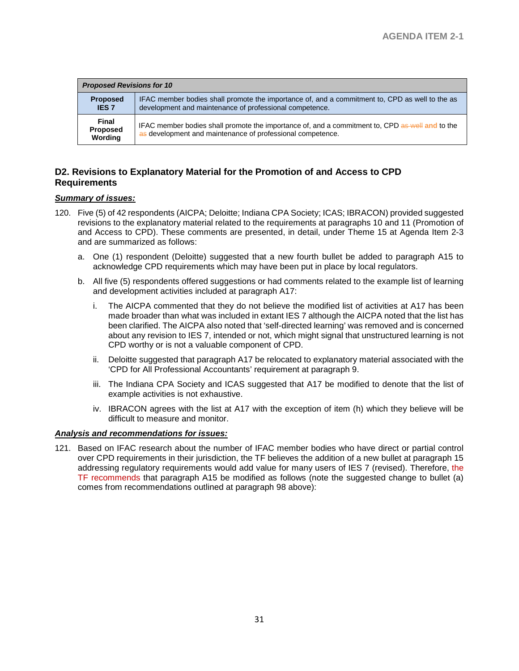| <b>Proposed Revisions for 10</b>           |                                                                                                                                                               |  |
|--------------------------------------------|---------------------------------------------------------------------------------------------------------------------------------------------------------------|--|
| <b>Proposed</b><br><b>IES 7</b>            | IFAC member bodies shall promote the importance of, and a commitment to, CPD as well to the as<br>development and maintenance of professional competence.     |  |
| <b>Final</b><br><b>Proposed</b><br>Wording | IFAC member bodies shall promote the importance of, and a commitment to, CPD as well and to the<br>as development and maintenance of professional competence. |  |

## **D2. Revisions to Explanatory Material for the Promotion of and Access to CPD Requirements**

#### *Summary of issues:*

- 120. Five (5) of 42 respondents (AICPA; Deloitte; Indiana CPA Society; ICAS; IBRACON) provided suggested revisions to the explanatory material related to the requirements at paragraphs 10 and 11 (Promotion of and Access to CPD). These comments are presented, in detail, under Theme 15 at Agenda Item 2-3 and are summarized as follows:
	- a. One (1) respondent (Deloitte) suggested that a new fourth bullet be added to paragraph A15 to acknowledge CPD requirements which may have been put in place by local regulators.
	- b. All five (5) respondents offered suggestions or had comments related to the example list of learning and development activities included at paragraph A17:
		- i. The AICPA commented that they do not believe the modified list of activities at A17 has been made broader than what was included in extant IES 7 although the AICPA noted that the list has been clarified. The AICPA also noted that 'self-directed learning' was removed and is concerned about any revision to IES 7, intended or not, which might signal that unstructured learning is not CPD worthy or is not a valuable component of CPD.
		- ii. Deloitte suggested that paragraph A17 be relocated to explanatory material associated with the 'CPD for All Professional Accountants' requirement at paragraph 9.
		- iii. The Indiana CPA Society and ICAS suggested that A17 be modified to denote that the list of example activities is not exhaustive.
		- iv. IBRACON agrees with the list at A17 with the exception of item (h) which they believe will be difficult to measure and monitor.

#### *Analysis and recommendations for issues:*

121. Based on IFAC research about the number of IFAC member bodies who have direct or partial control over CPD requirements in their jurisdiction, the TF believes the addition of a new bullet at paragraph 15 addressing regulatory requirements would add value for many users of IES 7 (revised). Therefore, the TF recommends that paragraph A15 be modified as follows (note the suggested change to bullet (a) comes from recommendations outlined at paragraph 98 above):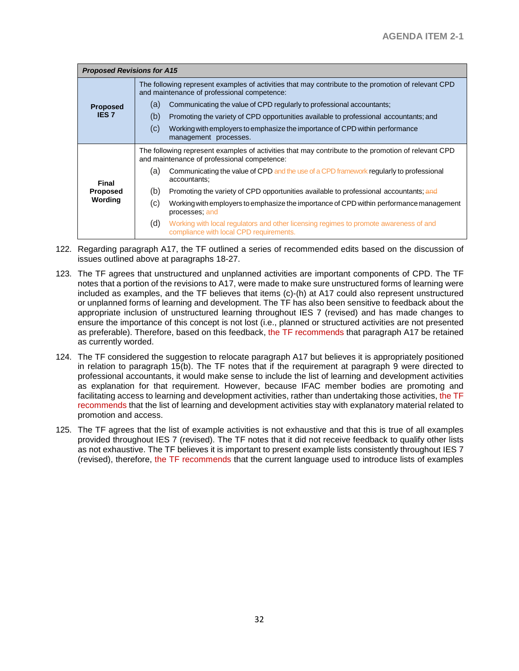| <b>Proposed Revisions for A15</b> |                                                                                                                                                    |  |  |
|-----------------------------------|----------------------------------------------------------------------------------------------------------------------------------------------------|--|--|
|                                   | The following represent examples of activities that may contribute to the promotion of relevant CPD<br>and maintenance of professional competence: |  |  |
| <b>Proposed</b>                   | Communicating the value of CPD regularly to professional accountants;<br>(a)                                                                       |  |  |
| <b>IES7</b>                       | (b)<br>Promoting the variety of CPD opportunities available to professional accountants; and                                                       |  |  |
|                                   | (C)<br>Working with employers to emphasize the importance of CPD within performance<br>management processes.                                       |  |  |
|                                   | The following represent examples of activities that may contribute to the promotion of relevant CPD<br>and maintenance of professional competence: |  |  |
| <b>Final</b>                      | Communicating the value of CPD and the use of a CPD framework regularly to professional<br>(a)<br>accountants;                                     |  |  |
| <b>Proposed</b>                   | (b)<br>Promoting the variety of CPD opportunities available to professional accountants; and                                                       |  |  |
| Wording                           | (c)<br>Working with employers to emphasize the importance of CPD within performance management<br>processes; and                                   |  |  |
|                                   | (d)<br>Working with local regulators and other licensing regimes to promote awareness of and<br>compliance with local CPD requirements.            |  |  |

- 122. Regarding paragraph A17, the TF outlined a series of recommended edits based on the discussion of issues outlined above at paragraphs 18-27.
- 123. The TF agrees that unstructured and unplanned activities are important components of CPD. The TF notes that a portion of the revisions to A17, were made to make sure unstructured forms of learning were included as examples, and the TF believes that items (c)-(h) at A17 could also represent unstructured or unplanned forms of learning and development. The TF has also been sensitive to feedback about the appropriate inclusion of unstructured learning throughout IES 7 (revised) and has made changes to ensure the importance of this concept is not lost (i.e., planned or structured activities are not presented as preferable). Therefore, based on this feedback, the TF recommends that paragraph A17 be retained as currently worded.
- 124. The TF considered the suggestion to relocate paragraph A17 but believes it is appropriately positioned in relation to paragraph 15(b). The TF notes that if the requirement at paragraph 9 were directed to professional accountants, it would make sense to include the list of learning and development activities as explanation for that requirement. However, because IFAC member bodies are promoting and facilitating access to learning and development activities, rather than undertaking those activities, the TF recommends that the list of learning and development activities stay with explanatory material related to promotion and access.
- 125. The TF agrees that the list of example activities is not exhaustive and that this is true of all examples provided throughout IES 7 (revised). The TF notes that it did not receive feedback to qualify other lists as not exhaustive. The TF believes it is important to present example lists consistently throughout IES 7 (revised), therefore, the TF recommends that the current language used to introduce lists of examples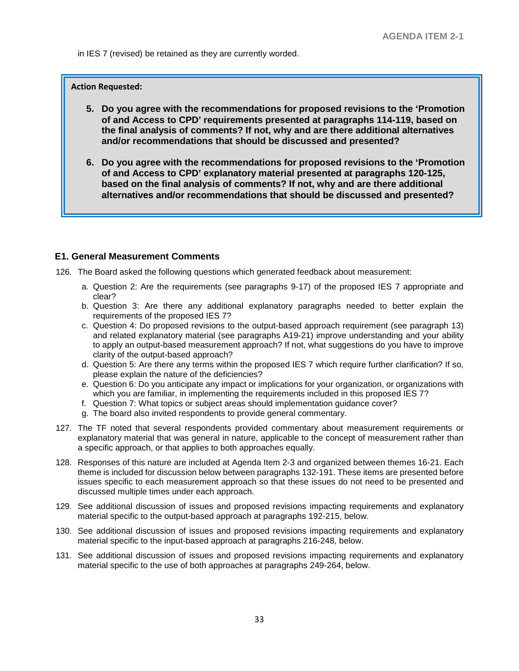in IES 7 (revised) be retained as they are currently worded.

**Action Requested:**

- **5. Do you agree with the recommendations for proposed revisions to the 'Promotion of and Access to CPD' requirements presented at paragraphs 114-119, based on the final analysis of comments? If not, why and are there additional alternatives and/or recommendations that should be discussed and presented?**
- **6. Do you agree with the recommendations for proposed revisions to the 'Promotion of and Access to CPD' explanatory material presented at paragraphs 120-125, based on the final analysis of comments? If not, why and are there additional alternatives and/or recommendations that should be discussed and presented?**

#### **E1. General Measurement Comments**

126. The Board asked the following questions which generated feedback about measurement:

- a. Question 2: Are the requirements (see paragraphs 9-17) of the proposed IES 7 appropriate and clear?
- b. Question 3: Are there any additional explanatory paragraphs needed to better explain the requirements of the proposed IES 7?
- c. Question 4: Do proposed revisions to the output-based approach requirement (see paragraph 13) and related explanatory material (see paragraphs A19-21) improve understanding and your ability to apply an output-based measurement approach? If not, what suggestions do you have to improve clarity of the output-based approach?
- d. Question 5: Are there any terms within the proposed IES 7 which require further clarification? If so, please explain the nature of the deficiencies?
- e. Question 6: Do you anticipate any impact or implications for your organization, or organizations with which you are familiar, in implementing the requirements included in this proposed IES 7?
- f. Question 7: What topics or subject areas should implementation guidance cover?
- g. The board also invited respondents to provide general commentary.
- 127. The TF noted that several respondents provided commentary about measurement requirements or explanatory material that was general in nature, applicable to the concept of measurement rather than a specific approach, or that applies to both approaches equally.
- 128. Responses of this nature are included at Agenda Item 2-3 and organized between themes 16-21. Each theme is included for discussion below between paragraphs 132-191. These items are presented before issues specific to each measurement approach so that these issues do not need to be presented and discussed multiple times under each approach.
- 129. See additional discussion of issues and proposed revisions impacting requirements and explanatory material specific to the output-based approach at paragraphs 192-215, below.
- 130. See additional discussion of issues and proposed revisions impacting requirements and explanatory material specific to the input-based approach at paragraphs 216-248, below.
- 131. See additional discussion of issues and proposed revisions impacting requirements and explanatory material specific to the use of both approaches at paragraphs 249-264, below.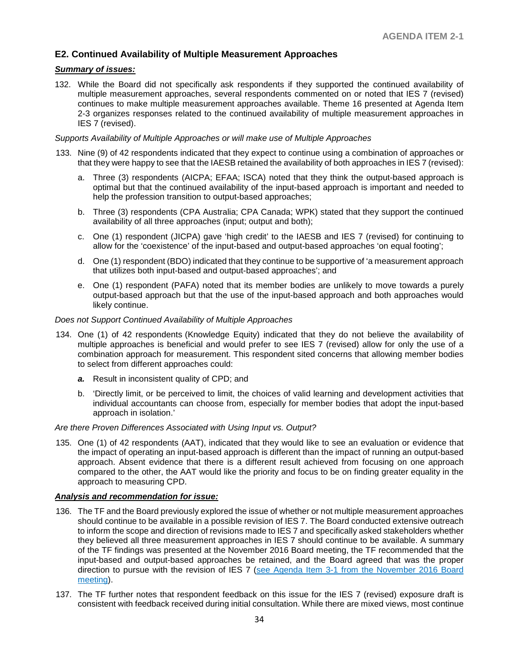## **E2. Continued Availability of Multiple Measurement Approaches**

### *Summary of issues:*

132. While the Board did not specifically ask respondents if they supported the continued availability of multiple measurement approaches, several respondents commented on or noted that IES 7 (revised) continues to make multiple measurement approaches available. Theme 16 presented at Agenda Item 2-3 organizes responses related to the continued availability of multiple measurement approaches in IES 7 (revised).

#### *Supports Availability of Multiple Approaches or will make use of Multiple Approaches*

- 133. Nine (9) of 42 respondents indicated that they expect to continue using a combination of approaches or that they were happy to see that the IAESB retained the availability of both approaches in IES 7 (revised):
	- a. Three (3) respondents (AICPA; EFAA; ISCA) noted that they think the output-based approach is optimal but that the continued availability of the input-based approach is important and needed to help the profession transition to output-based approaches;
	- b. Three (3) respondents (CPA Australia; CPA Canada; WPK) stated that they support the continued availability of all three approaches (input; output and both);
	- c. One (1) respondent (JICPA) gave 'high credit' to the IAESB and IES 7 (revised) for continuing to allow for the 'coexistence' of the input-based and output-based approaches 'on equal footing';
	- d. One (1) respondent (BDO) indicated that they continue to be supportive of 'a measurement approach that utilizes both input-based and output-based approaches'; and
	- e. One (1) respondent (PAFA) noted that its member bodies are unlikely to move towards a purely output-based approach but that the use of the input-based approach and both approaches would likely continue.

#### *Does not Support Continued Availability of Multiple Approaches*

- 134. One (1) of 42 respondents (Knowledge Equity) indicated that they do not believe the availability of multiple approaches is beneficial and would prefer to see IES 7 (revised) allow for only the use of a combination approach for measurement. This respondent sited concerns that allowing member bodies to select from different approaches could:
	- *a.* Result in inconsistent quality of CPD; and
	- b. 'Directly limit, or be perceived to limit, the choices of valid learning and development activities that individual accountants can choose from, especially for member bodies that adopt the input-based approach in isolation.'

#### *Are there Proven Differences Associated with Using Input vs. Output?*

135. One (1) of 42 respondents (AAT), indicated that they would like to see an evaluation or evidence that the impact of operating an input-based approach is different than the impact of running an output-based approach. Absent evidence that there is a different result achieved from focusing on one approach compared to the other, the AAT would like the priority and focus to be on finding greater equality in the approach to measuring CPD.

#### *Analysis and recommendation for issue:*

- 136. The TF and the Board previously explored the issue of whether or not multiple measurement approaches should continue to be available in a possible revision of IES 7. The Board conducted extensive outreach to inform the scope and direction of revisions made to IES 7 and specifically asked stakeholders whether they believed all three measurement approaches in IES 7 should continue to be available. A summary of the TF findings was presented at the November 2016 Board meeting, the TF recommended that the input-based and output-based approaches be retained, and the Board agreed that was the proper direction to pursue with the revision of IES 7 [\(see Agenda Item 3-1 from the November 2016 Board](http://www.iaesb.org/system/files/meetings/files/3-1-IAESB-Nov-2016-mtg-IES-7-Issues-Paper_FINAL-1.pdf)  [meeting\)](http://www.iaesb.org/system/files/meetings/files/3-1-IAESB-Nov-2016-mtg-IES-7-Issues-Paper_FINAL-1.pdf).
- 137. The TF further notes that respondent feedback on this issue for the IES 7 (revised) exposure draft is consistent with feedback received during initial consultation. While there are mixed views, most continue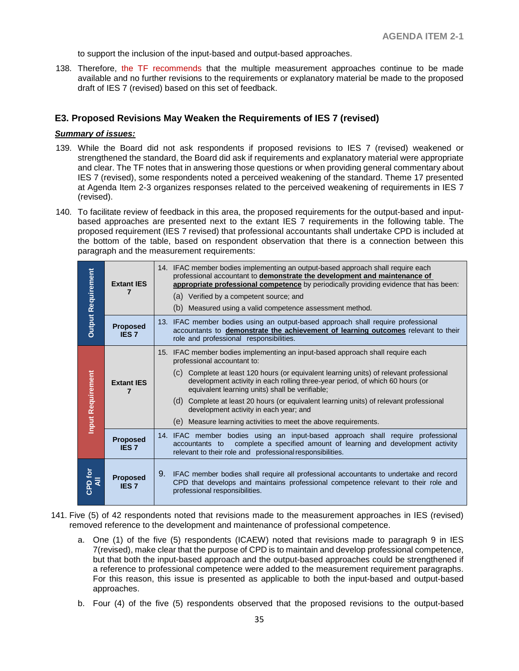to support the inclusion of the input-based and output-based approaches.

138. Therefore, the TF recommends that the multiple measurement approaches continue to be made available and no further revisions to the requirements or explanatory material be made to the proposed draft of IES 7 (revised) based on this set of feedback.

## **E3. Proposed Revisions May Weaken the Requirements of IES 7 (revised)**

#### *Summary of issues:*

- 139. While the Board did not ask respondents if proposed revisions to IES 7 (revised) weakened or strengthened the standard, the Board did ask if requirements and explanatory material were appropriate and clear. The TF notes that in answering those questions or when providing general commentary about IES 7 (revised), some respondents noted a perceived weakening of the standard. Theme 17 presented at Agenda Item 2-3 organizes responses related to the perceived weakening of requirements in IES 7 (revised).
- 140. To facilitate review of feedback in this area, the proposed requirements for the output-based and inputbased approaches are presented next to the extant IES 7 requirements in the following table. The proposed requirement (IES 7 revised) that professional accountants shall undertake CPD is included at the bottom of the table, based on respondent observation that there is a connection between this paragraph and the measurement requirements:

| <b>Output Requirement</b> | <b>Extant IES</b>               | 14. IFAC member bodies implementing an output-based approach shall require each<br>professional accountant to demonstrate the development and maintenance of<br>appropriate professional competence by periodically providing evidence that has been:<br>(a) Verified by a competent source; and<br>(b) Measured using a valid competence assessment method.                                                                                                                                                                                        |
|---------------------------|---------------------------------|-----------------------------------------------------------------------------------------------------------------------------------------------------------------------------------------------------------------------------------------------------------------------------------------------------------------------------------------------------------------------------------------------------------------------------------------------------------------------------------------------------------------------------------------------------|
|                           | <b>Proposed</b><br><b>IES 7</b> | 13. IFAC member bodies using an output-based approach shall require professional<br>accountants to demonstrate the achievement of learning outcomes relevant to their<br>role and professional responsibilities.                                                                                                                                                                                                                                                                                                                                    |
| <b>Input Requirement</b>  | <b>Extant IES</b>               | 15. IFAC member bodies implementing an input-based approach shall require each<br>professional accountant to:<br>(c) Complete at least 120 hours (or equivalent learning units) of relevant professional<br>development activity in each rolling three-year period, of which 60 hours (or<br>equivalent learning units) shall be verifiable;<br>(d) Complete at least 20 hours (or equivalent learning units) of relevant professional<br>development activity in each year; and<br>(e) Measure learning activities to meet the above requirements. |
|                           | <b>Proposed</b><br><b>IES 7</b> | 14. IFAC member bodies using an input-based approach shall require professional<br>accountants to complete a specified amount of learning and development activity<br>relevant to their role and professional responsibilities.                                                                                                                                                                                                                                                                                                                     |
| CPD for                   | <b>Proposed</b><br><b>IES 7</b> | 9. IFAC member bodies shall require all professional accountants to undertake and record<br>CPD that develops and maintains professional competence relevant to their role and<br>professional responsibilities.                                                                                                                                                                                                                                                                                                                                    |

- 141. Five (5) of 42 respondents noted that revisions made to the measurement approaches in IES (revised) removed reference to the development and maintenance of professional competence.
	- a. One (1) of the five (5) respondents (ICAEW) noted that revisions made to paragraph 9 in IES 7(revised), make clear that the purpose of CPD is to maintain and develop professional competence, but that both the input-based approach and the output-based approaches could be strengthened if a reference to professional competence were added to the measurement requirement paragraphs. For this reason, this issue is presented as applicable to both the input-based and output-based approaches.
	- b. Four (4) of the five (5) respondents observed that the proposed revisions to the output-based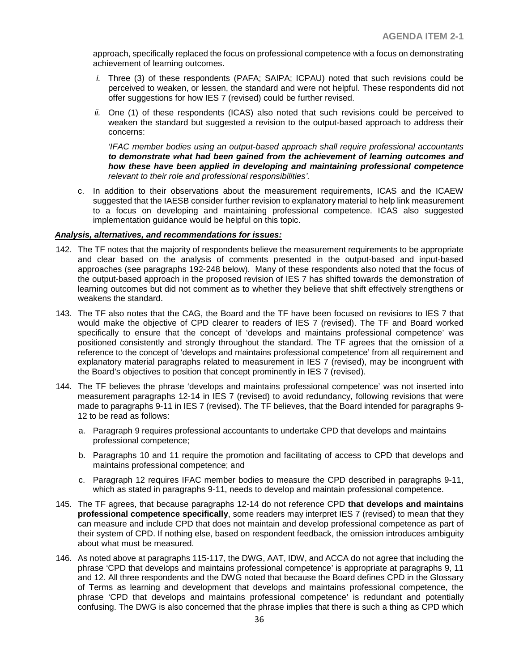approach, specifically replaced the focus on professional competence with a focus on demonstrating achievement of learning outcomes.

- *i.* Three (3) of these respondents (PAFA; SAIPA; ICPAU) noted that such revisions could be perceived to weaken, or lessen, the standard and were not helpful. These respondents did not offer suggestions for how IES 7 (revised) could be further revised.
- *ii.* One (1) of these respondents (ICAS) also noted that such revisions could be perceived to weaken the standard but suggested a revision to the output-based approach to address their concerns:

*'IFAC member bodies using an output-based approach shall require professional accountants to demonstrate what had been gained from the achievement of learning outcomes and how these have been applied in developing and maintaining professional competence relevant to their role and professional responsibilities'.*

c. In addition to their observations about the measurement requirements, ICAS and the ICAEW suggested that the IAESB consider further revision to explanatory material to help link measurement to a focus on developing and maintaining professional competence. ICAS also suggested implementation guidance would be helpful on this topic.

#### *Analysis, alternatives, and recommendations for issues:*

- 142. The TF notes that the majority of respondents believe the measurement requirements to be appropriate and clear based on the analysis of comments presented in the output-based and input-based approaches (see paragraphs 192-248 below). Many of these respondents also noted that the focus of the output-based approach in the proposed revision of IES 7 has shifted towards the demonstration of learning outcomes but did not comment as to whether they believe that shift effectively strengthens or weakens the standard.
- 143. The TF also notes that the CAG, the Board and the TF have been focused on revisions to IES 7 that would make the objective of CPD clearer to readers of IES 7 (revised). The TF and Board worked specifically to ensure that the concept of 'develops and maintains professional competence' was positioned consistently and strongly throughout the standard. The TF agrees that the omission of a reference to the concept of 'develops and maintains professional competence' from all requirement and explanatory material paragraphs related to measurement in IES 7 (revised), may be incongruent with the Board's objectives to position that concept prominently in IES 7 (revised).
- 144. The TF believes the phrase 'develops and maintains professional competence' was not inserted into measurement paragraphs 12-14 in IES 7 (revised) to avoid redundancy, following revisions that were made to paragraphs 9-11 in IES 7 (revised). The TF believes, that the Board intended for paragraphs 9- 12 to be read as follows:
	- a. Paragraph 9 requires professional accountants to undertake CPD that develops and maintains professional competence;
	- b. Paragraphs 10 and 11 require the promotion and facilitating of access to CPD that develops and maintains professional competence; and
	- c. Paragraph 12 requires IFAC member bodies to measure the CPD described in paragraphs 9-11, which as stated in paragraphs 9-11, needs to develop and maintain professional competence.
- 145. The TF agrees, that because paragraphs 12-14 do not reference CPD **that develops and maintains professional competence specifically**, some readers may interpret IES 7 (revised) to mean that they can measure and include CPD that does not maintain and develop professional competence as part of their system of CPD. If nothing else, based on respondent feedback, the omission introduces ambiguity about what must be measured.
- 146. As noted above at paragraphs 115-117, the DWG, AAT, IDW, and ACCA do not agree that including the phrase 'CPD that develops and maintains professional competence' is appropriate at paragraphs 9, 11 and 12. All three respondents and the DWG noted that because the Board defines CPD in the Glossary of Terms as learning and development that develops and maintains professional competence, the phrase 'CPD that develops and maintains professional competence' is redundant and potentially confusing. The DWG is also concerned that the phrase implies that there is such a thing as CPD which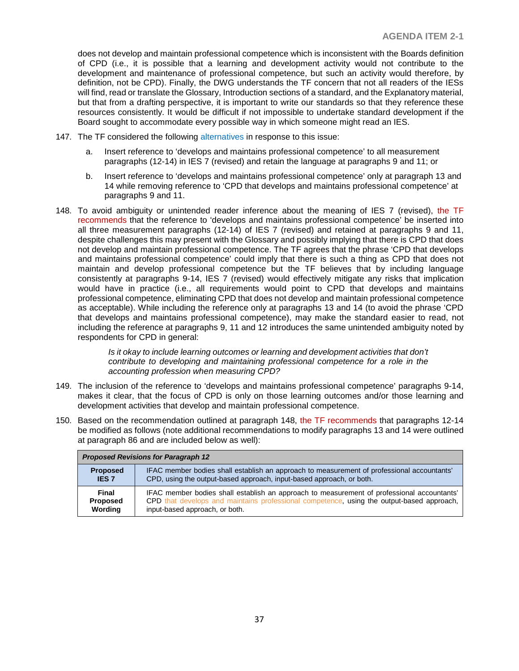does not develop and maintain professional competence which is inconsistent with the Boards definition of CPD (i.e., it is possible that a learning and development activity would not contribute to the development and maintenance of professional competence, but such an activity would therefore, by definition, not be CPD). Finally, the DWG understands the TF concern that not all readers of the IESs will find, read or translate the Glossary, Introduction sections of a standard, and the Explanatory material, but that from a drafting perspective, it is important to write our standards so that they reference these resources consistently. It would be difficult if not impossible to undertake standard development if the Board sought to accommodate every possible way in which someone might read an IES.

- 147. The TF considered the following alternatives in response to this issue:
	- a. Insert reference to 'develops and maintains professional competence' to all measurement paragraphs (12-14) in IES 7 (revised) and retain the language at paragraphs 9 and 11; or
	- b. Insert reference to 'develops and maintains professional competence' only at paragraph 13 and 14 while removing reference to 'CPD that develops and maintains professional competence' at paragraphs 9 and 11.
- 148. To avoid ambiguity or unintended reader inference about the meaning of IES 7 (revised), the TF recommends that the reference to 'develops and maintains professional competence' be inserted into all three measurement paragraphs (12-14) of IES 7 (revised) and retained at paragraphs 9 and 11, despite challenges this may present with the Glossary and possibly implying that there is CPD that does not develop and maintain professional competence. The TF agrees that the phrase 'CPD that develops and maintains professional competence' could imply that there is such a thing as CPD that does not maintain and develop professional competence but the TF believes that by including language consistently at paragraphs 9-14, IES 7 (revised) would effectively mitigate any risks that implication would have in practice (i.e., all requirements would point to CPD that develops and maintains professional competence, eliminating CPD that does not develop and maintain professional competence as acceptable). While including the reference only at paragraphs 13 and 14 (to avoid the phrase 'CPD that develops and maintains professional competence), may make the standard easier to read, not including the reference at paragraphs 9, 11 and 12 introduces the same unintended ambiguity noted by respondents for CPD in general:

*Is it okay to include learning outcomes or learning and development activities that don't contribute to developing and maintaining professional competence for a role in the accounting profession when measuring CPD?*

- 149. The inclusion of the reference to 'develops and maintains professional competence' paragraphs 9-14, makes it clear, that the focus of CPD is only on those learning outcomes and/or those learning and development activities that develop and maintain professional competence.
- 150. Based on the recommendation outlined at paragraph 148, the TF recommends that paragraphs 12-14 be modified as follows (note additional recommendations to modify paragraphs 13 and 14 were outlined at paragraph 86 and are included below as well):

| <b>Proposed Revisions for Paragraph 12</b> |                                                                                            |  |  |
|--------------------------------------------|--------------------------------------------------------------------------------------------|--|--|
| <b>Proposed</b>                            | IFAC member bodies shall establish an approach to measurement of professional accountants' |  |  |
| <b>IES 7</b>                               | CPD, using the output-based approach, input-based approach, or both.                       |  |  |
| <b>Final</b>                               | IFAC member bodies shall establish an approach to measurement of professional accountants' |  |  |
| <b>Proposed</b>                            | CPD that develops and maintains professional competence, using the output-based approach,  |  |  |
| Wording                                    | input-based approach, or both.                                                             |  |  |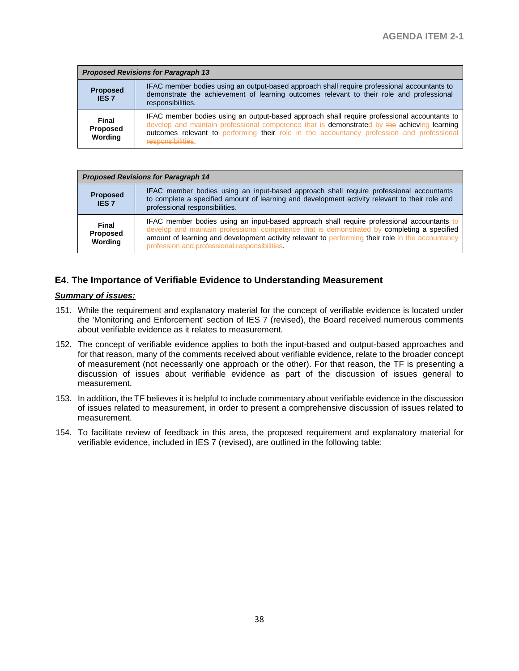| <b>Proposed Revisions for Paragraph 13</b> |                                                                                                                                                                                                                                                                                                              |  |  |
|--------------------------------------------|--------------------------------------------------------------------------------------------------------------------------------------------------------------------------------------------------------------------------------------------------------------------------------------------------------------|--|--|
| <b>Proposed</b><br><b>IES 7</b>            | IFAC member bodies using an output-based approach shall require professional accountants to<br>demonstrate the achievement of learning outcomes relevant to their role and professional<br>responsibilities.                                                                                                 |  |  |
| <b>Final</b><br><b>Proposed</b><br>Wording | IFAC member bodies using an output-based approach shall require professional accountants to<br>develop and maintain professional competence that is demonstrated by the achieving learning<br>outcomes relevant to performing their role in the accountancy profession and professional<br>responsibilities. |  |  |

| <b>Proposed Revisions for Paragraph 14</b> |                                                                                                                                                                                                                                                                                                                                                |  |
|--------------------------------------------|------------------------------------------------------------------------------------------------------------------------------------------------------------------------------------------------------------------------------------------------------------------------------------------------------------------------------------------------|--|
| <b>Proposed</b><br><b>IES 7</b>            | IFAC member bodies using an input-based approach shall require professional accountants<br>to complete a specified amount of learning and development activity relevant to their role and<br>professional responsibilities.                                                                                                                    |  |
| <b>Final</b><br>Proposed<br>Wording        | IFAC member bodies using an input-based approach shall require professional accountants to<br>develop and maintain professional competence that is demonstrated by completing a specified<br>amount of learning and development activity relevant to performing their role in the accountancy<br>profession and professional responsibilities. |  |

## **E4. The Importance of Verifiable Evidence to Understanding Measurement**

## *Summary of issues:*

- 151. While the requirement and explanatory material for the concept of verifiable evidence is located under the 'Monitoring and Enforcement' section of IES 7 (revised), the Board received numerous comments about verifiable evidence as it relates to measurement.
- 152. The concept of verifiable evidence applies to both the input-based and output-based approaches and for that reason, many of the comments received about verifiable evidence, relate to the broader concept of measurement (not necessarily one approach or the other). For that reason, the TF is presenting a discussion of issues about verifiable evidence as part of the discussion of issues general to measurement.
- 153. In addition, the TF believes it is helpful to include commentary about verifiable evidence in the discussion of issues related to measurement, in order to present a comprehensive discussion of issues related to measurement.
- 154. To facilitate review of feedback in this area, the proposed requirement and explanatory material for verifiable evidence, included in IES 7 (revised), are outlined in the following table: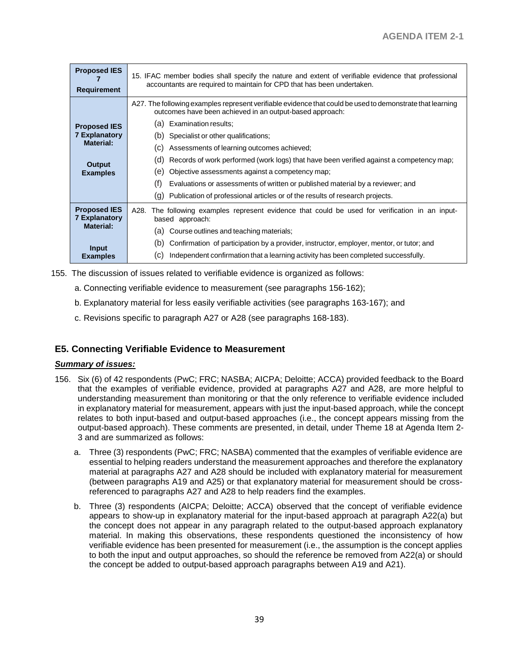| <b>Proposed IES</b><br><b>Requirement</b>   | 15. IFAC member bodies shall specify the nature and extent of verifiable evidence that professional<br>accountants are required to maintain for CPD that has been undertaken. |  |  |  |
|---------------------------------------------|-------------------------------------------------------------------------------------------------------------------------------------------------------------------------------|--|--|--|
|                                             | A27. The following examples represent verifiable evidence that could be used to demonstrate that learning<br>outcomes have been achieved in an output-based approach:         |  |  |  |
| <b>Proposed IES</b>                         | Examination results:<br>(a)                                                                                                                                                   |  |  |  |
| <b>7 Explanatory</b>                        | Specialist or other qualifications;<br>(b)                                                                                                                                    |  |  |  |
| Material:                                   | Assessments of learning outcomes achieved;<br>(C)                                                                                                                             |  |  |  |
| Output                                      | (d)<br>Records of work performed (work logs) that have been verified against a competency map;                                                                                |  |  |  |
| <b>Examples</b>                             | Objective assessments against a competency map;<br>(e)                                                                                                                        |  |  |  |
|                                             | (f)<br>Evaluations or assessments of written or published material by a reviewer; and                                                                                         |  |  |  |
|                                             | Publication of professional articles or of the results of research projects.<br>(g)                                                                                           |  |  |  |
| <b>Proposed IES</b><br><b>7 Explanatory</b> | The following examples represent evidence that could be used for verification in an input-<br>A28.<br>based approach:                                                         |  |  |  |
| Material:                                   | Course outlines and teaching materials;<br>(a)                                                                                                                                |  |  |  |
| <b>Input</b>                                | (b)<br>Confirmation of participation by a provider, instructor, employer, mentor, or tutor; and                                                                               |  |  |  |
| <b>Examples</b>                             | Independent confirmation that a learning activity has been completed successfully.<br>(C)                                                                                     |  |  |  |

155. The discussion of issues related to verifiable evidence is organized as follows:

- a. Connecting verifiable evidence to measurement (see paragraphs 156-162);
- b. Explanatory material for less easily verifiable activities (see paragraphs 163-167); and
- c. Revisions specific to paragraph A27 or A28 (see paragraphs 168-183).

## **E5. Connecting Verifiable Evidence to Measurement**

#### *Summary of issues:*

- 156. Six (6) of 42 respondents (PwC; FRC; NASBA; AICPA; Deloitte; ACCA) provided feedback to the Board that the examples of verifiable evidence, provided at paragraphs A27 and A28, are more helpful to understanding measurement than monitoring or that the only reference to verifiable evidence included in explanatory material for measurement, appears with just the input-based approach, while the concept relates to both input-based and output-based approaches (i.e., the concept appears missing from the output-based approach). These comments are presented, in detail, under Theme 18 at Agenda Item 2- 3 and are summarized as follows:
	- a. Three (3) respondents (PwC; FRC; NASBA) commented that the examples of verifiable evidence are essential to helping readers understand the measurement approaches and therefore the explanatory material at paragraphs A27 and A28 should be included with explanatory material for measurement (between paragraphs A19 and A25) or that explanatory material for measurement should be crossreferenced to paragraphs A27 and A28 to help readers find the examples.
	- b. Three (3) respondents (AICPA; Deloitte; ACCA) observed that the concept of verifiable evidence appears to show-up in explanatory material for the input-based approach at paragraph A22(a) but the concept does not appear in any paragraph related to the output-based approach explanatory material. In making this observations, these respondents questioned the inconsistency of how verifiable evidence has been presented for measurement (i.e., the assumption is the concept applies to both the input and output approaches, so should the reference be removed from A22(a) or should the concept be added to output-based approach paragraphs between A19 and A21).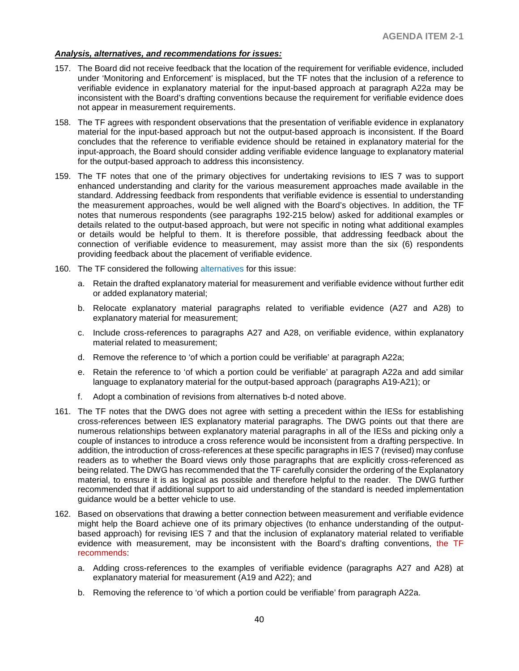#### *Analysis, alternatives, and recommendations for issues:*

- 157. The Board did not receive feedback that the location of the requirement for verifiable evidence, included under 'Monitoring and Enforcement' is misplaced, but the TF notes that the inclusion of a reference to verifiable evidence in explanatory material for the input-based approach at paragraph A22a may be inconsistent with the Board's drafting conventions because the requirement for verifiable evidence does not appear in measurement requirements.
- 158. The TF agrees with respondent observations that the presentation of verifiable evidence in explanatory material for the input-based approach but not the output-based approach is inconsistent. If the Board concludes that the reference to verifiable evidence should be retained in explanatory material for the input-approach, the Board should consider adding verifiable evidence language to explanatory material for the output-based approach to address this inconsistency.
- 159. The TF notes that one of the primary objectives for undertaking revisions to IES 7 was to support enhanced understanding and clarity for the various measurement approaches made available in the standard. Addressing feedback from respondents that verifiable evidence is essential to understanding the measurement approaches, would be well aligned with the Board's objectives. In addition, the TF notes that numerous respondents (see paragraphs 192-215 below) asked for additional examples or details related to the output-based approach, but were not specific in noting what additional examples or details would be helpful to them. It is therefore possible, that addressing feedback about the connection of verifiable evidence to measurement, may assist more than the six (6) respondents providing feedback about the placement of verifiable evidence.
- 160. The TF considered the following alternatives for this issue:
	- a. Retain the drafted explanatory material for measurement and verifiable evidence without further edit or added explanatory material;
	- b. Relocate explanatory material paragraphs related to verifiable evidence (A27 and A28) to explanatory material for measurement;
	- c. Include cross-references to paragraphs A27 and A28, on verifiable evidence, within explanatory material related to measurement;
	- d. Remove the reference to 'of which a portion could be verifiable' at paragraph A22a;
	- e. Retain the reference to 'of which a portion could be verifiable' at paragraph A22a and add similar language to explanatory material for the output-based approach (paragraphs A19-A21); or
	- f. Adopt a combination of revisions from alternatives b-d noted above.
- 161. The TF notes that the DWG does not agree with setting a precedent within the IESs for establishing cross-references between IES explanatory material paragraphs. The DWG points out that there are numerous relationships between explanatory material paragraphs in all of the IESs and picking only a couple of instances to introduce a cross reference would be inconsistent from a drafting perspective. In addition, the introduction of cross-references at these specific paragraphs in IES 7 (revised) may confuse readers as to whether the Board views only those paragraphs that are explicitly cross-referenced as being related. The DWG has recommended that the TF carefully consider the ordering of the Explanatory material, to ensure it is as logical as possible and therefore helpful to the reader. The DWG further recommended that if additional support to aid understanding of the standard is needed implementation guidance would be a better vehicle to use.
- 162. Based on observations that drawing a better connection between measurement and verifiable evidence might help the Board achieve one of its primary objectives (to enhance understanding of the outputbased approach) for revising IES 7 and that the inclusion of explanatory material related to verifiable evidence with measurement, may be inconsistent with the Board's drafting conventions, the TF recommends:
	- a. Adding cross-references to the examples of verifiable evidence (paragraphs A27 and A28) at explanatory material for measurement (A19 and A22); and
	- b. Removing the reference to 'of which a portion could be verifiable' from paragraph A22a.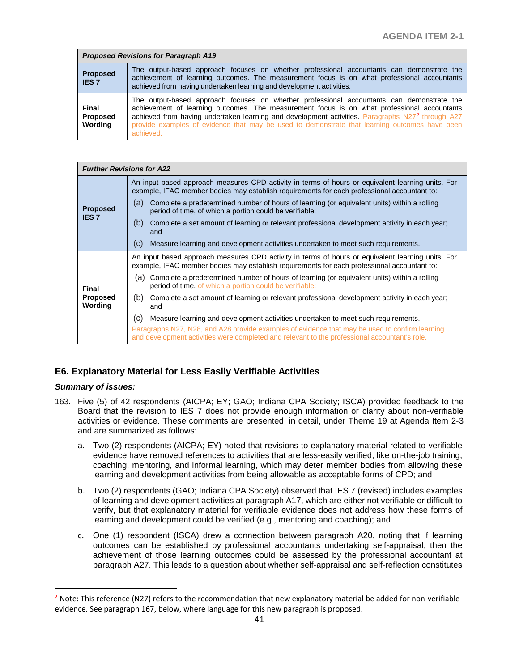| <b>Proposed Revisions for Paragraph A19</b> |                                                                                                                                                                                                                                                                                                                                                                                                            |  |  |  |
|---------------------------------------------|------------------------------------------------------------------------------------------------------------------------------------------------------------------------------------------------------------------------------------------------------------------------------------------------------------------------------------------------------------------------------------------------------------|--|--|--|
| <b>Proposed</b><br><b>IES 7</b>             | The output-based approach focuses on whether professional accountants can demonstrate the<br>achievement of learning outcomes. The measurement focus is on what professional accountants<br>achieved from having undertaken learning and development activities.                                                                                                                                           |  |  |  |
| Final<br>Proposed<br>Wording                | The output-based approach focuses on whether professional accountants can demonstrate the<br>achievement of learning outcomes. The measurement focus is on what professional accountants<br>achieved from having undertaken learning and development activities. Paragraphs N277 through A27<br>provide examples of evidence that may be used to demonstrate that learning outcomes have been<br>achieved. |  |  |  |

| <b>Further Revisions for A22</b>    |                                                                                                                                                                                                  |  |  |
|-------------------------------------|--------------------------------------------------------------------------------------------------------------------------------------------------------------------------------------------------|--|--|
| <b>Proposed</b><br><b>IES 7</b>     | An input based approach measures CPD activity in terms of hours or equivalent learning units. For<br>example, IFAC member bodies may establish requirements for each professional accountant to: |  |  |
|                                     | Complete a predetermined number of hours of learning (or equivalent units) within a rolling<br>(a)<br>period of time, of which a portion could be verifiable;                                    |  |  |
|                                     | (b)<br>Complete a set amount of learning or relevant professional development activity in each year:<br>and                                                                                      |  |  |
|                                     | Measure learning and development activities undertaken to meet such requirements.<br>(C)                                                                                                         |  |  |
| Final<br><b>Proposed</b><br>Wording | An input based approach measures CPD activity in terms of hours or equivalent learning units. For<br>example, IFAC member bodies may establish requirements for each professional accountant to: |  |  |
|                                     | (a) Complete a predetermined number of hours of learning (or equivalent units) within a rolling<br>period of time, of which a portion could be verifiable;                                       |  |  |
|                                     | Complete a set amount of learning or relevant professional development activity in each year;<br>(b)<br>and                                                                                      |  |  |
|                                     | Measure learning and development activities undertaken to meet such requirements.<br>(C)                                                                                                         |  |  |
|                                     | Paragraphs N27, N28, and A28 provide examples of evidence that may be used to confirm learning<br>and development activities were completed and relevant to the professional accountant's role.  |  |  |

## **E6. Explanatory Material for Less Easily Verifiable Activities**

#### *Summary of issues:*

 $\overline{a}$ 

- 163. Five (5) of 42 respondents (AICPA; EY; GAO; Indiana CPA Society; ISCA) provided feedback to the Board that the revision to IES 7 does not provide enough information or clarity about non-verifiable activities or evidence. These comments are presented, in detail, under Theme 19 at Agenda Item 2-3 and are summarized as follows:
	- a. Two (2) respondents (AICPA; EY) noted that revisions to explanatory material related to verifiable evidence have removed references to activities that are less-easily verified, like on-the-job training, coaching, mentoring, and informal learning, which may deter member bodies from allowing these learning and development activities from being allowable as acceptable forms of CPD; and
	- b. Two (2) respondents (GAO; Indiana CPA Society) observed that IES 7 (revised) includes examples of learning and development activities at paragraph A17, which are either not verifiable or difficult to verify, but that explanatory material for verifiable evidence does not address how these forms of learning and development could be verified (e.g., mentoring and coaching); and
	- c. One (1) respondent (ISCA) drew a connection between paragraph A20, noting that if learning outcomes can be established by professional accountants undertaking self-appraisal, then the achievement of those learning outcomes could be assessed by the professional accountant at paragraph A27. This leads to a question about whether self-appraisal and self-reflection constitutes

<span id="page-40-0"></span>**<sup>7</sup>** Note: This reference (N27) refers to the recommendation that new explanatory material be added for non-verifiable evidence. See paragraph 167, below, where language for this new paragraph is proposed.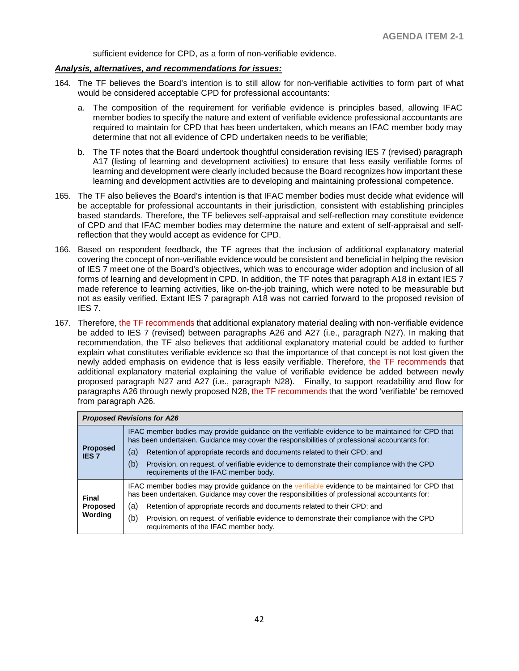sufficient evidence for CPD, as a form of non-verifiable evidence.

#### *Analysis, alternatives, and recommendations for issues:*

- 164. The TF believes the Board's intention is to still allow for non-verifiable activities to form part of what would be considered acceptable CPD for professional accountants:
	- a. The composition of the requirement for verifiable evidence is principles based, allowing IFAC member bodies to specify the nature and extent of verifiable evidence professional accountants are required to maintain for CPD that has been undertaken, which means an IFAC member body may determine that not all evidence of CPD undertaken needs to be verifiable;
	- b. The TF notes that the Board undertook thoughtful consideration revising IES 7 (revised) paragraph A17 (listing of learning and development activities) to ensure that less easily verifiable forms of learning and development were clearly included because the Board recognizes how important these learning and development activities are to developing and maintaining professional competence.
- 165. The TF also believes the Board's intention is that IFAC member bodies must decide what evidence will be acceptable for professional accountants in their jurisdiction, consistent with establishing principles based standards. Therefore, the TF believes self-appraisal and self-reflection may constitute evidence of CPD and that IFAC member bodies may determine the nature and extent of self-appraisal and selfreflection that they would accept as evidence for CPD.
- 166. Based on respondent feedback, the TF agrees that the inclusion of additional explanatory material covering the concept of non-verifiable evidence would be consistent and beneficial in helping the revision of IES 7 meet one of the Board's objectives, which was to encourage wider adoption and inclusion of all forms of learning and development in CPD. In addition, the TF notes that paragraph A18 in extant IES 7 made reference to learning activities, like on-the-job training, which were noted to be measurable but not as easily verified. Extant IES 7 paragraph A18 was not carried forward to the proposed revision of IES 7.
- 167. Therefore, the TF recommends that additional explanatory material dealing with non-verifiable evidence be added to IES 7 (revised) between paragraphs A26 and A27 (i.e., paragraph N27). In making that recommendation, the TF also believes that additional explanatory material could be added to further explain what constitutes verifiable evidence so that the importance of that concept is not lost given the newly added emphasis on evidence that is less easily verifiable. Therefore, the TF recommends that additional explanatory material explaining the value of verifiable evidence be added between newly proposed paragraph N27 and A27 (i.e., paragraph N28). Finally, to support readability and flow for paragraphs A26 through newly proposed N28, the TF recommends that the word 'verifiable' be removed from paragraph A26.

| <b>Proposed Revisions for A26</b>          |                                                                                                                                                                                                   |  |  |
|--------------------------------------------|---------------------------------------------------------------------------------------------------------------------------------------------------------------------------------------------------|--|--|
| <b>Proposed</b><br><b>IES 7</b>            | IFAC member bodies may provide guidance on the verifiable evidence to be maintained for CPD that<br>has been undertaken. Guidance may cover the responsibilities of professional accountants for: |  |  |
|                                            | Retention of appropriate records and documents related to their CPD; and<br>(a)                                                                                                                   |  |  |
|                                            | (b)<br>Provision, on request, of verifiable evidence to demonstrate their compliance with the CPD<br>requirements of the IFAC member body.                                                        |  |  |
| Final<br><b>Proposed</b><br><b>Wording</b> | IFAC member bodies may provide guidance on the verifiable evidence to be maintained for CPD that<br>has been undertaken. Guidance may cover the responsibilities of professional accountants for: |  |  |
|                                            | Retention of appropriate records and documents related to their CPD; and<br>(a)                                                                                                                   |  |  |
|                                            | (b)<br>Provision, on request, of verifiable evidence to demonstrate their compliance with the CPD<br>requirements of the IFAC member body.                                                        |  |  |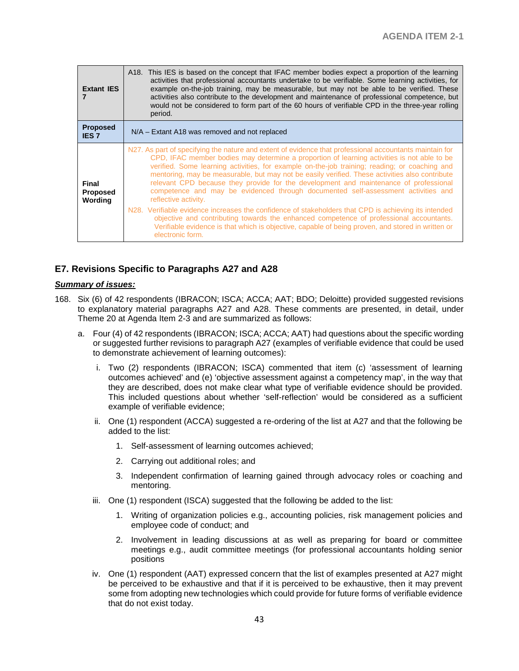| <b>Extant IES</b>                   | A18. This IES is based on the concept that IFAC member bodies expect a proportion of the learning<br>activities that professional accountants undertake to be verifiable. Some learning activities, for<br>example on-the-job training, may be measurable, but may not be able to be verified. These<br>activities also contribute to the development and maintenance of professional competence, but<br>would not be considered to form part of the 60 hours of verifiable CPD in the three-year rolling<br>period.                                                                                                                                                                                                                                                                                                                                                                                                                        |  |  |
|-------------------------------------|---------------------------------------------------------------------------------------------------------------------------------------------------------------------------------------------------------------------------------------------------------------------------------------------------------------------------------------------------------------------------------------------------------------------------------------------------------------------------------------------------------------------------------------------------------------------------------------------------------------------------------------------------------------------------------------------------------------------------------------------------------------------------------------------------------------------------------------------------------------------------------------------------------------------------------------------|--|--|
| <b>Proposed</b><br><b>IES 7</b>     | N/A – Extant A18 was removed and not replaced                                                                                                                                                                                                                                                                                                                                                                                                                                                                                                                                                                                                                                                                                                                                                                                                                                                                                               |  |  |
| Final<br><b>Proposed</b><br>Wording | N27. As part of specifying the nature and extent of evidence that professional accountants maintain for<br>CPD, IFAC member bodies may determine a proportion of learning activities is not able to be<br>verified. Some learning activities, for example on-the-job training; reading; or coaching and<br>mentoring, may be measurable, but may not be easily verified. These activities also contribute<br>relevant CPD because they provide for the development and maintenance of professional<br>competence and may be evidenced through documented self-assessment activities and<br>reflective activity.<br>N28. Verifiable evidence increases the confidence of stakeholders that CPD is achieving its intended<br>objective and contributing towards the enhanced competence of professional accountants.<br>Verifiable evidence is that which is objective, capable of being proven, and stored in written or<br>electronic form. |  |  |

## **E7. Revisions Specific to Paragraphs A27 and A28**

### *Summary of issues:*

- 168. Six (6) of 42 respondents (IBRACON; ISCA; ACCA; AAT; BDO; Deloitte) provided suggested revisions to explanatory material paragraphs A27 and A28. These comments are presented, in detail, under Theme 20 at Agenda Item 2-3 and are summarized as follows:
	- a. Four (4) of 42 respondents (IBRACON; ISCA; ACCA; AAT) had questions about the specific wording or suggested further revisions to paragraph A27 (examples of verifiable evidence that could be used to demonstrate achievement of learning outcomes):
		- i. Two (2) respondents (IBRACON; ISCA) commented that item (c) 'assessment of learning outcomes achieved' and (e) 'objective assessment against a competency map', in the way that they are described, does not make clear what type of verifiable evidence should be provided. This included questions about whether 'self-reflection' would be considered as a sufficient example of verifiable evidence;
		- ii. One (1) respondent (ACCA) suggested a re-ordering of the list at A27 and that the following be added to the list:
			- 1. Self-assessment of learning outcomes achieved;
			- 2. Carrying out additional roles; and
			- 3. Independent confirmation of learning gained through advocacy roles or coaching and mentoring.
		- iii. One (1) respondent (ISCA) suggested that the following be added to the list:
			- 1. Writing of organization policies e.g., accounting policies, risk management policies and employee code of conduct; and
			- 2. Involvement in leading discussions at as well as preparing for board or committee meetings e.g., audit committee meetings (for professional accountants holding senior positions
		- iv. One (1) respondent (AAT) expressed concern that the list of examples presented at A27 might be perceived to be exhaustive and that if it is perceived to be exhaustive, then it may prevent some from adopting new technologies which could provide for future forms of verifiable evidence that do not exist today.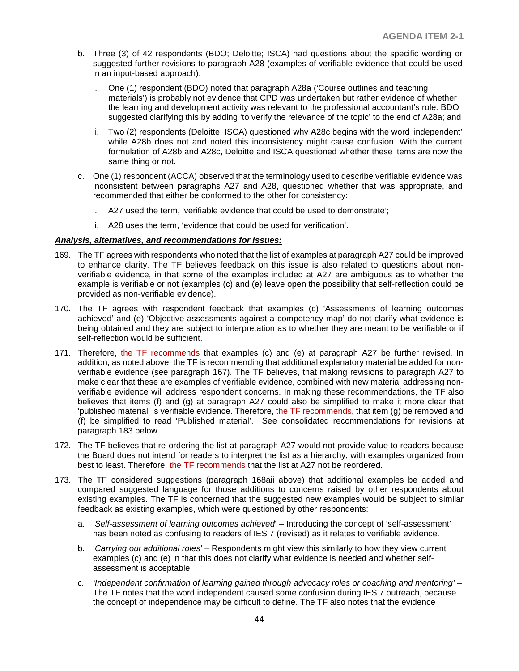- b. Three (3) of 42 respondents (BDO; Deloitte; ISCA) had questions about the specific wording or suggested further revisions to paragraph A28 (examples of verifiable evidence that could be used in an input-based approach):
	- i. One (1) respondent (BDO) noted that paragraph A28a ('Course outlines and teaching materials') is probably not evidence that CPD was undertaken but rather evidence of whether the learning and development activity was relevant to the professional accountant's role. BDO suggested clarifying this by adding 'to verify the relevance of the topic' to the end of A28a; and
	- ii. Two (2) respondents (Deloitte; ISCA) questioned why A28c begins with the word 'independent' while A28b does not and noted this inconsistency might cause confusion. With the current formulation of A28b and A28c, Deloitte and ISCA questioned whether these items are now the same thing or not.
- c. One (1) respondent (ACCA) observed that the terminology used to describe verifiable evidence was inconsistent between paragraphs A27 and A28, questioned whether that was appropriate, and recommended that either be conformed to the other for consistency:
	- i. A27 used the term, 'verifiable evidence that could be used to demonstrate';
	- ii. A28 uses the term, 'evidence that could be used for verification'.

#### *Analysis, alternatives, and recommendations for issues:*

- 169. The TF agrees with respondents who noted that the list of examples at paragraph A27 could be improved to enhance clarity. The TF believes feedback on this issue is also related to questions about nonverifiable evidence, in that some of the examples included at A27 are ambiguous as to whether the example is verifiable or not (examples (c) and (e) leave open the possibility that self-reflection could be provided as non-verifiable evidence).
- 170. The TF agrees with respondent feedback that examples (c) 'Assessments of learning outcomes achieved' and (e) 'Objective assessments against a competency map' do not clarify what evidence is being obtained and they are subject to interpretation as to whether they are meant to be verifiable or if self-reflection would be sufficient.
- 171. Therefore, the TF recommends that examples (c) and (e) at paragraph A27 be further revised. In addition, as noted above, the TF is recommending that additional explanatory material be added for nonverifiable evidence (see paragraph 167). The TF believes, that making revisions to paragraph A27 to make clear that these are examples of verifiable evidence, combined with new material addressing nonverifiable evidence will address respondent concerns. In making these recommendations, the TF also believes that items (f) and (g) at paragraph A27 could also be simplified to make it more clear that 'published material' is verifiable evidence. Therefore, the TF recommends, that item  $(q)$  be removed and (f) be simplified to read 'Published material'. See consolidated recommendations for revisions at paragraph 183 below.
- 172. The TF believes that re-ordering the list at paragraph A27 would not provide value to readers because the Board does not intend for readers to interpret the list as a hierarchy, with examples organized from best to least. Therefore, the TF recommends that the list at A27 not be reordered.
- 173. The TF considered suggestions (paragraph 168aii above) that additional examples be added and compared suggested language for those additions to concerns raised by other respondents about existing examples. The TF is concerned that the suggested new examples would be subject to similar feedback as existing examples, which were questioned by other respondents:
	- a. '*Self-assessment of learning outcomes achieved*' Introducing the concept of 'self-assessment' has been noted as confusing to readers of IES 7 (revised) as it relates to verifiable evidence.
	- b. '*Carrying out additional roles*' Respondents might view this similarly to how they view current examples (c) and (e) in that this does not clarify what evidence is needed and whether selfassessment is acceptable.
	- *c. 'Independent confirmation of learning gained through advocacy roles or coaching and mentoring'* The TF notes that the word independent caused some confusion during IES 7 outreach, because the concept of independence may be difficult to define. The TF also notes that the evidence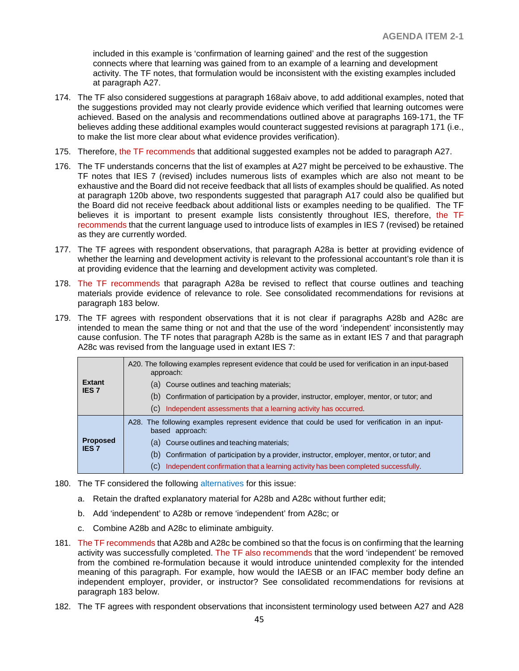included in this example is 'confirmation of learning gained' and the rest of the suggestion connects where that learning was gained from to an example of a learning and development activity. The TF notes, that formulation would be inconsistent with the existing examples included at paragraph A27.

- 174. The TF also considered suggestions at paragraph 168aiv above, to add additional examples, noted that the suggestions provided may not clearly provide evidence which verified that learning outcomes were achieved. Based on the analysis and recommendations outlined above at paragraphs 169-171, the TF believes adding these additional examples would counteract suggested revisions at paragraph 171 (i.e., to make the list more clear about what evidence provides verification).
- 175. Therefore, the TF recommends that additional suggested examples not be added to paragraph A27.
- 176. The TF understands concerns that the list of examples at A27 might be perceived to be exhaustive. The TF notes that IES 7 (revised) includes numerous lists of examples which are also not meant to be exhaustive and the Board did not receive feedback that all lists of examples should be qualified. As noted at paragraph 120b above, two respondents suggested that paragraph A17 could also be qualified but the Board did not receive feedback about additional lists or examples needing to be qualified. The TF believes it is important to present example lists consistently throughout IES, therefore, the TF recommends that the current language used to introduce lists of examples in IES 7 (revised) be retained as they are currently worded.
- 177. The TF agrees with respondent observations, that paragraph A28a is better at providing evidence of whether the learning and development activity is relevant to the professional accountant's role than it is at providing evidence that the learning and development activity was completed.
- 178. The TF recommends that paragraph A28a be revised to reflect that course outlines and teaching materials provide evidence of relevance to role. See consolidated recommendations for revisions at paragraph 183 below.
- 179. The TF agrees with respondent observations that it is not clear if paragraphs A28b and A28c are intended to mean the same thing or not and that the use of the word 'independent' inconsistently may cause confusion. The TF notes that paragraph A28b is the same as in extant IES 7 and that paragraph A28c was revised from the language used in extant IES 7:

| <b>Extant</b><br><b>IES 7</b>   | A20. The following examples represent evidence that could be used for verification in an input-based<br>approach:  |
|---------------------------------|--------------------------------------------------------------------------------------------------------------------|
|                                 | (a) Course outlines and teaching materials;                                                                        |
|                                 | (b) Confirmation of participation by a provider, instructor, employer, mentor, or tutor; and                       |
|                                 | Independent assessments that a learning activity has occurred.<br>(C)                                              |
| <b>Proposed</b><br><b>IES 7</b> | A28. The following examples represent evidence that could be used for verification in an input-<br>based approach: |
|                                 | (a) Course outlines and teaching materials;                                                                        |
|                                 | (b) Confirmation of participation by a provider, instructor, employer, mentor, or tutor; and                       |
|                                 | Independent confirmation that a learning activity has been completed successfully.<br>(C)                          |

- 180. The TF considered the following alternatives for this issue:
	- a. Retain the drafted explanatory material for A28b and A28c without further edit;
	- b. Add 'independent' to A28b or remove 'independent' from A28c; or
	- c. Combine A28b and A28c to eliminate ambiguity.
- 181. The TF recommends that A28b and A28c be combined so that the focus is on confirming that the learning activity was successfully completed. The TF also recommends that the word 'independent' be removed from the combined re-formulation because it would introduce unintended complexity for the intended meaning of this paragraph. For example, how would the IAESB or an IFAC member body define an independent employer, provider, or instructor? See consolidated recommendations for revisions at paragraph 183 below.
- 182. The TF agrees with respondent observations that inconsistent terminology used between A27 and A28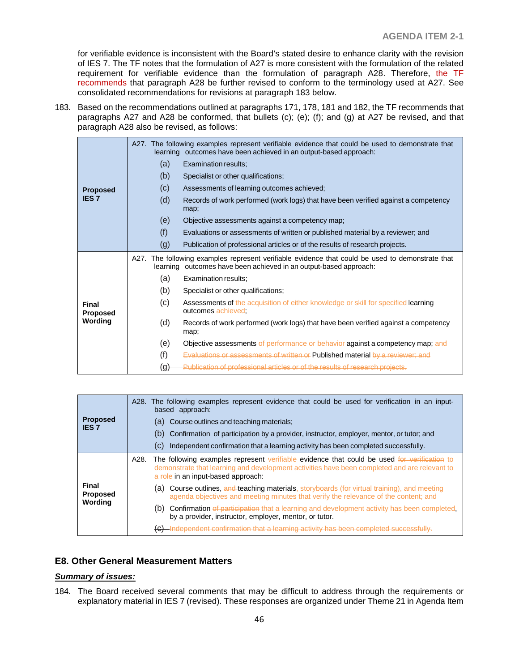for verifiable evidence is inconsistent with the Board's stated desire to enhance clarity with the revision of IES 7. The TF notes that the formulation of A27 is more consistent with the formulation of the related requirement for verifiable evidence than the formulation of paragraph A28. Therefore, the TF recommends that paragraph A28 be further revised to conform to the terminology used at A27. See consolidated recommendations for revisions at paragraph 183 below.

183. Based on the recommendations outlined at paragraphs 171, 178, 181 and 182, the TF recommends that paragraphs A27 and A28 be conformed, that bullets (c); (e); (f); and (g) at A27 be revised, and that paragraph A28 also be revised, as follows:

|                                     |          | A27. The following examples represent verifiable evidence that could be used to demonstrate that<br>learning outcomes have been achieved in an output-based approach: |
|-------------------------------------|----------|-----------------------------------------------------------------------------------------------------------------------------------------------------------------------|
| <b>Proposed</b><br><b>IES7</b>      | (a)      | Examination results;                                                                                                                                                  |
|                                     | (b)      | Specialist or other qualifications;                                                                                                                                   |
|                                     | (c)      | Assessments of learning outcomes achieved;                                                                                                                            |
|                                     | (d)      | Records of work performed (work logs) that have been verified against a competency<br>map;                                                                            |
|                                     | (e)      | Objective assessments against a competency map;                                                                                                                       |
|                                     | (f)      | Evaluations or assessments of written or published material by a reviewer; and                                                                                        |
|                                     | (g)      | Publication of professional articles or of the results of research projects.                                                                                          |
|                                     |          | A27. The following examples represent verifiable evidence that could be used to demonstrate that<br>learning outcomes have been achieved in an output-based approach: |
|                                     | (a)      | Examination results:                                                                                                                                                  |
|                                     | (b)      | Specialist or other qualifications;                                                                                                                                   |
| Final<br><b>Proposed</b><br>Wording | (c)      | Assessments of the acquisition of either knowledge or skill for specified learning<br>outcomes achieved;                                                              |
|                                     | (d)      | Records of work performed (work logs) that have been verified against a competency<br>map;                                                                            |
|                                     | (e)      | Objective assessments of performance or behavior against a competency map; and                                                                                        |
|                                     | (f)      | <b>Evaluations or assessments of written or Published material by a reviewer; and</b>                                                                                 |
|                                     | $\Theta$ | Publication of professional articles or of the results of research projects.                                                                                          |

| <b>Proposed</b><br><b>IES 7</b>            | A28. The following examples represent evidence that could be used for verification in an input-<br>based approach:<br>(a) Course outlines and teaching materials;<br>(b) Confirmation of participation by a provider, instructor, employer, mentor, or tutor; and<br>Independent confirmation that a learning activity has been completed successfully.<br>(C) |  |
|--------------------------------------------|----------------------------------------------------------------------------------------------------------------------------------------------------------------------------------------------------------------------------------------------------------------------------------------------------------------------------------------------------------------|--|
| <b>Final</b><br><b>Proposed</b><br>Wording | The following examples represent verifiable evidence that could be used for verification to<br>A28.<br>demonstrate that learning and development activities have been completed and are relevant to<br>a role in an input-based approach:                                                                                                                      |  |
|                                            | <b>Course outlines, and teaching materials, storyboards (for virtual training), and meeting</b><br>(a)<br>agenda objectives and meeting minutes that verify the relevance of the content; and                                                                                                                                                                  |  |
|                                            | <b>Confirmation of participation</b> that a learning and development activity has been completed,<br>(b)<br>by a provider, instructor, employer, mentor, or tutor.                                                                                                                                                                                             |  |
|                                            | -Independent confirmation that a learning activity has been completed successfully.                                                                                                                                                                                                                                                                            |  |

## **E8. Other General Measurement Matters**

#### *Summary of issues:*

184. The Board received several comments that may be difficult to address through the requirements or explanatory material in IES 7 (revised). These responses are organized under Theme 21 in Agenda Item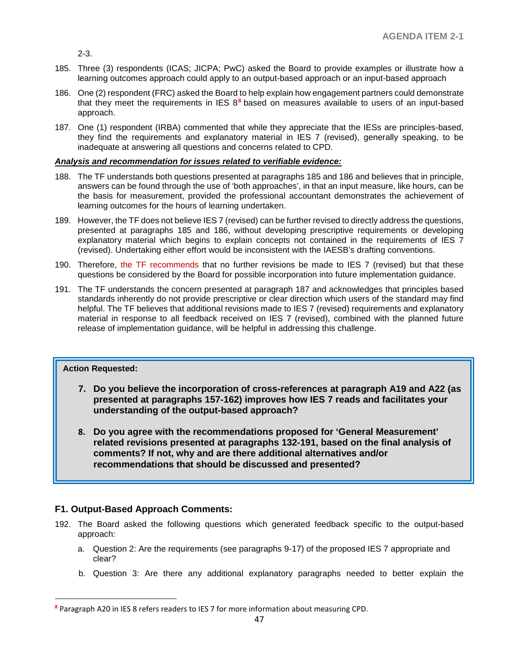2-3.

- 185. Three (3) respondents (ICAS; JICPA; PwC) asked the Board to provide examples or illustrate how a learning outcomes approach could apply to an output-based approach or an input-based approach
- 186. One (2) respondent (FRC) asked the Board to help explain how engagement partners could demonstrate that they meet the requirements in IES 8**[8](#page-46-0)** based on measures available to users of an input-based approach.
- 187. One (1) respondent (IRBA) commented that while they appreciate that the IESs are principles-based, they find the requirements and explanatory material in IES 7 (revised), generally speaking, to be inadequate at answering all questions and concerns related to CPD.

#### *Analysis and recommendation for issues related to verifiable evidence:*

- 188. The TF understands both questions presented at paragraphs 185 and 186 and believes that in principle, answers can be found through the use of 'both approaches', in that an input measure, like hours, can be the basis for measurement, provided the professional accountant demonstrates the achievement of learning outcomes for the hours of learning undertaken.
- 189. However, the TF does not believe IES 7 (revised) can be further revised to directly address the questions, presented at paragraphs 185 and 186, without developing prescriptive requirements or developing explanatory material which begins to explain concepts not contained in the requirements of IES 7 (revised). Undertaking either effort would be inconsistent with the IAESB's drafting conventions.
- 190. Therefore, the TF recommends that no further revisions be made to IES 7 (revised) but that these questions be considered by the Board for possible incorporation into future implementation guidance.
- 191. The TF understands the concern presented at paragraph 187 and acknowledges that principles based standards inherently do not provide prescriptive or clear direction which users of the standard may find helpful. The TF believes that additional revisions made to IES 7 (revised) requirements and explanatory material in response to all feedback received on IES 7 (revised), combined with the planned future release of implementation guidance, will be helpful in addressing this challenge.

## **Action Requested:**

 $\overline{a}$ 

- **7. Do you believe the incorporation of cross-references at paragraph A19 and A22 (as presented at paragraphs 157-162) improves how IES 7 reads and facilitates your understanding of the output-based approach?**
- **8. Do you agree with the recommendations proposed for 'General Measurement' related revisions presented at paragraphs 132-191, based on the final analysis of comments? If not, why and are there additional alternatives and/or recommendations that should be discussed and presented?**

## **F1. Output-Based Approach Comments:**

- 192. The Board asked the following questions which generated feedback specific to the output-based approach:
	- a. Question 2: Are the requirements (see paragraphs 9-17) of the proposed IES 7 appropriate and clear?
	- b. Question 3: Are there any additional explanatory paragraphs needed to better explain the

<span id="page-46-0"></span>**<sup>8</sup>** Paragraph A20 in IES 8 refers readers to IES 7 for more information about measuring CPD.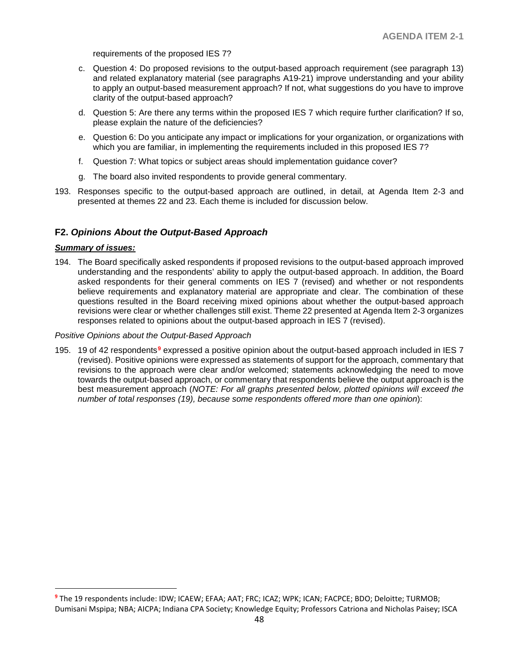requirements of the proposed IES 7?

- c. Question 4: Do proposed revisions to the output-based approach requirement (see paragraph 13) and related explanatory material (see paragraphs A19-21) improve understanding and your ability to apply an output-based measurement approach? If not, what suggestions do you have to improve clarity of the output-based approach?
- d. Question 5: Are there any terms within the proposed IES 7 which require further clarification? If so, please explain the nature of the deficiencies?
- e. Question 6: Do you anticipate any impact or implications for your organization, or organizations with which you are familiar, in implementing the requirements included in this proposed IES 7?
- f. Question 7: What topics or subject areas should implementation guidance cover?
- g. The board also invited respondents to provide general commentary.
- 193. Responses specific to the output-based approach are outlined, in detail, at Agenda Item 2-3 and presented at themes 22 and 23. Each theme is included for discussion below.

### **F2.** *Opinions About the Output-Based Approach*

#### *Summary of issues:*

 $\overline{a}$ 

194. The Board specifically asked respondents if proposed revisions to the output-based approach improved understanding and the respondents' ability to apply the output-based approach. In addition, the Board asked respondents for their general comments on IES 7 (revised) and whether or not respondents believe requirements and explanatory material are appropriate and clear. The combination of these questions resulted in the Board receiving mixed opinions about whether the output-based approach revisions were clear or whether challenges still exist. Theme 22 presented at Agenda Item 2-3 organizes responses related to opinions about the output-based approach in IES 7 (revised).

#### *Positive Opinions about the Output-Based Approach*

195. 19 of 42 respondents**[9](#page-47-0)** expressed a positive opinion about the output-based approach included in IES 7 (revised). Positive opinions were expressed as statements of support for the approach, commentary that revisions to the approach were clear and/or welcomed; statements acknowledging the need to move towards the output-based approach, or commentary that respondents believe the output approach is the best measurement approach (*NOTE: For all graphs presented below, plotted opinions will exceed the number of total responses (19), because some respondents offered more than one opinion*):

<span id="page-47-0"></span>**<sup>9</sup>** The 19 respondents include: IDW; ICAEW; EFAA; AAT; FRC; ICAZ; WPK; ICAN; FACPCE; BDO; Deloitte; TURMOB; Dumisani Mspipa; NBA; AICPA; Indiana CPA Society; Knowledge Equity; Professors Catriona and Nicholas Paisey; ISCA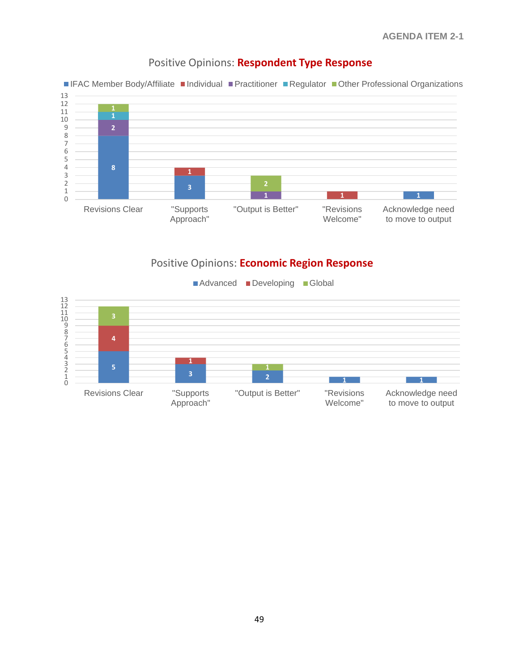

# Positive Opinions: **Respondent Type Response**



# Positive Opinions: **Economic Region Response**

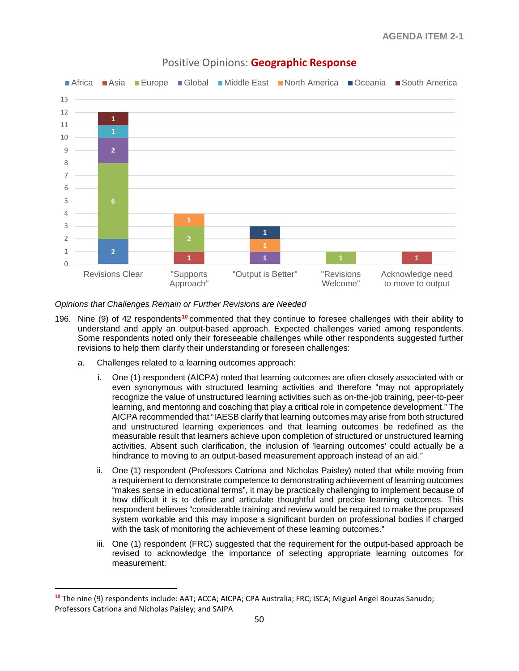

## Positive Opinions: **Geographic Response**

#### *Opinions that Challenges Remain or Further Revisions are Needed*

- 196. Nine (9) of 42 respondents**[10](#page-49-0)** commented that they continue to foresee challenges with their ability to understand and apply an output-based approach. Expected challenges varied among respondents. Some respondents noted only their foreseeable challenges while other respondents suggested further revisions to help them clarify their understanding or foreseen challenges:
	- a. Challenges related to a learning outcomes approach:

 $\overline{a}$ 

- i. One (1) respondent (AICPA) noted that learning outcomes are often closely associated with or even synonymous with structured learning activities and therefore "may not appropriately recognize the value of unstructured learning activities such as on-the-job training, peer-to-peer learning, and mentoring and coaching that play a critical role in competence development." The AICPA recommended that "IAESB clarify that learning outcomes may arise from both structured and unstructured learning experiences and that learning outcomes be redefined as the measurable result that learners achieve upon completion of structured or unstructured learning activities. Absent such clarification, the inclusion of 'learning outcomes' could actually be a hindrance to moving to an output-based measurement approach instead of an aid."
- ii. One (1) respondent (Professors Catriona and Nicholas Paisley) noted that while moving from a requirement to demonstrate competence to demonstrating achievement of learning outcomes "makes sense in educational terms", it may be practically challenging to implement because of how difficult it is to define and articulate thoughtful and precise learning outcomes. This respondent believes "considerable training and review would be required to make the proposed system workable and this may impose a significant burden on professional bodies if charged with the task of monitoring the achievement of these learning outcomes."
- iii. One (1) respondent (FRC) suggested that the requirement for the output-based approach be revised to acknowledge the importance of selecting appropriate learning outcomes for measurement:

<span id="page-49-0"></span>**<sup>10</sup>** The nine (9) respondents include: AAT; ACCA; AICPA; CPA Australia; FRC; ISCA; Miguel Angel Bouzas Sanudo; Professors Catriona and Nicholas Paisley; and SAIPA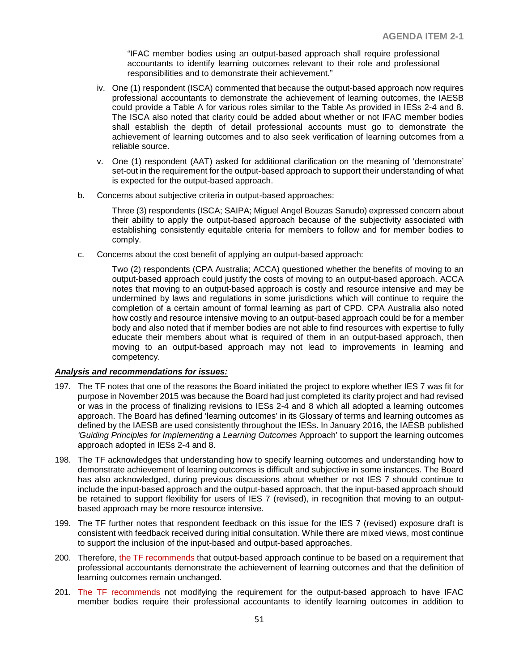"IFAC member bodies using an output-based approach shall require professional accountants to identify learning outcomes relevant to their role and professional responsibilities and to demonstrate their achievement."

- iv. One (1) respondent (ISCA) commented that because the output-based approach now requires professional accountants to demonstrate the achievement of learning outcomes, the IAESB could provide a Table A for various roles similar to the Table As provided in IESs 2-4 and 8. The ISCA also noted that clarity could be added about whether or not IFAC member bodies shall establish the depth of detail professional accounts must go to demonstrate the achievement of learning outcomes and to also seek verification of learning outcomes from a reliable source.
- v. One (1) respondent (AAT) asked for additional clarification on the meaning of 'demonstrate' set-out in the requirement for the output-based approach to support their understanding of what is expected for the output-based approach.
- b. Concerns about subjective criteria in output-based approaches:

Three (3) respondents (ISCA; SAIPA; Miguel Angel Bouzas Sanudo) expressed concern about their ability to apply the output-based approach because of the subjectivity associated with establishing consistently equitable criteria for members to follow and for member bodies to comply.

c. Concerns about the cost benefit of applying an output-based approach:

Two (2) respondents (CPA Australia; ACCA) questioned whether the benefits of moving to an output-based approach could justify the costs of moving to an output-based approach. ACCA notes that moving to an output-based approach is costly and resource intensive and may be undermined by laws and regulations in some jurisdictions which will continue to require the completion of a certain amount of formal learning as part of CPD. CPA Australia also noted how costly and resource intensive moving to an output-based approach could be for a member body and also noted that if member bodies are not able to find resources with expertise to fully educate their members about what is required of them in an output-based approach, then moving to an output-based approach may not lead to improvements in learning and competency.

## *Analysis and recommendations for issues:*

- 197. The TF notes that one of the reasons the Board initiated the project to explore whether IES 7 was fit for purpose in November 2015 was because the Board had just completed its clarity project and had revised or was in the process of finalizing revisions to IESs 2-4 and 8 which all adopted a learning outcomes approach. The Board has defined 'learning outcomes' in its Glossary of terms and learning outcomes as defined by the IAESB are used consistently throughout the IESs. In January 2016, the IAESB published *'Guiding Principles for Implementing a Learning Outcomes* Approach' to support the learning outcomes approach adopted in IESs 2-4 and 8.
- 198. The TF acknowledges that understanding how to specify learning outcomes and understanding how to demonstrate achievement of learning outcomes is difficult and subjective in some instances. The Board has also acknowledged, during previous discussions about whether or not IES 7 should continue to include the input-based approach and the output-based approach, that the input-based approach should be retained to support flexibility for users of IES 7 (revised), in recognition that moving to an outputbased approach may be more resource intensive.
- 199. The TF further notes that respondent feedback on this issue for the IES 7 (revised) exposure draft is consistent with feedback received during initial consultation. While there are mixed views, most continue to support the inclusion of the input-based and output-based approaches.
- 200. Therefore, the TF recommends that output-based approach continue to be based on a requirement that professional accountants demonstrate the achievement of learning outcomes and that the definition of learning outcomes remain unchanged.
- 201. The TF recommends not modifying the requirement for the output-based approach to have IFAC member bodies require their professional accountants to identify learning outcomes in addition to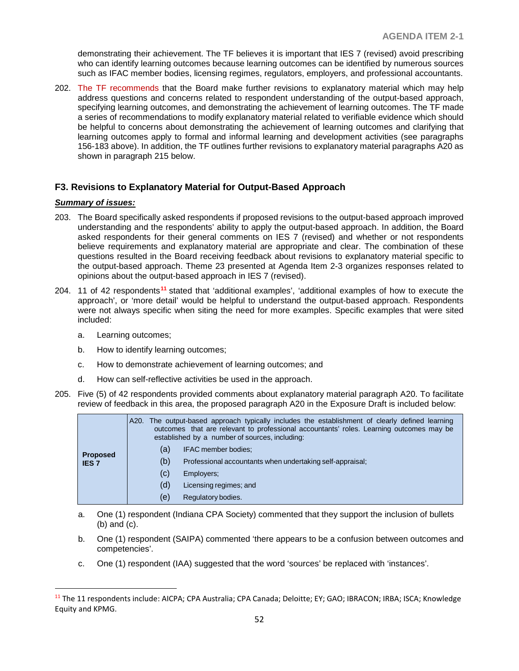demonstrating their achievement. The TF believes it is important that IES 7 (revised) avoid prescribing who can identify learning outcomes because learning outcomes can be identified by numerous sources such as IFAC member bodies, licensing regimes, regulators, employers, and professional accountants.

202. The TF recommends that the Board make further revisions to explanatory material which may help address questions and concerns related to respondent understanding of the output-based approach, specifying learning outcomes, and demonstrating the achievement of learning outcomes. The TF made a series of recommendations to modify explanatory material related to verifiable evidence which should be helpful to concerns about demonstrating the achievement of learning outcomes and clarifying that learning outcomes apply to formal and informal learning and development activities (see paragraphs 156-183 above). In addition, the TF outlines further revisions to explanatory material paragraphs A20 as shown in paragraph 215 below.

## **F3. Revisions to Explanatory Material for Output-Based Approach**

#### *Summary of issues:*

- 203. The Board specifically asked respondents if proposed revisions to the output-based approach improved understanding and the respondents' ability to apply the output-based approach. In addition, the Board asked respondents for their general comments on IES 7 (revised) and whether or not respondents believe requirements and explanatory material are appropriate and clear. The combination of these questions resulted in the Board receiving feedback about revisions to explanatory material specific to the output-based approach. Theme 23 presented at Agenda Item 2-3 organizes responses related to opinions about the output-based approach in IES 7 (revised).
- 204. 11 of 42 respondents**[11](#page-51-0)** stated that 'additional examples', 'additional examples of how to execute the approach', or 'more detail' would be helpful to understand the output-based approach. Respondents were not always specific when siting the need for more examples. Specific examples that were sited included:
	- a. Learning outcomes;
	- b. How to identify learning outcomes;
	- c. How to demonstrate achievement of learning outcomes; and
	- d. How can self-reflective activities be used in the approach.
- 205. Five (5) of 42 respondents provided comments about explanatory material paragraph A20. To facilitate review of feedback in this area, the proposed paragraph A20 in the Exposure Draft is included below:

| <b>Proposed</b><br><b>IES 7</b> |     | A20. The output-based approach typically includes the establishment of clearly defined learning<br>outcomes that are relevant to professional accountants' roles. Learning outcomes may be<br>established by a number of sources, including: |
|---------------------------------|-----|----------------------------------------------------------------------------------------------------------------------------------------------------------------------------------------------------------------------------------------------|
|                                 | (a) | IFAC member bodies;                                                                                                                                                                                                                          |
|                                 | (b) | Professional accountants when undertaking self-appraisal;                                                                                                                                                                                    |
|                                 | (C) | Employers;                                                                                                                                                                                                                                   |
|                                 | (d) | Licensing regimes; and                                                                                                                                                                                                                       |
|                                 | (e) | Regulatory bodies.                                                                                                                                                                                                                           |

- a. One (1) respondent (Indiana CPA Society) commented that they support the inclusion of bullets (b) and (c).
- b. One (1) respondent (SAIPA) commented 'there appears to be a confusion between outcomes and competencies'.
- c. One (1) respondent (IAA) suggested that the word 'sources' be replaced with 'instances'.

<span id="page-51-0"></span> <sup>11</sup> The 11 respondents include: AICPA; CPA Australia; CPA Canada; Deloitte; EY; GAO; IBRACON; IRBA; ISCA; Knowledge Equity and KPMG.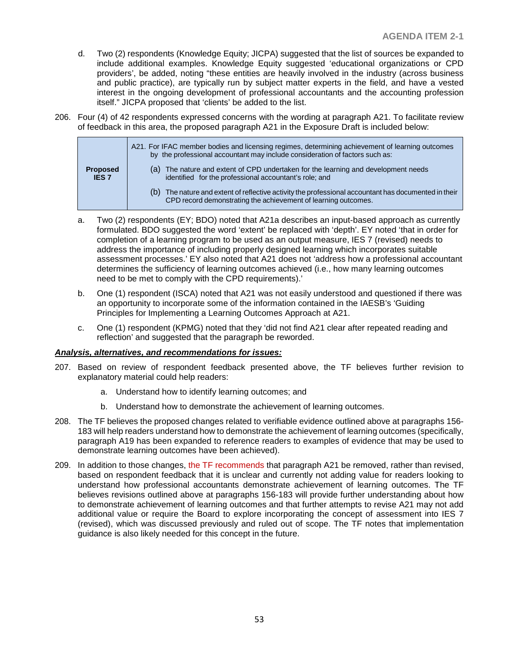- d. Two (2) respondents (Knowledge Equity; JICPA) suggested that the list of sources be expanded to include additional examples. Knowledge Equity suggested 'educational organizations or CPD providers', be added, noting "these entities are heavily involved in the industry (across business and public practice), are typically run by subject matter experts in the field, and have a vested interest in the ongoing development of professional accountants and the accounting profession itself." JICPA proposed that 'clients' be added to the list.
- 206. Four (4) of 42 respondents expressed concerns with the wording at paragraph A21. To facilitate review of feedback in this area, the proposed paragraph A21 in the Exposure Draft is included below:

|                                 | A21. For IFAC member bodies and licensing regimes, determining achievement of learning outcomes<br>by the professional accountant may include consideration of factors such as: |
|---------------------------------|---------------------------------------------------------------------------------------------------------------------------------------------------------------------------------|
| <b>Proposed</b><br><b>IES 7</b> | The nature and extent of CPD undertaken for the learning and development needs<br>(a)<br>identified for the professional accountant's role; and                                 |
|                                 | The nature and extent of reflective activity the professional accountant has documented in their<br>(b)<br>CPD record demonstrating the achievement of learning outcomes.       |
|                                 |                                                                                                                                                                                 |

- a. Two (2) respondents (EY; BDO) noted that A21a describes an input-based approach as currently formulated. BDO suggested the word 'extent' be replaced with 'depth'. EY noted 'that in order for completion of a learning program to be used as an output measure, IES 7 (revised) needs to address the importance of including properly designed learning which incorporates suitable assessment processes.' EY also noted that A21 does not 'address how a professional accountant determines the sufficiency of learning outcomes achieved (i.e., how many learning outcomes need to be met to comply with the CPD requirements).'
- b. One (1) respondent (ISCA) noted that A21 was not easily understood and questioned if there was an opportunity to incorporate some of the information contained in the IAESB's 'Guiding Principles for Implementing a Learning Outcomes Approach at A21.
- c. One (1) respondent (KPMG) noted that they 'did not find A21 clear after repeated reading and reflection' and suggested that the paragraph be reworded.

#### *Analysis, alternatives, and recommendations for issues:*

- 207. Based on review of respondent feedback presented above, the TF believes further revision to explanatory material could help readers:
	- a. Understand how to identify learning outcomes; and
	- b. Understand how to demonstrate the achievement of learning outcomes.
- 208. The TF believes the proposed changes related to verifiable evidence outlined above at paragraphs 156- 183 will help readers understand how to demonstrate the achievement of learning outcomes (specifically, paragraph A19 has been expanded to reference readers to examples of evidence that may be used to demonstrate learning outcomes have been achieved).
- 209. In addition to those changes, the TF recommends that paragraph A21 be removed, rather than revised, based on respondent feedback that it is unclear and currently not adding value for readers looking to understand how professional accountants demonstrate achievement of learning outcomes. The TF believes revisions outlined above at paragraphs 156-183 will provide further understanding about how to demonstrate achievement of learning outcomes and that further attempts to revise A21 may not add additional value or require the Board to explore incorporating the concept of assessment into IES 7 (revised), which was discussed previously and ruled out of scope. The TF notes that implementation guidance is also likely needed for this concept in the future.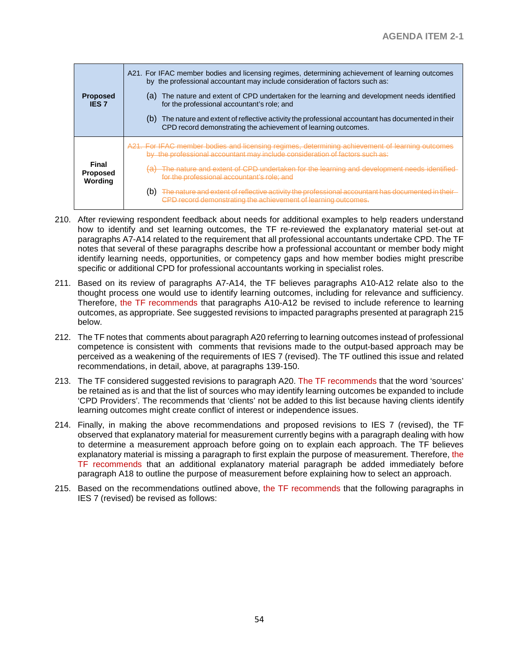| <b>Proposed</b><br><b>IES 7</b>     | A21. For IFAC member bodies and licensing regimes, determining achievement of learning outcomes<br>by the professional accountant may include consideration of factors such as:<br>(a) The nature and extent of CPD undertaken for the learning and development needs identified<br>for the professional accountant's role; and<br>The nature and extent of reflective activity the professional accountant has documented in their<br>(b)<br>CPD record demonstrating the achievement of learning outcomes. |
|-------------------------------------|--------------------------------------------------------------------------------------------------------------------------------------------------------------------------------------------------------------------------------------------------------------------------------------------------------------------------------------------------------------------------------------------------------------------------------------------------------------------------------------------------------------|
| Final<br><b>Proposed</b><br>Wording | A21. For IFAC member bodies and licensing regimes, determining achievement of learning outcomes<br>by the professional accountant may include consideration of factors such as:<br>The nature and extent of CPD undertaken for the learning and development needs identified<br>for the professional accountant's role; and<br>The nature and extent of reflective activity the professional accountant has documented in their<br>(b)<br>CPD record demonstrating the achievement of learning outcomes.     |

- 210. After reviewing respondent feedback about needs for additional examples to help readers understand how to identify and set learning outcomes, the TF re-reviewed the explanatory material set-out at paragraphs A7-A14 related to the requirement that all professional accountants undertake CPD. The TF notes that several of these paragraphs describe how a professional accountant or member body might identify learning needs, opportunities, or competency gaps and how member bodies might prescribe specific or additional CPD for professional accountants working in specialist roles.
- 211. Based on its review of paragraphs A7-A14, the TF believes paragraphs A10-A12 relate also to the thought process one would use to identify learning outcomes, including for relevance and sufficiency. Therefore, the TF recommends that paragraphs A10-A12 be revised to include reference to learning outcomes, as appropriate. See suggested revisions to impacted paragraphs presented at paragraph 215 below.
- 212. The TF notes that comments about paragraph A20 referring to learning outcomes instead of professional competence is consistent with comments that revisions made to the output-based approach may be perceived as a weakening of the requirements of IES 7 (revised). The TF outlined this issue and related recommendations, in detail, above, at paragraphs 139-150.
- 213. The TF considered suggested revisions to paragraph A20. The TF recommends that the word 'sources' be retained as is and that the list of sources who may identify learning outcomes be expanded to include 'CPD Providers'. The recommends that 'clients' not be added to this list because having clients identify learning outcomes might create conflict of interest or independence issues.
- 214. Finally, in making the above recommendations and proposed revisions to IES 7 (revised), the TF observed that explanatory material for measurement currently begins with a paragraph dealing with how to determine a measurement approach before going on to explain each approach. The TF believes explanatory material is missing a paragraph to first explain the purpose of measurement. Therefore, the TF recommends that an additional explanatory material paragraph be added immediately before paragraph A18 to outline the purpose of measurement before explaining how to select an approach.
- 215. Based on the recommendations outlined above, the TF recommends that the following paragraphs in IES 7 (revised) be revised as follows: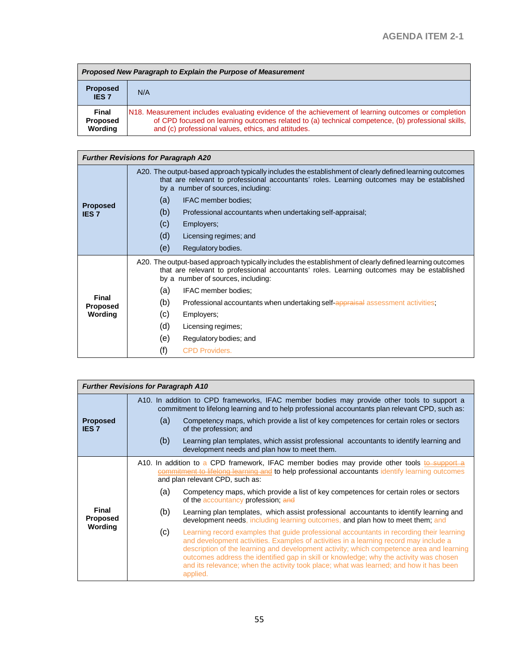| Proposed New Paragraph to Explain the Purpose of Measurement |                                                                                                                                                                                                                                                                 |  |
|--------------------------------------------------------------|-----------------------------------------------------------------------------------------------------------------------------------------------------------------------------------------------------------------------------------------------------------------|--|
| <b>Proposed</b><br><b>IES7</b>                               | N/A                                                                                                                                                                                                                                                             |  |
| Final<br><b>Proposed</b><br>Wording                          | N18. Measurement includes evaluating evidence of the achievement of learning outcomes or completion<br>of CPD focused on learning outcomes related to (a) technical competence, (b) professional skills,<br>and (c) professional values, ethics, and attitudes. |  |

| <b>Further Revisions for Paragraph A20</b> |                                                                                                                                                                                                                                              |                                                                                 |  |  |
|--------------------------------------------|----------------------------------------------------------------------------------------------------------------------------------------------------------------------------------------------------------------------------------------------|---------------------------------------------------------------------------------|--|--|
| <b>Proposed</b><br><b>IES 7</b>            | A20. The output-based approach typically includes the establishment of clearly defined learning outcomes<br>that are relevant to professional accountants' roles. Learning outcomes may be established<br>by a number of sources, including: |                                                                                 |  |  |
|                                            | (a)                                                                                                                                                                                                                                          | IFAC member bodies:                                                             |  |  |
|                                            | (b)                                                                                                                                                                                                                                          | Professional accountants when undertaking self-appraisal;                       |  |  |
|                                            | (c)                                                                                                                                                                                                                                          | Employers;                                                                      |  |  |
|                                            | (d)                                                                                                                                                                                                                                          | Licensing regimes; and                                                          |  |  |
|                                            | (e)                                                                                                                                                                                                                                          | Regulatory bodies.                                                              |  |  |
|                                            | A20. The output-based approach typically includes the establishment of clearly defined learning outcomes<br>that are relevant to professional accountants' roles. Learning outcomes may be established<br>by a number of sources, including: |                                                                                 |  |  |
|                                            | (a)                                                                                                                                                                                                                                          | IFAC member bodies:                                                             |  |  |
| Final<br><b>Proposed</b><br>Wording        | (b)                                                                                                                                                                                                                                          | Professional accountants when undertaking self-appraisal assessment activities; |  |  |
|                                            | (c)                                                                                                                                                                                                                                          | Employers;                                                                      |  |  |
|                                            | (d)                                                                                                                                                                                                                                          | Licensing regimes;                                                              |  |  |
|                                            | (e)                                                                                                                                                                                                                                          | Regulatory bodies; and                                                          |  |  |
|                                            | (f)                                                                                                                                                                                                                                          | <b>CPD Providers.</b>                                                           |  |  |

| <b>Further Revisions for Paragraph A10</b> |                                                                                                                                                                                                 |                                                                                                                                                                                                                                                                                                                                                                                                                                                                               |  |  |
|--------------------------------------------|-------------------------------------------------------------------------------------------------------------------------------------------------------------------------------------------------|-------------------------------------------------------------------------------------------------------------------------------------------------------------------------------------------------------------------------------------------------------------------------------------------------------------------------------------------------------------------------------------------------------------------------------------------------------------------------------|--|--|
|                                            | A10. In addition to CPD frameworks, IFAC member bodies may provide other tools to support a<br>commitment to lifelong learning and to help professional accountants plan relevant CPD, such as: |                                                                                                                                                                                                                                                                                                                                                                                                                                                                               |  |  |
| <b>Proposed</b><br><b>IES 7</b>            | (a)                                                                                                                                                                                             | Competency maps, which provide a list of key competences for certain roles or sectors<br>of the profession; and                                                                                                                                                                                                                                                                                                                                                               |  |  |
|                                            | (b)                                                                                                                                                                                             | Learning plan templates, which assist professional accountants to identify learning and<br>development needs and plan how to meet them.                                                                                                                                                                                                                                                                                                                                       |  |  |
| Final<br><b>Proposed</b><br>Wording        |                                                                                                                                                                                                 | A10. In addition to a CPD framework, IFAC member bodies may provide other tools to support a<br>commitment to lifelong learning and to help professional accountants identify learning outcomes<br>and plan relevant CPD, such as:                                                                                                                                                                                                                                            |  |  |
|                                            | (a)                                                                                                                                                                                             | Competency maps, which provide a list of key competences for certain roles or sectors<br>of the accountancy profession; and                                                                                                                                                                                                                                                                                                                                                   |  |  |
|                                            | (b)                                                                                                                                                                                             | Learning plan templates, which assist professional accountants to identify learning and<br>development needs, including learning outcomes, and plan how to meet them; and                                                                                                                                                                                                                                                                                                     |  |  |
|                                            | (c)                                                                                                                                                                                             | Learning record examples that guide professional accountants in recording their learning<br>and development activities. Examples of activities in a learning record may include a<br>description of the learning and development activity; which competence area and learning<br>outcomes address the identified gap in skill or knowledge; why the activity was chosen<br>and its relevance; when the activity took place; what was learned; and how it has been<br>applied. |  |  |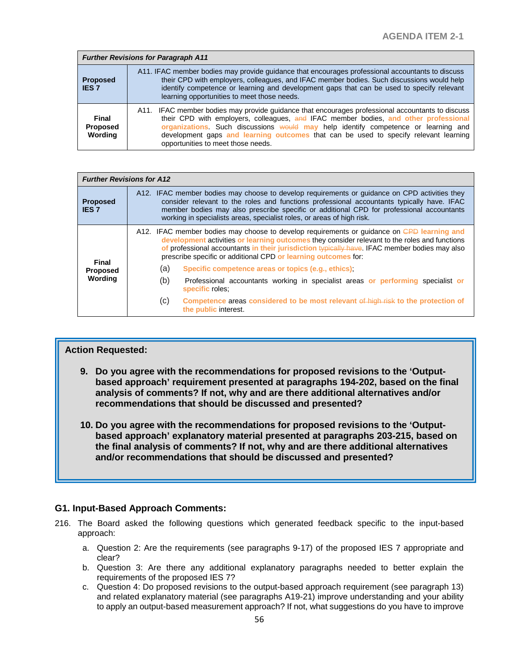| <b>Further Revisions for Paragraph A11</b> |                                                                                                                                                                                                                                                                                                                                                                                                              |  |
|--------------------------------------------|--------------------------------------------------------------------------------------------------------------------------------------------------------------------------------------------------------------------------------------------------------------------------------------------------------------------------------------------------------------------------------------------------------------|--|
| <b>Proposed</b><br><b>IES 7</b>            | A11. IFAC member bodies may provide guidance that encourages professional accountants to discuss<br>their CPD with employers, colleagues, and IFAC member bodies. Such discussions would help<br>identify competence or learning and development gaps that can be used to specify relevant<br>learning opportunities to meet those needs.                                                                    |  |
| Final<br>Proposed<br>Wording               | A11. IFAC member bodies may provide quidance that encourages professional accountants to discuss<br>their CPD with employers, colleagues, and IFAC member bodies, and other professional<br>organizations. Such discussions would may help identify competence or learning and<br>development gaps and learning outcomes that can be used to specify relevant learning<br>opportunities to meet those needs. |  |

| <b>Further Revisions for A12</b>    |                                                                                                                                                                                                                                                                                                                                                                   |                                                                                                                                                                                                                                                                                                                                                                |  |
|-------------------------------------|-------------------------------------------------------------------------------------------------------------------------------------------------------------------------------------------------------------------------------------------------------------------------------------------------------------------------------------------------------------------|----------------------------------------------------------------------------------------------------------------------------------------------------------------------------------------------------------------------------------------------------------------------------------------------------------------------------------------------------------------|--|
| <b>Proposed</b><br><b>IES 7</b>     | A12. IFAC member bodies may choose to develop requirements or guidance on CPD activities they<br>consider relevant to the roles and functions professional accountants typically have. IFAC<br>member bodies may also prescribe specific or additional CPD for professional accountants<br>working in specialists areas, specialist roles, or areas of high risk. |                                                                                                                                                                                                                                                                                                                                                                |  |
| Final<br><b>Proposed</b><br>Wording |                                                                                                                                                                                                                                                                                                                                                                   | A12. IFAC member bodies may choose to develop requirements or guidance on CPD learning and<br>development activities or learning outcomes they consider relevant to the roles and functions<br>of professional accountants in their jurisdiction typically have. IFAC member bodies may also<br>prescribe specific or additional CPD or learning outcomes for: |  |
|                                     | (a)                                                                                                                                                                                                                                                                                                                                                               | Specific competence areas or topics (e.g., ethics)                                                                                                                                                                                                                                                                                                             |  |
|                                     | (b)                                                                                                                                                                                                                                                                                                                                                               | Professional accountants working in specialist areas or performing specialist or<br>specific roles:                                                                                                                                                                                                                                                            |  |
|                                     | (c)                                                                                                                                                                                                                                                                                                                                                               | Competence areas considered to be most relevant of high risk to the protection of<br>the public interest.                                                                                                                                                                                                                                                      |  |

## **Action Requested:**

- **9. Do you agree with the recommendations for proposed revisions to the 'Outputbased approach' requirement presented at paragraphs 194-202, based on the final analysis of comments? If not, why and are there additional alternatives and/or recommendations that should be discussed and presented?**
- **10. Do you agree with the recommendations for proposed revisions to the 'Outputbased approach' explanatory material presented at paragraphs 203-215, based on the final analysis of comments? If not, why and are there additional alternatives and/or recommendations that should be discussed and presented?**

## **G1. Input-Based Approach Comments:**

- 216. The Board asked the following questions which generated feedback specific to the input-based approach:
	- a. Question 2: Are the requirements (see paragraphs 9-17) of the proposed IES 7 appropriate and clear?
	- b. Question 3: Are there any additional explanatory paragraphs needed to better explain the requirements of the proposed IES 7?
	- c. Question 4: Do proposed revisions to the output-based approach requirement (see paragraph 13) and related explanatory material (see paragraphs A19-21) improve understanding and your ability to apply an output-based measurement approach? If not, what suggestions do you have to improve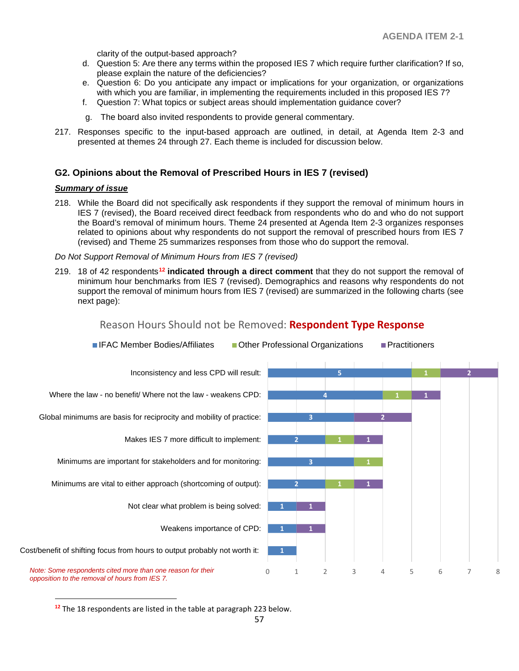clarity of the output-based approach?

- d. Question 5: Are there any terms within the proposed IES 7 which require further clarification? If so, please explain the nature of the deficiencies?
- e. Question 6: Do you anticipate any impact or implications for your organization, or organizations with which you are familiar, in implementing the requirements included in this proposed IES 7?
- f. Question 7: What topics or subject areas should implementation guidance cover?
- g. The board also invited respondents to provide general commentary.
- 217. Responses specific to the input-based approach are outlined, in detail, at Agenda Item 2-3 and presented at themes 24 through 27. Each theme is included for discussion below.

## **G2. Opinions about the Removal of Prescribed Hours in IES 7 (revised)**

#### *Summary of issue*

 $\overline{a}$ 

218. While the Board did not specifically ask respondents if they support the removal of minimum hours in IES 7 (revised), the Board received direct feedback from respondents who do and who do not support the Board's removal of minimum hours. Theme 24 presented at Agenda Item 2-3 organizes responses related to opinions about why respondents do not support the removal of prescribed hours from IES 7 (revised) and Theme 25 summarizes responses from those who do support the removal.

#### *Do Not Support Removal of Minimum Hours from IES 7 (revised)*

219. 18 of 42 respondents**[12](#page-56-0) indicated through a direct comment** that they do not support the removal of minimum hour benchmarks from IES 7 (revised). Demographics and reasons why respondents do not support the removal of minimum hours from IES 7 (revised) are summarized in the following charts (see next page):



## Reason Hours Should not be Removed: **Respondent Type Response**

<span id="page-56-0"></span>**<sup>12</sup>** The 18 respondents are listed in the table at paragraph 223 below.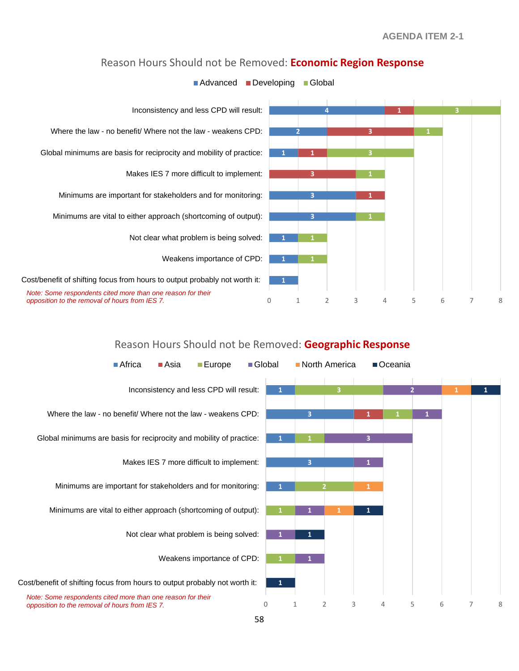



# **Advanced Developing Global**

## Reason Hours Should not be Removed: **Geographic Response**

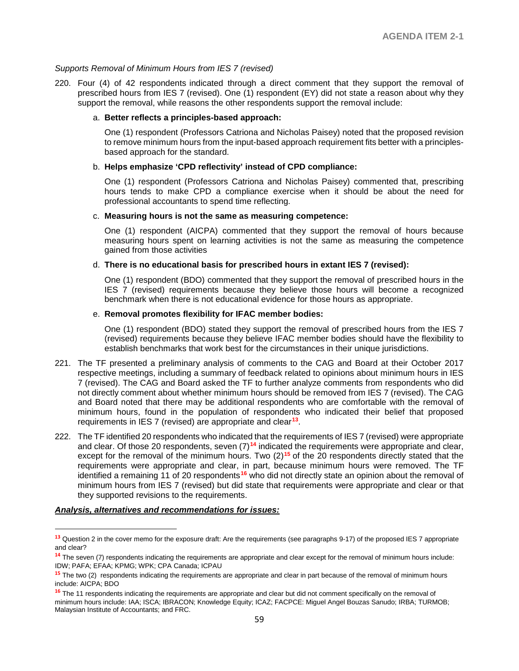#### *Supports Removal of Minimum Hours from IES 7 (revised)*

220. Four (4) of 42 respondents indicated through a direct comment that they support the removal of prescribed hours from IES 7 (revised). One (1) respondent (EY) did not state a reason about why they support the removal, while reasons the other respondents support the removal include:

#### a. **Better reflects a principles-based approach:**

One (1) respondent (Professors Catriona and Nicholas Paisey) noted that the proposed revision to remove minimum hours from the input-based approach requirement fits better with a principlesbased approach for the standard.

#### b. **Helps emphasize 'CPD reflectivity' instead of CPD compliance:**

One (1) respondent (Professors Catriona and Nicholas Paisey) commented that, prescribing hours tends to make CPD a compliance exercise when it should be about the need for professional accountants to spend time reflecting.

#### c. **Measuring hours is not the same as measuring competence:**

One (1) respondent (AICPA) commented that they support the removal of hours because measuring hours spent on learning activities is not the same as measuring the competence gained from those activities

#### d. **There is no educational basis for prescribed hours in extant IES 7 (revised):**

One (1) respondent (BDO) commented that they support the removal of prescribed hours in the IES 7 (revised) requirements because they believe those hours will become a recognized benchmark when there is not educational evidence for those hours as appropriate.

#### e. **Removal promotes flexibility for IFAC member bodies:**

One (1) respondent (BDO) stated they support the removal of prescribed hours from the IES 7 (revised) requirements because they believe IFAC member bodies should have the flexibility to establish benchmarks that work best for the circumstances in their unique jurisdictions.

- 221. The TF presented a preliminary analysis of comments to the CAG and Board at their October 2017 respective meetings, including a summary of feedback related to opinions about minimum hours in IES 7 (revised). The CAG and Board asked the TF to further analyze comments from respondents who did not directly comment about whether minimum hours should be removed from IES 7 (revised). The CAG and Board noted that there may be additional respondents who are comfortable with the removal of minimum hours, found in the population of respondents who indicated their belief that proposed requirements in IES 7 (revised) are appropriate and clear**[13](#page-58-0)**.
- 222. The TF identified 20 respondents who indicated that the requirements of IES 7 (revised) were appropriate and clear. Of those 20 respondents, seven (7)**[14](#page-58-1)** indicated the requirements were appropriate and clear, except for the removal of the minimum hours. Two (2)<sup>[15](#page-58-2)</sup> of the 20 respondents directly stated that the requirements were appropriate and clear, in part, because minimum hours were removed. The TF identified a remaining 11 of 20 respondents**[16](#page-58-3)** who did not directly state an opinion about the removal of minimum hours from IES 7 (revised) but did state that requirements were appropriate and clear or that they supported revisions to the requirements.

#### *Analysis, alternatives and recommendations for issues:*

 $\overline{a}$ 

<span id="page-58-0"></span>**<sup>13</sup>** Question 2 in the cover memo for the exposure draft: Are the requirements (see paragraphs 9-17) of the proposed IES 7 appropriate and clear?

<span id="page-58-1"></span>**<sup>14</sup>** The seven (7) respondents indicating the requirements are appropriate and clear except for the removal of minimum hours include: IDW; PAFA; EFAA; KPMG; WPK; CPA Canada; ICPAU

<span id="page-58-2"></span>**<sup>15</sup>** The two (2) respondents indicating the requirements are appropriate and clear in part because of the removal of minimum hours include: AICPA; BDO

<span id="page-58-3"></span>**<sup>16</sup>** The 11 respondents indicating the requirements are appropriate and clear but did not comment specifically on the removal of minimum hours include: IAA; ISCA; IBRACON; Knowledge Equity; ICAZ; FACPCE: Miguel Angel Bouzas Sanudo; IRBA; TURMOB; Malaysian Institute of Accountants; and FRC.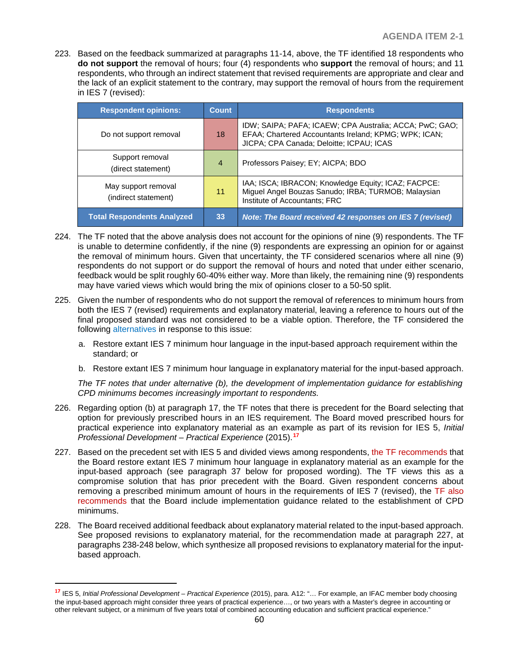223. Based on the feedback summarized at paragraphs 11-14, above, the TF identified 18 respondents who **do not support** the removal of hours; four (4) respondents who **support** the removal of hours; and 11 respondents, who through an indirect statement that revised requirements are appropriate and clear and the lack of an explicit statement to the contrary, may support the removal of hours from the requirement in IES 7 (revised):

| <b>Respondent opinions:</b>                 | Count          | <b>Respondents</b>                                                                                                                                           |
|---------------------------------------------|----------------|--------------------------------------------------------------------------------------------------------------------------------------------------------------|
| Do not support removal                      | 18             | IDW; SAIPA; PAFA; ICAEW; CPA Australia; ACCA; PwC; GAO;<br>EFAA; Chartered Accountants Ireland; KPMG; WPK; ICAN;<br>JICPA; CPA Canada; Deloitte; ICPAU; ICAS |
| Support removal<br>(direct statement)       | $\overline{4}$ | Professors Paisey; EY; AICPA; BDO                                                                                                                            |
| May support removal<br>(indirect statement) | 11             | IAA; ISCA; IBRACON; Knowledge Equity; ICAZ; FACPCE:<br>Miguel Angel Bouzas Sanudo; IRBA; TURMOB; Malaysian<br>Institute of Accountants; FRC                  |
| <b>Total Respondents Analyzed</b>           | 33             | Note: The Board received 42 responses on IES 7 (revised)                                                                                                     |

- 224. The TF noted that the above analysis does not account for the opinions of nine (9) respondents. The TF is unable to determine confidently, if the nine (9) respondents are expressing an opinion for or against the removal of minimum hours. Given that uncertainty, the TF considered scenarios where all nine (9) respondents do not support or do support the removal of hours and noted that under either scenario, feedback would be split roughly 60-40% either way. More than likely, the remaining nine (9) respondents may have varied views which would bring the mix of opinions closer to a 50-50 split.
- 225. Given the number of respondents who do not support the removal of references to minimum hours from both the IES 7 (revised) requirements and explanatory material, leaving a reference to hours out of the final proposed standard was not considered to be a viable option. Therefore, the TF considered the following alternatives in response to this issue:
	- a. Restore extant IES 7 minimum hour language in the input-based approach requirement within the standard; or
	- b. Restore extant IES 7 minimum hour language in explanatory material for the input-based approach.

*The TF notes that under alternative (b), the development of implementation guidance for establishing CPD minimums becomes increasingly important to respondents.*

- 226. Regarding option (b) at paragraph 17, the TF notes that there is precedent for the Board selecting that option for previously prescribed hours in an IES requirement. The Board moved prescribed hours for practical experience into explanatory material as an example as part of its revision for IES 5, *Initial Professional Development – Practical Experience* (2015).**[17](#page-59-0)**
- 227. Based on the precedent set with IES 5 and divided views among respondents, the TF recommends that the Board restore extant IES 7 minimum hour language in explanatory material as an example for the input-based approach (see paragraph 37 below for proposed wording). The TF views this as a compromise solution that has prior precedent with the Board. Given respondent concerns about removing a prescribed minimum amount of hours in the requirements of IES 7 (revised), the TF also recommends that the Board include implementation guidance related to the establishment of CPD minimums.
- 228. The Board received additional feedback about explanatory material related to the input-based approach. See proposed revisions to explanatory material, for the recommendation made at paragraph 227, at paragraphs 238-248 below, which synthesize all proposed revisions to explanatory material for the inputbased approach.

 $\overline{a}$ 

<span id="page-59-0"></span>**<sup>17</sup>** IES 5, *Initial Professional Development – Practical Experience* (2015), para. A12: "… For example, an IFAC member body choosing the input-based approach might consider three years of practical experience…, or two years with a Master's degree in accounting or other relevant subject, or a minimum of five years total of combined accounting education and sufficient practical experience."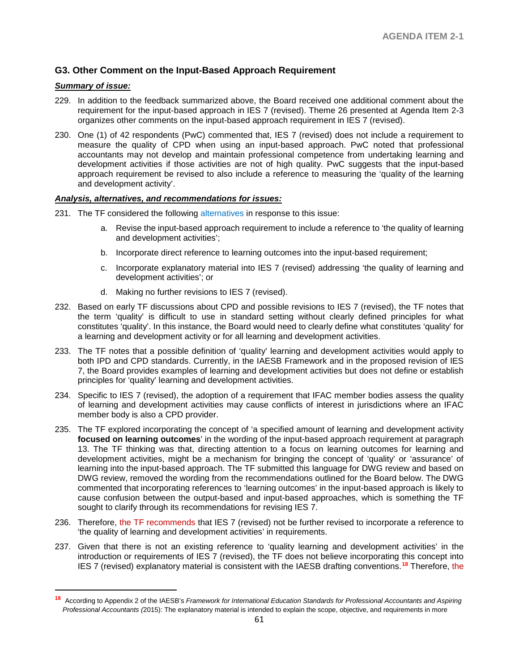## **G3. Other Comment on the Input-Based Approach Requirement**

#### *Summary of issue:*

 $\overline{a}$ 

- 229. In addition to the feedback summarized above, the Board received one additional comment about the requirement for the input-based approach in IES 7 (revised). Theme 26 presented at Agenda Item 2-3 organizes other comments on the input-based approach requirement in IES 7 (revised).
- 230. One (1) of 42 respondents (PwC) commented that, IES 7 (revised) does not include a requirement to measure the quality of CPD when using an input-based approach. PwC noted that professional accountants may not develop and maintain professional competence from undertaking learning and development activities if those activities are not of high quality. PwC suggests that the input-based approach requirement be revised to also include a reference to measuring the 'quality of the learning and development activity'.

#### *Analysis, alternatives, and recommendations for issues:*

- 231. The TF considered the following alternatives in response to this issue:
	- a. Revise the input-based approach requirement to include a reference to 'the quality of learning and development activities';
	- b. Incorporate direct reference to learning outcomes into the input-based requirement;
	- c. Incorporate explanatory material into IES 7 (revised) addressing 'the quality of learning and development activities'; or
	- d. Making no further revisions to IES 7 (revised).
- 232. Based on early TF discussions about CPD and possible revisions to IES 7 (revised), the TF notes that the term 'quality' is difficult to use in standard setting without clearly defined principles for what constitutes 'quality'. In this instance, the Board would need to clearly define what constitutes 'quality' for a learning and development activity or for all learning and development activities.
- 233. The TF notes that a possible definition of 'quality' learning and development activities would apply to both IPD and CPD standards. Currently, in the IAESB Framework and in the proposed revision of IES 7, the Board provides examples of learning and development activities but does not define or establish principles for 'quality' learning and development activities.
- 234. Specific to IES 7 (revised), the adoption of a requirement that IFAC member bodies assess the quality of learning and development activities may cause conflicts of interest in jurisdictions where an IFAC member body is also a CPD provider.
- 235. The TF explored incorporating the concept of 'a specified amount of learning and development activity **focused on learning outcomes**' in the wording of the input-based approach requirement at paragraph 13. The TF thinking was that, directing attention to a focus on learning outcomes for learning and development activities, might be a mechanism for bringing the concept of 'quality' or 'assurance' of learning into the input-based approach. The TF submitted this language for DWG review and based on DWG review, removed the wording from the recommendations outlined for the Board below. The DWG commented that incorporating references to 'learning outcomes' in the input-based approach is likely to cause confusion between the output-based and input-based approaches, which is something the TF sought to clarify through its recommendations for revising IES 7.
- 236. Therefore, the TF recommends that IES 7 (revised) not be further revised to incorporate a reference to 'the quality of learning and development activities' in requirements.
- 237. Given that there is not an existing reference to 'quality learning and development activities' in the introduction or requirements of IES 7 (revised), the TF does not believe incorporating this concept into IES 7 (revised) explanatory material is consistent with the IAESB drafting conventions.**[18](#page-60-0)** Therefore, the

<span id="page-60-0"></span>**<sup>18</sup>** According to Appendix 2 of the IAESB's *Framework for International Education Standards for Professional Accountants and Aspiring Professional Accountants (*2015): The explanatory material is intended to explain the scope, objective, and requirements in more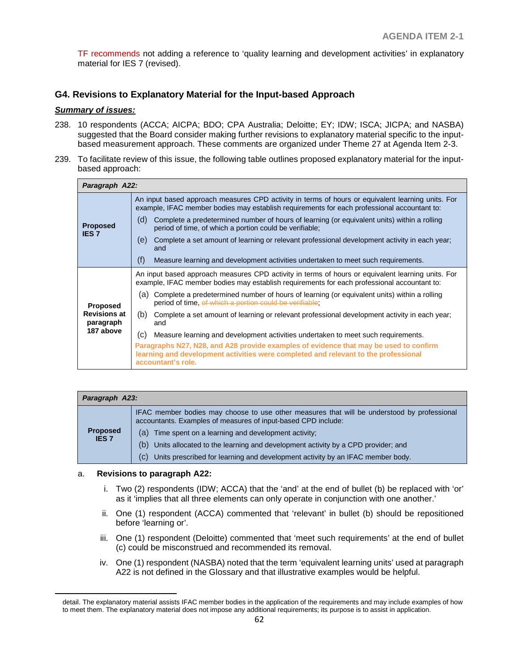TF recommends not adding a reference to 'quality learning and development activities' in explanatory material for IES 7 (revised).

## **G4. Revisions to Explanatory Material for the Input-based Approach**

#### *Summary of issues:*

- 238. 10 respondents (ACCA; AICPA; BDO; CPA Australia; Deloitte; EY; IDW; ISCA; JICPA; and NASBA) suggested that the Board consider making further revisions to explanatory material specific to the inputbased measurement approach. These comments are organized under Theme 27 at Agenda Item 2-3.
- 239. To facilitate review of this issue, the following table outlines proposed explanatory material for the inputbased approach:

| Paragraph A22:                                |                                                                                                                                                                                                    |  |  |  |
|-----------------------------------------------|----------------------------------------------------------------------------------------------------------------------------------------------------------------------------------------------------|--|--|--|
| <b>Proposed</b><br><b>IES 7</b>               | An input based approach measures CPD activity in terms of hours or equivalent learning units. For<br>example, IFAC member bodies may establish requirements for each professional accountant to:   |  |  |  |
|                                               | (d)<br>Complete a predetermined number of hours of learning (or equivalent units) within a rolling<br>period of time, of which a portion could be verifiable;                                      |  |  |  |
|                                               | Complete a set amount of learning or relevant professional development activity in each year;<br>(e)<br>and                                                                                        |  |  |  |
|                                               | (f)<br>Measure learning and development activities undertaken to meet such requirements.                                                                                                           |  |  |  |
|                                               | An input based approach measures CPD activity in terms of hours or equivalent learning units. For<br>example, IFAC member bodies may establish requirements for each professional accountant to:   |  |  |  |
| <b>Proposed</b>                               | Complete a predetermined number of hours of learning (or equivalent units) within a rolling<br>(a)<br>period of time, of which a portion could be verifiable;                                      |  |  |  |
| <b>Revisions at</b><br>paragraph<br>187 above | (b)<br>Complete a set amount of learning or relevant professional development activity in each year;<br>and                                                                                        |  |  |  |
|                                               | (C)<br>Measure learning and development activities undertaken to meet such requirements.                                                                                                           |  |  |  |
|                                               | Paragraphs N27, N28, and A28 provide examples of evidence that may be used to confirm<br>learning and development activities were completed and relevant to the professional<br>accountant's role. |  |  |  |

| Paragraph A23:                  |                                                                                                                                                              |  |
|---------------------------------|--------------------------------------------------------------------------------------------------------------------------------------------------------------|--|
|                                 | IFAC member bodies may choose to use other measures that will be understood by professional<br>accountants. Examples of measures of input-based CPD include: |  |
| <b>Proposed</b><br><b>IES 7</b> | Time spent on a learning and development activity;<br>(a)                                                                                                    |  |
|                                 | (b)<br>Units allocated to the learning and development activity by a CPD provider; and                                                                       |  |
|                                 | Units prescribed for learning and development activity by an IFAC member body.<br>(C)                                                                        |  |

#### a. **Revisions to paragraph A22:**

 $\overline{a}$ 

- i. Two (2) respondents (IDW; ACCA) that the 'and' at the end of bullet (b) be replaced with 'or' as it 'implies that all three elements can only operate in conjunction with one another.'
- ii. One (1) respondent (ACCA) commented that 'relevant' in bullet (b) should be repositioned before 'learning or'.
- iii. One (1) respondent (Deloitte) commented that 'meet such requirements' at the end of bullet (c) could be misconstrued and recommended its removal.
- iv. One (1) respondent (NASBA) noted that the term 'equivalent learning units' used at paragraph A22 is not defined in the Glossary and that illustrative examples would be helpful.

detail. The explanatory material assists IFAC member bodies in the application of the requirements and may include examples of how to meet them. The explanatory material does not impose any additional requirements; its purpose is to assist in application.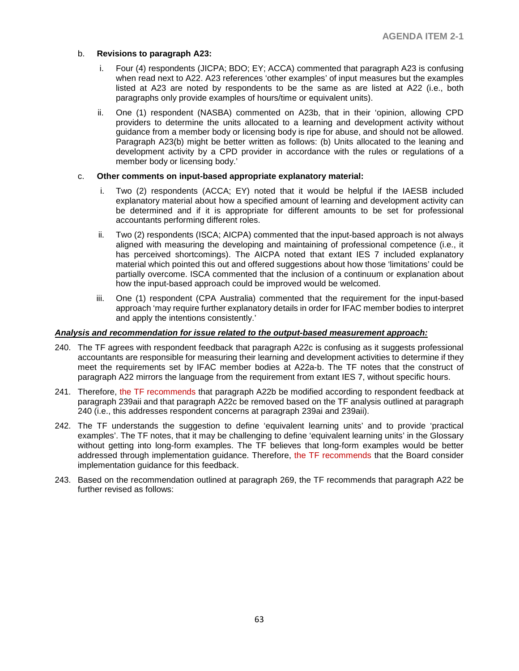#### b. **Revisions to paragraph A23:**

- i. Four (4) respondents (JICPA; BDO; EY; ACCA) commented that paragraph A23 is confusing when read next to A22. A23 references 'other examples' of input measures but the examples listed at A23 are noted by respondents to be the same as are listed at A22 (i.e., both paragraphs only provide examples of hours/time or equivalent units).
- ii. One (1) respondent (NASBA) commented on A23b, that in their 'opinion, allowing CPD providers to determine the units allocated to a learning and development activity without guidance from a member body or licensing body is ripe for abuse, and should not be allowed. Paragraph A23(b) might be better written as follows: (b) Units allocated to the leaning and development activity by a CPD provider in accordance with the rules or regulations of a member body or licensing body.'

#### c. **Other comments on input-based appropriate explanatory material:**

- i. Two (2) respondents (ACCA; EY) noted that it would be helpful if the IAESB included explanatory material about how a specified amount of learning and development activity can be determined and if it is appropriate for different amounts to be set for professional accountants performing different roles.
- ii. Two (2) respondents (ISCA; AICPA) commented that the input-based approach is not always aligned with measuring the developing and maintaining of professional competence (i.e., it has perceived shortcomings). The AICPA noted that extant IES 7 included explanatory material which pointed this out and offered suggestions about how those 'limitations' could be partially overcome. ISCA commented that the inclusion of a continuum or explanation about how the input-based approach could be improved would be welcomed.
- iii. One (1) respondent (CPA Australia) commented that the requirement for the input-based approach 'may require further explanatory details in order for IFAC member bodies to interpret and apply the intentions consistently.'

#### *Analysis and recommendation for issue related to the output-based measurement approach:*

- 240. The TF agrees with respondent feedback that paragraph A22c is confusing as it suggests professional accountants are responsible for measuring their learning and development activities to determine if they meet the requirements set by IFAC member bodies at A22a-b. The TF notes that the construct of paragraph A22 mirrors the language from the requirement from extant IES 7, without specific hours.
- 241. Therefore, the TF recommends that paragraph A22b be modified according to respondent feedback at paragraph 239aii and that paragraph A22c be removed based on the TF analysis outlined at paragraph 240 (i.e., this addresses respondent concerns at paragraph 239ai and 239aii).
- 242. The TF understands the suggestion to define 'equivalent learning units' and to provide 'practical examples'. The TF notes, that it may be challenging to define 'equivalent learning units' in the Glossary without getting into long-form examples. The TF believes that long-form examples would be better addressed through implementation guidance. Therefore, the TF recommends that the Board consider implementation guidance for this feedback.
- 243. Based on the recommendation outlined at paragraph 269, the TF recommends that paragraph A22 be further revised as follows: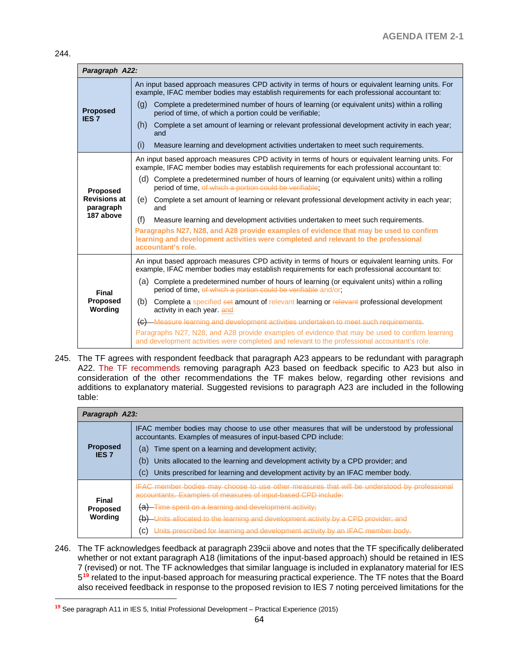$\overline{a}$ 

| Paragraph A22:                   |                                                                                                                                                                                                    |  |  |  |  |
|----------------------------------|----------------------------------------------------------------------------------------------------------------------------------------------------------------------------------------------------|--|--|--|--|
| <b>Proposed</b><br><b>IES7</b>   | An input based approach measures CPD activity in terms of hours or equivalent learning units. For<br>example, IFAC member bodies may establish requirements for each professional accountant to:   |  |  |  |  |
|                                  | Complete a predetermined number of hours of learning (or equivalent units) within a rolling<br>(q)<br>period of time, of which a portion could be verifiable;                                      |  |  |  |  |
|                                  | (h)<br>Complete a set amount of learning or relevant professional development activity in each year;<br>and                                                                                        |  |  |  |  |
|                                  | (i)<br>Measure learning and development activities undertaken to meet such requirements.                                                                                                           |  |  |  |  |
|                                  | An input based approach measures CPD activity in terms of hours or equivalent learning units. For<br>example, IFAC member bodies may establish requirements for each professional accountant to:   |  |  |  |  |
| Proposed                         | Complete a predetermined number of hours of learning (or equivalent units) within a rolling<br>(d)<br>period of time, of which a portion could be verifiable;                                      |  |  |  |  |
| <b>Revisions at</b><br>paragraph | Complete a set amount of learning or relevant professional development activity in each year;<br>(e)<br>and                                                                                        |  |  |  |  |
| 187 above                        | (f)<br>Measure learning and development activities undertaken to meet such requirements.                                                                                                           |  |  |  |  |
|                                  | Paragraphs N27, N28, and A28 provide examples of evidence that may be used to confirm<br>learning and development activities were completed and relevant to the professional<br>accountant's role. |  |  |  |  |
|                                  | An input based approach measures CPD activity in terms of hours or equivalent learning units. For<br>example, IFAC member bodies may establish requirements for each professional accountant to:   |  |  |  |  |
| Final                            | (a) Complete a predetermined number of hours of learning (or equivalent units) within a rolling<br>period of time, of which a portion could be verifiable and/or;                                  |  |  |  |  |
| Proposed<br>Wording              | Complete a specified set amount of relevant learning or relevant professional development<br>(b)<br>activity in each year. and                                                                     |  |  |  |  |
|                                  | (c) Measure learning and development activities undertaken to meet such requirements.                                                                                                              |  |  |  |  |
|                                  | Paragraphs N27, N28, and A28 provide examples of evidence that may be used to confirm learning<br>and development activities were completed and relevant to the professional accountant's role.    |  |  |  |  |

245. The TF agrees with respondent feedback that paragraph A23 appears to be redundant with paragraph A22. The TF recommends removing paragraph A23 based on feedback specific to A23 but also in consideration of the other recommendations the TF makes below, regarding other revisions and additions to explanatory material. Suggested revisions to paragraph A23 are included in the following table:

| Paragraph A23:                             |                                                                                                                                                              |  |
|--------------------------------------------|--------------------------------------------------------------------------------------------------------------------------------------------------------------|--|
| <b>Proposed</b><br><b>IES 7</b>            | IFAC member bodies may choose to use other measures that will be understood by professional<br>accountants. Examples of measures of input-based CPD include: |  |
|                                            | Time spent on a learning and development activity;<br>(a)                                                                                                    |  |
|                                            | Units allocated to the learning and development activity by a CPD provider; and<br>(b)                                                                       |  |
|                                            | Units prescribed for learning and development activity by an IFAC member body.<br>(C)                                                                        |  |
| <b>Final</b><br><b>Proposed</b><br>Wording | IFAC member bodies may choose to use other measures that will be understood by professional<br>accountants. Examples of measures of input-based CPD include: |  |
|                                            | -Time spent on a learning and development activity;                                                                                                          |  |
|                                            | (b)<br>-Units allocated to the learning and development activity by a CPD provider; and                                                                      |  |
|                                            | Units prescribed for learning and development activity by an IFAC member body.<br>(C)                                                                        |  |

246. The TF acknowledges feedback at paragraph 239cii above and notes that the TF specifically deliberated whether or not extant paragraph A18 (limitations of the input-based approach) should be retained in IES 7 (revised) or not. The TF acknowledges that similar language is included in explanatory material for IES 5**[19](#page-63-0)** related to the input-based approach for measuring practical experience. The TF notes that the Board also received feedback in response to the proposed revision to IES 7 noting perceived limitations for the

<span id="page-63-0"></span>**<sup>19</sup>** See paragraph A11 in IES 5, Initial Professional Development – Practical Experience (2015)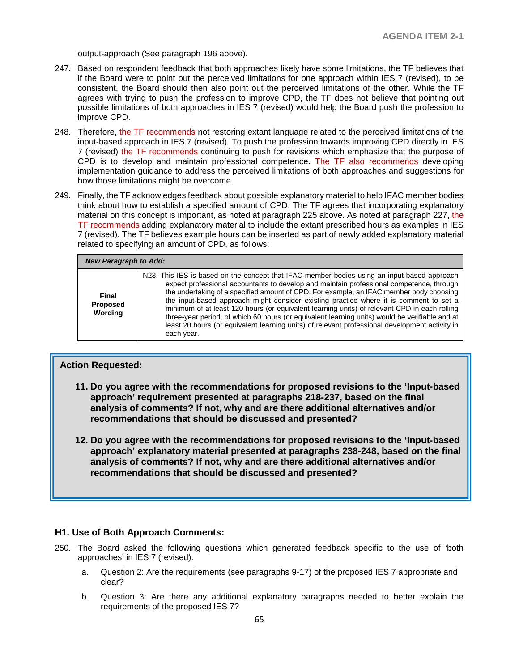output-approach (See paragraph 196 above).

- 247. Based on respondent feedback that both approaches likely have some limitations, the TF believes that if the Board were to point out the perceived limitations for one approach within IES 7 (revised), to be consistent, the Board should then also point out the perceived limitations of the other. While the TF agrees with trying to push the profession to improve CPD, the TF does not believe that pointing out possible limitations of both approaches in IES 7 (revised) would help the Board push the profession to improve CPD.
- 248. Therefore, the TF recommends not restoring extant language related to the perceived limitations of the input-based approach in IES 7 (revised). To push the profession towards improving CPD directly in IES 7 (revised) the TF recommends continuing to push for revisions which emphasize that the purpose of CPD is to develop and maintain professional competence. The TF also recommends developing implementation guidance to address the perceived limitations of both approaches and suggestions for how those limitations might be overcome.
- 249. Finally, the TF acknowledges feedback about possible explanatory material to help IFAC member bodies think about how to establish a specified amount of CPD. The TF agrees that incorporating explanatory material on this concept is important, as noted at paragraph 225 above. As noted at paragraph 227, the TF recommends adding explanatory material to include the extant prescribed hours as examples in IES 7 (revised). The TF believes example hours can be inserted as part of newly added explanatory material related to specifying an amount of CPD, as follows:

| <b>New Paragraph to Add:</b>               |                                                                                                                                                                                                                                                                                                                                                                                                                                                                                                                                                                                                                                                                                                |  |
|--------------------------------------------|------------------------------------------------------------------------------------------------------------------------------------------------------------------------------------------------------------------------------------------------------------------------------------------------------------------------------------------------------------------------------------------------------------------------------------------------------------------------------------------------------------------------------------------------------------------------------------------------------------------------------------------------------------------------------------------------|--|
| <b>Final</b><br><b>Proposed</b><br>Wording | N23. This IES is based on the concept that IFAC member bodies using an input-based approach<br>expect professional accountants to develop and maintain professional competence, through<br>the undertaking of a specified amount of CPD. For example, an IFAC member body choosing<br>the input-based approach might consider existing practice where it is comment to set a<br>minimum of at least 120 hours (or equivalent learning units) of relevant CPD in each rolling<br>three-year period, of which 60 hours (or equivalent learning units) would be verifiable and at<br>least 20 hours (or equivalent learning units) of relevant professional development activity in<br>each year. |  |

## **Action Requested:**

- **11. Do you agree with the recommendations for proposed revisions to the 'Input-based approach' requirement presented at paragraphs 218-237, based on the final analysis of comments? If not, why and are there additional alternatives and/or recommendations that should be discussed and presented?**
- **12. Do you agree with the recommendations for proposed revisions to the 'Input-based approach' explanatory material presented at paragraphs 238-248, based on the final analysis of comments? If not, why and are there additional alternatives and/or recommendations that should be discussed and presented?**

#### **H1. Use of Both Approach Comments:**

- 250. The Board asked the following questions which generated feedback specific to the use of 'both approaches' in IES 7 (revised):
	- a. Question 2: Are the requirements (see paragraphs 9-17) of the proposed IES 7 appropriate and clear?
	- b. Question 3: Are there any additional explanatory paragraphs needed to better explain the requirements of the proposed IES 7?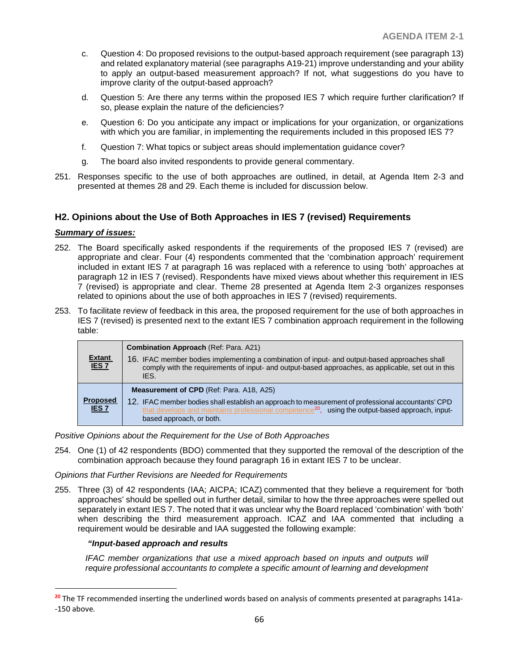- c. Question 4: Do proposed revisions to the output-based approach requirement (see paragraph 13) and related explanatory material (see paragraphs A19-21) improve understanding and your ability to apply an output-based measurement approach? If not, what suggestions do you have to improve clarity of the output-based approach?
- d. Question 5: Are there any terms within the proposed IES 7 which require further clarification? If so, please explain the nature of the deficiencies?
- e. Question 6: Do you anticipate any impact or implications for your organization, or organizations with which you are familiar, in implementing the requirements included in this proposed IES 7?
- f. Question 7: What topics or subject areas should implementation guidance cover?
- g. The board also invited respondents to provide general commentary.
- 251. Responses specific to the use of both approaches are outlined, in detail, at Agenda Item 2-3 and presented at themes 28 and 29. Each theme is included for discussion below.

## **H2. Opinions about the Use of Both Approaches in IES 7 (revised) Requirements**

### *Summary of issues:*

 $\overline{a}$ 

- 252. The Board specifically asked respondents if the requirements of the proposed IES 7 (revised) are appropriate and clear. Four (4) respondents commented that the 'combination approach' requirement included in extant IES 7 at paragraph 16 was replaced with a reference to using 'both' approaches at paragraph 12 in IES 7 (revised). Respondents have mixed views about whether this requirement in IES 7 (revised) is appropriate and clear. Theme 28 presented at Agenda Item 2-3 organizes responses related to opinions about the use of both approaches in IES 7 (revised) requirements.
- 253. To facilitate review of feedback in this area, the proposed requirement for the use of both approaches in IES 7 (revised) is presented next to the extant IES 7 combination approach requirement in the following table:

| <b>Extant</b><br>IES 7              | <b>Combination Approach (Ref: Para. A21)</b><br>16. IFAC member bodies implementing a combination of input- and output-based approaches shall<br>comply with the requirements of input- and output-based approaches, as applicable, set out in this<br>IES.                                      |  |
|-------------------------------------|--------------------------------------------------------------------------------------------------------------------------------------------------------------------------------------------------------------------------------------------------------------------------------------------------|--|
| <b>Proposed</b><br>IES <sub>7</sub> | <b>Measurement of CPD</b> (Ref: Para. A18, A25)<br>12. IFAC member bodies shall establish an approach to measurement of professional accountants' CPD<br>that develops and maintains professional competence <sup>20</sup> , using the output-based approach, input-<br>based approach, or both. |  |

*Positive Opinions about the Requirement for the Use of Both Approaches*

254. One (1) of 42 respondents (BDO) commented that they supported the removal of the description of the combination approach because they found paragraph 16 in extant IES 7 to be unclear.

*Opinions that Further Revisions are Needed for Requirements*

255. Three (3) of 42 respondents (IAA; AICPA; ICAZ) commented that they believe a requirement for 'both approaches' should be spelled out in further detail, similar to how the three approaches were spelled out separately in extant IES 7. The noted that it was unclear why the Board replaced 'combination' with 'both' when describing the third measurement approach. ICAZ and IAA commented that including a requirement would be desirable and IAA suggested the following example:

## *"Input-based approach and results*

*IFAC member organizations that use a mixed approach based on inputs and outputs will require professional accountants to complete a specific amount of learning and development* 

<span id="page-65-0"></span>**<sup>20</sup>** The TF recommended inserting the underlined words based on analysis of comments presented at paragraphs 141a- -150 above*.*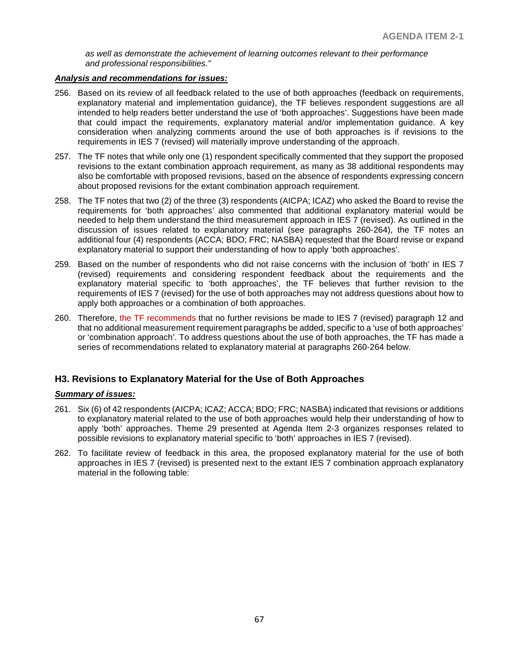*as well as demonstrate the achievement of learning outcomes relevant to their performance and professional responsibilities."*

#### *Analysis and recommendations for issues:*

- 256. Based on its review of all feedback related to the use of both approaches (feedback on requirements, explanatory material and implementation guidance), the TF believes respondent suggestions are all intended to help readers better understand the use of 'both approaches'. Suggestions have been made that could impact the requirements, explanatory material and/or implementation guidance. A key consideration when analyzing comments around the use of both approaches is if revisions to the requirements in IES 7 (revised) will materially improve understanding of the approach.
- 257. The TF notes that while only one (1) respondent specifically commented that they support the proposed revisions to the extant combination approach requirement, as many as 38 additional respondents may also be comfortable with proposed revisions, based on the absence of respondents expressing concern about proposed revisions for the extant combination approach requirement.
- 258. The TF notes that two (2) of the three (3) respondents (AICPA; ICAZ) who asked the Board to revise the requirements for 'both approaches' also commented that additional explanatory material would be needed to help them understand the third measurement approach in IES 7 (revised). As outlined in the discussion of issues related to explanatory material (see paragraphs 260-264), the TF notes an additional four (4) respondents (ACCA; BDO; FRC; NASBA) requested that the Board revise or expand explanatory material to support their understanding of how to apply 'both approaches'.
- 259. Based on the number of respondents who did not raise concerns with the inclusion of 'both' in IES 7 (revised) requirements and considering respondent feedback about the requirements and the explanatory material specific to 'both approaches', the TF believes that further revision to the requirements of IES 7 (revised) for the use of both approaches may not address questions about how to apply both approaches or a combination of both approaches.
- 260. Therefore, the TF recommends that no further revisions be made to IES 7 (revised) paragraph 12 and that no additional measurement requirement paragraphs be added, specific to a 'use of both approaches' or 'combination approach'. To address questions about the use of both approaches, the TF has made a series of recommendations related to explanatory material at paragraphs 260-264 below.

## **H3. Revisions to Explanatory Material for the Use of Both Approaches**

## *Summary of issues:*

- 261. Six (6) of 42 respondents (AICPA; ICAZ; ACCA; BDO; FRC; NASBA) indicated that revisions or additions to explanatory material related to the use of both approaches would help their understanding of how to apply 'both' approaches. Theme 29 presented at Agenda Item 2-3 organizes responses related to possible revisions to explanatory material specific to 'both' approaches in IES 7 (revised).
- 262. To facilitate review of feedback in this area, the proposed explanatory material for the use of both approaches in IES 7 (revised) is presented next to the extant IES 7 combination approach explanatory material in the following table: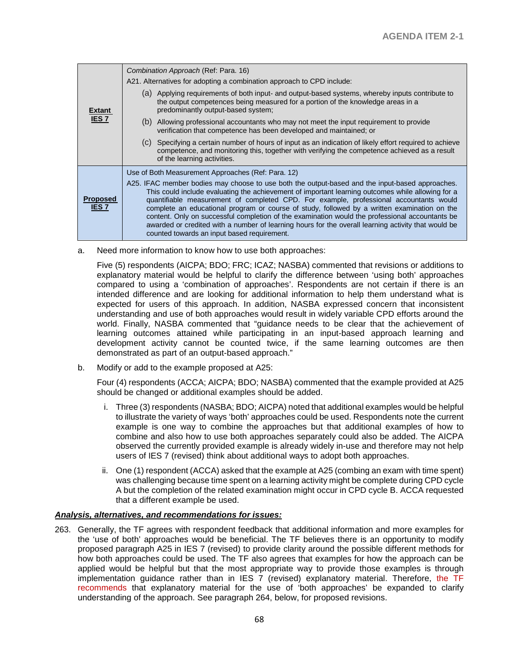|                                | Combination Approach (Ref: Para. 16)                                                                                                                                                                                                                                                                                                                                                                                                                                                                                                                                                                                                                    |  |  |
|--------------------------------|---------------------------------------------------------------------------------------------------------------------------------------------------------------------------------------------------------------------------------------------------------------------------------------------------------------------------------------------------------------------------------------------------------------------------------------------------------------------------------------------------------------------------------------------------------------------------------------------------------------------------------------------------------|--|--|
| <b>Extant</b><br><b>IES7</b>   | A21. Alternatives for adopting a combination approach to CPD include:                                                                                                                                                                                                                                                                                                                                                                                                                                                                                                                                                                                   |  |  |
|                                | (a) Applying requirements of both input- and output-based systems, whereby inputs contribute to<br>the output competences being measured for a portion of the knowledge areas in a<br>predominantly output-based system;                                                                                                                                                                                                                                                                                                                                                                                                                                |  |  |
|                                | (b) Allowing professional accountants who may not meet the input requirement to provide<br>verification that competence has been developed and maintained; or                                                                                                                                                                                                                                                                                                                                                                                                                                                                                           |  |  |
|                                | (c) Specifying a certain number of hours of input as an indication of likely effort required to achieve<br>competence, and monitoring this, together with verifying the competence achieved as a result<br>of the learning activities.                                                                                                                                                                                                                                                                                                                                                                                                                  |  |  |
|                                | Use of Both Measurement Approaches (Ref: Para. 12)                                                                                                                                                                                                                                                                                                                                                                                                                                                                                                                                                                                                      |  |  |
| <b>Proposed</b><br><b>IES7</b> | A25. IFAC member bodies may choose to use both the output-based and the input-based approaches.<br>This could include evaluating the achievement of important learning outcomes while allowing for a<br>quantifiable measurement of completed CPD. For example, professional accountants would<br>complete an educational program or course of study, followed by a written examination on the<br>content. Only on successful completion of the examination would the professional accountants be<br>awarded or credited with a number of learning hours for the overall learning activity that would be<br>counted towards an input based requirement. |  |  |

a. Need more information to know how to use both approaches:

Five (5) respondents (AICPA; BDO; FRC; ICAZ; NASBA) commented that revisions or additions to explanatory material would be helpful to clarify the difference between 'using both' approaches compared to using a 'combination of approaches'. Respondents are not certain if there is an intended difference and are looking for additional information to help them understand what is expected for users of this approach. In addition, NASBA expressed concern that inconsistent understanding and use of both approaches would result in widely variable CPD efforts around the world. Finally, NASBA commented that "guidance needs to be clear that the achievement of learning outcomes attained while participating in an input-based approach learning and development activity cannot be counted twice, if the same learning outcomes are then demonstrated as part of an output-based approach."

b. Modify or add to the example proposed at A25:

Four (4) respondents (ACCA; AICPA; BDO; NASBA) commented that the example provided at A25 should be changed or additional examples should be added.

- i. Three (3) respondents (NASBA; BDO; AICPA) noted that additional examples would be helpful to illustrate the variety of ways 'both' approaches could be used. Respondents note the current example is one way to combine the approaches but that additional examples of how to combine and also how to use both approaches separately could also be added. The AICPA observed the currently provided example is already widely in-use and therefore may not help users of IES 7 (revised) think about additional ways to adopt both approaches.
- ii. One (1) respondent (ACCA) asked that the example at A25 (combing an exam with time spent) was challenging because time spent on a learning activity might be complete during CPD cycle A but the completion of the related examination might occur in CPD cycle B. ACCA requested that a different example be used.

#### *Analysis, alternatives, and recommendations for issues:*

263. Generally, the TF agrees with respondent feedback that additional information and more examples for the 'use of both' approaches would be beneficial. The TF believes there is an opportunity to modify proposed paragraph A25 in IES 7 (revised) to provide clarity around the possible different methods for how both approaches could be used. The TF also agrees that examples for how the approach can be applied would be helpful but that the most appropriate way to provide those examples is through implementation guidance rather than in IES  $\overline{7}$  (revised) explanatory material. Therefore, the TF recommends that explanatory material for the use of 'both approaches' be expanded to clarify understanding of the approach. See paragraph 264, below, for proposed revisions.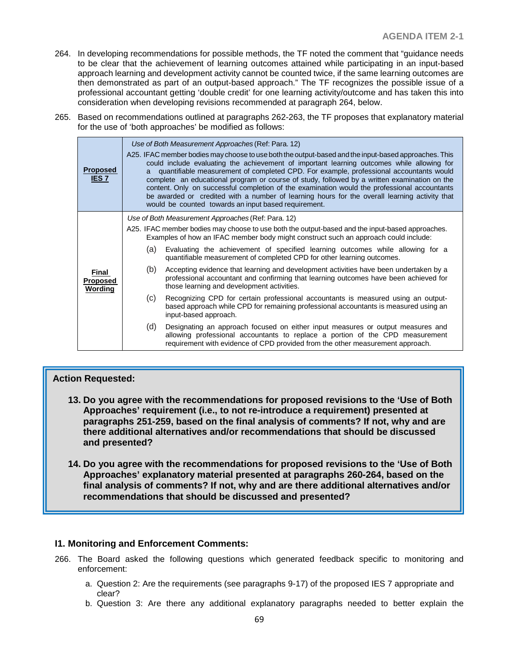- 264. In developing recommendations for possible methods, the TF noted the comment that "guidance needs to be clear that the achievement of learning outcomes attained while participating in an input-based approach learning and development activity cannot be counted twice, if the same learning outcomes are then demonstrated as part of an output-based approach." The TF recognizes the possible issue of a professional accountant getting 'double credit' for one learning activity/outcome and has taken this into consideration when developing revisions recommended at paragraph 264, below.
- 265. Based on recommendations outlined at paragraphs 262-263, the TF proposes that explanatory material for the use of 'both approaches' be modified as follows:

| <b>Proposed</b><br><b>IES7</b>      | Use of Both Measurement Approaches (Ref: Para. 12)<br>A25. IFAC member bodies may choose to use both the output-based and the input-based approaches. This<br>could include evaluating the achievement of important learning outcomes while allowing for<br>quantifiable measurement of completed CPD. For example, professional accountants would<br>a<br>complete an educational program or course of study, followed by a written examination on the<br>content. Only on successful completion of the examination would the professional accountants<br>be awarded or credited with a number of learning hours for the overall learning activity that<br>would be counted towards an input based requirement. |  |  |
|-------------------------------------|------------------------------------------------------------------------------------------------------------------------------------------------------------------------------------------------------------------------------------------------------------------------------------------------------------------------------------------------------------------------------------------------------------------------------------------------------------------------------------------------------------------------------------------------------------------------------------------------------------------------------------------------------------------------------------------------------------------|--|--|
|                                     | Use of Both Measurement Approaches (Ref: Para. 12)                                                                                                                                                                                                                                                                                                                                                                                                                                                                                                                                                                                                                                                               |  |  |
| Final<br><b>Proposed</b><br>Wording | A25. IFAC member bodies may choose to use both the output-based and the input-based approaches.<br>Examples of how an IFAC member body might construct such an approach could include:                                                                                                                                                                                                                                                                                                                                                                                                                                                                                                                           |  |  |
|                                     | Evaluating the achievement of specified learning outcomes while allowing for a<br>(a)<br>quantifiable measurement of completed CPD for other learning outcomes.                                                                                                                                                                                                                                                                                                                                                                                                                                                                                                                                                  |  |  |
|                                     | (b)<br>Accepting evidence that learning and development activities have been undertaken by a<br>professional accountant and confirming that learning outcomes have been achieved for<br>those learning and development activities.                                                                                                                                                                                                                                                                                                                                                                                                                                                                               |  |  |
|                                     | (C)<br>Recognizing CPD for certain professional accountants is measured using an output-<br>based approach while CPD for remaining professional accountants is measured using an<br>input-based approach.                                                                                                                                                                                                                                                                                                                                                                                                                                                                                                        |  |  |
|                                     | (d)<br>Designating an approach focused on either input measures or output measures and<br>allowing professional accountants to replace a portion of the CPD measurement<br>requirement with evidence of CPD provided from the other measurement approach.                                                                                                                                                                                                                                                                                                                                                                                                                                                        |  |  |
|                                     |                                                                                                                                                                                                                                                                                                                                                                                                                                                                                                                                                                                                                                                                                                                  |  |  |

## **Action Requested:**

- **13. Do you agree with the recommendations for proposed revisions to the 'Use of Both Approaches' requirement (i.e., to not re-introduce a requirement) presented at paragraphs 251-259, based on the final analysis of comments? If not, why and are there additional alternatives and/or recommendations that should be discussed and presented?**
- **14. Do you agree with the recommendations for proposed revisions to the 'Use of Both Approaches' explanatory material presented at paragraphs 260-264, based on the final analysis of comments? If not, why and are there additional alternatives and/or recommendations that should be discussed and presented?**

## **I1. Monitoring and Enforcement Comments:**

- 266. The Board asked the following questions which generated feedback specific to monitoring and enforcement:
	- a. Question 2: Are the requirements (see paragraphs 9-17) of the proposed IES 7 appropriate and clear?
	- b. Question 3: Are there any additional explanatory paragraphs needed to better explain the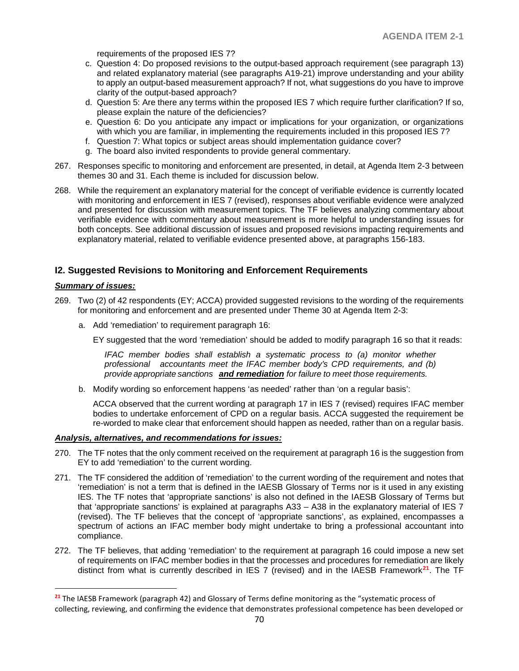requirements of the proposed IES 7?

- c. Question 4: Do proposed revisions to the output-based approach requirement (see paragraph 13) and related explanatory material (see paragraphs A19-21) improve understanding and your ability to apply an output-based measurement approach? If not, what suggestions do you have to improve clarity of the output-based approach?
- d. Question 5: Are there any terms within the proposed IES 7 which require further clarification? If so, please explain the nature of the deficiencies?
- e. Question 6: Do you anticipate any impact or implications for your organization, or organizations with which you are familiar, in implementing the requirements included in this proposed IES 7?
- f. Question 7: What topics or subject areas should implementation guidance cover?
- g. The board also invited respondents to provide general commentary.
- 267. Responses specific to monitoring and enforcement are presented, in detail, at Agenda Item 2-3 between themes 30 and 31. Each theme is included for discussion below.
- 268. While the requirement an explanatory material for the concept of verifiable evidence is currently located with monitoring and enforcement in IES 7 (revised), responses about verifiable evidence were analyzed and presented for discussion with measurement topics. The TF believes analyzing commentary about verifiable evidence with commentary about measurement is more helpful to understanding issues for both concepts. See additional discussion of issues and proposed revisions impacting requirements and explanatory material, related to verifiable evidence presented above, at paragraphs 156-183.

## **I2. Suggested Revisions to Monitoring and Enforcement Requirements**

#### *Summary of issues:*

 $\overline{a}$ 

- 269. Two (2) of 42 respondents (EY; ACCA) provided suggested revisions to the wording of the requirements for monitoring and enforcement and are presented under Theme 30 at Agenda Item 2-3:
	- a. Add 'remediation' to requirement paragraph 16:

EY suggested that the word 'remediation' should be added to modify paragraph 16 so that it reads:

*IFAC member bodies shall establish a systematic process to (a) monitor whether professional accountants meet the IFAC member body's CPD requirements, and (b) provide appropriate sanctions and remediation for failure to meet those requirements.*

b. Modify wording so enforcement happens 'as needed' rather than 'on a regular basis':

ACCA observed that the current wording at paragraph 17 in IES 7 (revised) requires IFAC member bodies to undertake enforcement of CPD on a regular basis. ACCA suggested the requirement be re-worded to make clear that enforcement should happen as needed, rather than on a regular basis.

#### *Analysis, alternatives, and recommendations for issues:*

- 270. The TF notes that the only comment received on the requirement at paragraph 16 is the suggestion from EY to add 'remediation' to the current wording.
- 271. The TF considered the addition of 'remediation' to the current wording of the requirement and notes that 'remediation' is not a term that is defined in the IAESB Glossary of Terms nor is it used in any existing IES. The TF notes that 'appropriate sanctions' is also not defined in the IAESB Glossary of Terms but that 'appropriate sanctions' is explained at paragraphs A33 – A38 in the explanatory material of IES 7 (revised). The TF believes that the concept of 'appropriate sanctions', as explained, encompasses a spectrum of actions an IFAC member body might undertake to bring a professional accountant into compliance.
- 272. The TF believes, that adding 'remediation' to the requirement at paragraph 16 could impose a new set of requirements on IFAC member bodies in that the processes and procedures for remediation are likely distinct from what is currently described in IES 7 (revised) and in the IAESB Framework**[21](#page-69-0)**. The TF

<span id="page-69-0"></span>**<sup>21</sup>** The IAESB Framework (paragraph 42) and Glossary of Terms define monitoring as the "systematic process of collecting, reviewing, and confirming the evidence that demonstrates professional competence has been developed or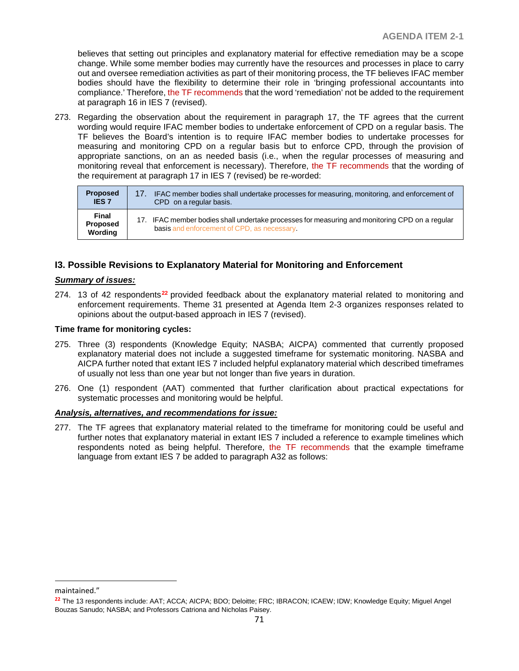believes that setting out principles and explanatory material for effective remediation may be a scope change. While some member bodies may currently have the resources and processes in place to carry out and oversee remediation activities as part of their monitoring process, the TF believes IFAC member bodies should have the flexibility to determine their role in 'bringing professional accountants into compliance.' Therefore, the TF recommends that the word 'remediation' not be added to the requirement at paragraph 16 in IES 7 (revised).

273. Regarding the observation about the requirement in paragraph 17, the TF agrees that the current wording would require IFAC member bodies to undertake enforcement of CPD on a regular basis. The TF believes the Board's intention is to require IFAC member bodies to undertake processes for measuring and monitoring CPD on a regular basis but to enforce CPD, through the provision of appropriate sanctions, on an as needed basis (i.e., when the regular processes of measuring and monitoring reveal that enforcement is necessary). Therefore, the TF recommends that the wording of the requirement at paragraph 17 in IES 7 (revised) be re-worded:

| <b>Proposed</b>              | IFAC member bodies shall undertake processes for measuring, monitoring, and enforcement of                                                   |  |
|------------------------------|----------------------------------------------------------------------------------------------------------------------------------------------|--|
| <b>IES 7</b>                 | CPD on a regular basis.                                                                                                                      |  |
| Final<br>Proposed<br>Wording | 17. IFAC member bodies shall undertake processes for measuring and monitoring CPD on a regular<br>basis and enforcement of CPD, as necessary |  |

## **I3. Possible Revisions to Explanatory Material for Monitoring and Enforcement**

### *Summary of issues:*

274. 13 of 42 respondents**[22](#page-70-0)** provided feedback about the explanatory material related to monitoring and enforcement requirements. Theme 31 presented at Agenda Item 2-3 organizes responses related to opinions about the output-based approach in IES 7 (revised).

### **Time frame for monitoring cycles:**

- 275. Three (3) respondents (Knowledge Equity; NASBA; AICPA) commented that currently proposed explanatory material does not include a suggested timeframe for systematic monitoring. NASBA and AICPA further noted that extant IES 7 included helpful explanatory material which described timeframes of usually not less than one year but not longer than five years in duration.
- 276. One (1) respondent (AAT) commented that further clarification about practical expectations for systematic processes and monitoring would be helpful.

#### *Analysis, alternatives, and recommendations for issue:*

277. The TF agrees that explanatory material related to the timeframe for monitoring could be useful and further notes that explanatory material in extant IES 7 included a reference to example timelines which respondents noted as being helpful. Therefore, the TF recommends that the example timeframe language from extant IES 7 be added to paragraph A32 as follows:

 $\overline{a}$ 

maintained."

<span id="page-70-0"></span>**<sup>22</sup>** The 13 respondents include: AAT; ACCA; AICPA; BDO; Deloitte; FRC; IBRACON; ICAEW; IDW; Knowledge Equity; Miguel Angel Bouzas Sanudo; NASBA; and Professors Catriona and Nicholas Paisey.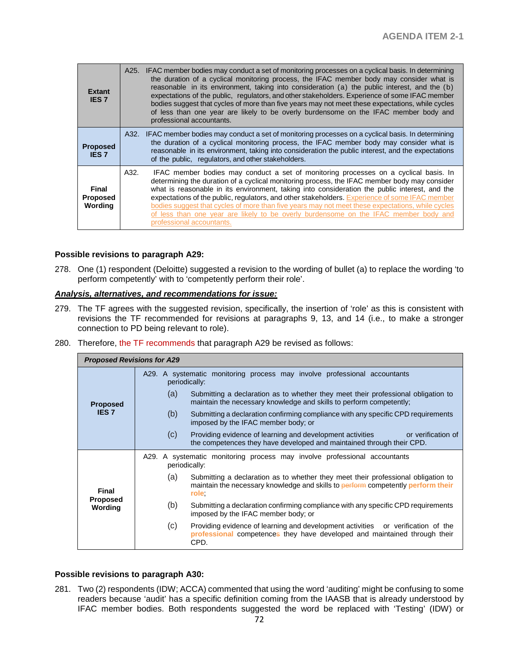| <b>Extant</b><br><b>IES 7</b>       | A25. | IFAC member bodies may conduct a set of monitoring processes on a cyclical basis. In determining<br>the duration of a cyclical monitoring process, the IFAC member body may consider what is<br>reasonable in its environment, taking into consideration (a) the public interest, and the (b)<br>expectations of the public, regulators, and other stakeholders. Experience of some IFAC member<br>bodies suggest that cycles of more than five years may not meet these expectations, while cycles<br>of less than one year are likely to be overly burdensome on the IFAC member body and<br>professional accountants. |
|-------------------------------------|------|--------------------------------------------------------------------------------------------------------------------------------------------------------------------------------------------------------------------------------------------------------------------------------------------------------------------------------------------------------------------------------------------------------------------------------------------------------------------------------------------------------------------------------------------------------------------------------------------------------------------------|
| <b>Proposed</b><br><b>IES 7</b>     | A32. | IFAC member bodies may conduct a set of monitoring processes on a cyclical basis. In determining<br>the duration of a cyclical monitoring process, the IFAC member body may consider what is<br>reasonable in its environment, taking into consideration the public interest, and the expectations<br>of the public, regulators, and other stakeholders.                                                                                                                                                                                                                                                                 |
| Final<br><b>Proposed</b><br>Wording | A32. | IFAC member bodies may conduct a set of monitoring processes on a cyclical basis. In<br>determining the duration of a cyclical monitoring process, the IFAC member body may consider<br>what is reasonable in its environment, taking into consideration the public interest, and the<br>expectations of the public, regulators, and other stakeholders. Experience of some IFAC member<br>bodies suggest that cycles of more than five years may not meet these expectations, while cycles<br>of less than one year are likely to be overly burdensome on the IFAC member body and<br>professional accountants.         |

#### **Possible revisions to paragraph A29:**

278. One (1) respondent (Deloitte) suggested a revision to the wording of bullet (a) to replace the wording 'to perform competently' with to 'competently perform their role'.

### *Analysis, alternatives, and recommendations for issue:*

- 279. The TF agrees with the suggested revision, specifically, the insertion of 'role' as this is consistent with revisions the TF recommended for revisions at paragraphs 9, 13, and 14 (i.e., to make a stronger connection to PD being relevant to role).
- 280. Therefore, the TF recommends that paragraph A29 be revised as follows:

| <b>Proposed Revisions for A29</b> |     |                                                                                                                                                                                |
|-----------------------------------|-----|--------------------------------------------------------------------------------------------------------------------------------------------------------------------------------|
|                                   |     | A29. A systematic monitoring process may involve professional accountants<br>periodically:                                                                                     |
| <b>Proposed</b>                   | (a) | Submitting a declaration as to whether they meet their professional obligation to<br>maintain the necessary knowledge and skills to perform competently;                       |
| <b>IES 7</b>                      | (b) | Submitting a declaration confirming compliance with any specific CPD requirements<br>imposed by the IFAC member body; or                                                       |
|                                   | (C) | Providing evidence of learning and development activities or verification of<br>the competences they have developed and maintained through their CPD.                          |
|                                   |     | A29. A systematic monitoring process may involve professional accountants<br>periodically:                                                                                     |
| <b>Final</b>                      | (a) | Submitting a declaration as to whether they meet their professional obligation to<br>maintain the necessary knowledge and skills to perform competently perform their<br>role; |
| <b>Proposed</b><br>Wording        | (b) | Submitting a declaration confirming compliance with any specific CPD requirements<br>imposed by the IFAC member body; or                                                       |
|                                   | (c) | Providing evidence of learning and development activities or verification of the<br>professional competences they have developed and maintained through their<br>CPD.          |

### **Possible revisions to paragraph A30:**

281. Two (2) respondents (IDW; ACCA) commented that using the word 'auditing' might be confusing to some readers because 'audit' has a specific definition coming from the IAASB that is already understood by IFAC member bodies. Both respondents suggested the word be replaced with 'Testing' (IDW) or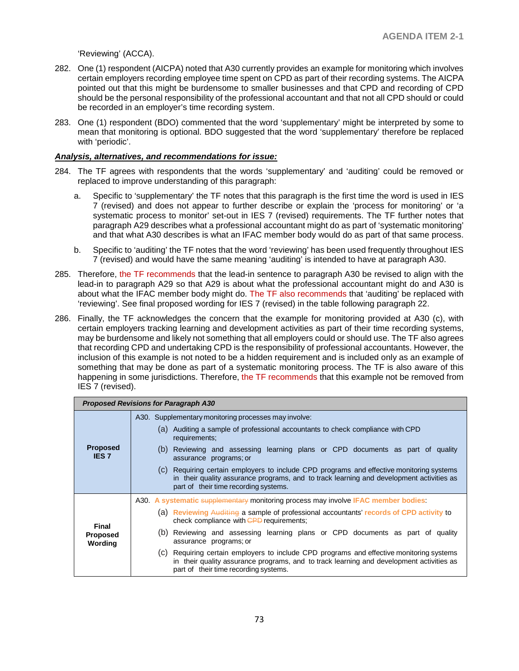'Reviewing' (ACCA).

- 282. One (1) respondent (AICPA) noted that A30 currently provides an example for monitoring which involves certain employers recording employee time spent on CPD as part of their recording systems. The AICPA pointed out that this might be burdensome to smaller businesses and that CPD and recording of CPD should be the personal responsibility of the professional accountant and that not all CPD should or could be recorded in an employer's time recording system.
- 283. One (1) respondent (BDO) commented that the word 'supplementary' might be interpreted by some to mean that monitoring is optional. BDO suggested that the word 'supplementary' therefore be replaced with 'periodic'.

#### *Analysis, alternatives, and recommendations for issue:*

- 284. The TF agrees with respondents that the words 'supplementary' and 'auditing' could be removed or replaced to improve understanding of this paragraph:
	- a. Specific to 'supplementary' the TF notes that this paragraph is the first time the word is used in IES 7 (revised) and does not appear to further describe or explain the 'process for monitoring' or 'a systematic process to monitor' set-out in IES 7 (revised) requirements. The TF further notes that paragraph A29 describes what a professional accountant might do as part of 'systematic monitoring' and that what A30 describes is what an IFAC member body would do as part of that same process.
	- b. Specific to 'auditing' the TF notes that the word 'reviewing' has been used frequently throughout IES 7 (revised) and would have the same meaning 'auditing' is intended to have at paragraph A30.
- 285. Therefore, the TF recommends that the lead-in sentence to paragraph A30 be revised to align with the lead-in to paragraph A29 so that A29 is about what the professional accountant might do and A30 is about what the IFAC member body might do. The TF also recommends that 'auditing' be replaced with 'reviewing'. See final proposed wording for IES 7 (revised) in the table following paragraph 22.
- 286. Finally, the TF acknowledges the concern that the example for monitoring provided at A30 (c), with certain employers tracking learning and development activities as part of their time recording systems, may be burdensome and likely not something that all employers could or should use. The TF also agrees that recording CPD and undertaking CPD is the responsibility of professional accountants. However, the inclusion of this example is not noted to be a hidden requirement and is included only as an example of something that may be done as part of a systematic monitoring process. The TF is also aware of this happening in some jurisdictions. Therefore, the TF recommends that this example not be removed from IES 7 (revised).

| <b>Proposed Revisions for Paragraph A30</b> |                                                                                                                                                                                                                                  |  |
|---------------------------------------------|----------------------------------------------------------------------------------------------------------------------------------------------------------------------------------------------------------------------------------|--|
| <b>Proposed</b><br><b>IES 7</b>             | A30. Supplementary monitoring processes may involve:                                                                                                                                                                             |  |
|                                             | (a) Auditing a sample of professional accountants to check compliance with CPD<br>requirements;                                                                                                                                  |  |
|                                             | Reviewing and assessing learning plans or CPD documents as part of quality<br>(b)<br>assurance programs; or                                                                                                                      |  |
|                                             | (c) Requiring certain employers to include CPD programs and effective monitoring systems<br>in their quality assurance programs, and to track learning and development activities as<br>part of their time recording systems.    |  |
| Final<br><b>Proposed</b><br>Wording         | A30. A systematic supplementary monitoring process may involve IFAC member bodies:                                                                                                                                               |  |
|                                             | (a) Reviewing Auditing a sample of professional accountants' records of CPD activity to<br>check compliance with CPD requirements:                                                                                               |  |
|                                             | Reviewing and assessing learning plans or CPD documents as part of quality<br>(b)<br>assurance programs; or                                                                                                                      |  |
|                                             | Requiring certain employers to include CPD programs and effective monitoring systems<br>(C)<br>in their quality assurance programs, and to track learning and development activities as<br>part of their time recording systems. |  |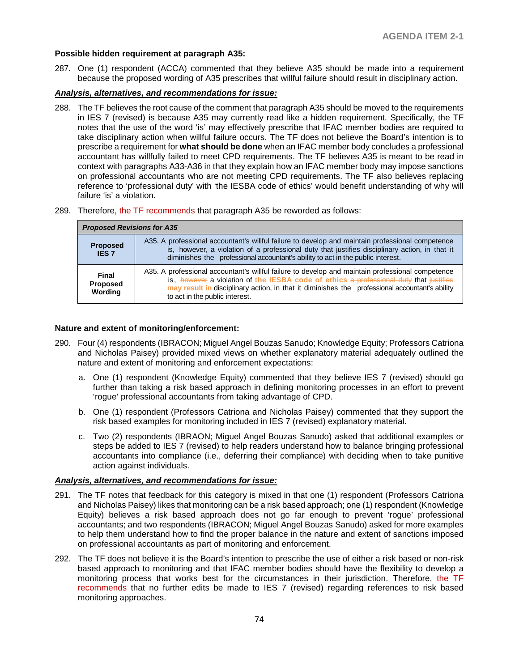# **Possible hidden requirement at paragraph A35:**

287. One (1) respondent (ACCA) commented that they believe A35 should be made into a requirement because the proposed wording of A35 prescribes that willful failure should result in disciplinary action.

#### *Analysis, alternatives, and recommendations for issue:*

- 288. The TF believes the root cause of the comment that paragraph A35 should be moved to the requirements in IES 7 (revised) is because A35 may currently read like a hidden requirement. Specifically, the TF notes that the use of the word 'is' may effectively prescribe that IFAC member bodies are required to take disciplinary action when willful failure occurs. The TF does not believe the Board's intention is to prescribe a requirement for **what should be done** when an IFAC member body concludes a professional accountant has willfully failed to meet CPD requirements. The TF believes A35 is meant to be read in context with paragraphs A33-A36 in that they explain how an IFAC member body may impose sanctions on professional accountants who are not meeting CPD requirements. The TF also believes replacing reference to 'professional duty' with 'the IESBA code of ethics' would benefit understanding of why will failure 'is' a violation.
- 289. Therefore, the TF recommends that paragraph A35 be reworded as follows:

| <b>Proposed Revisions for A35</b>   |                                                                                                                                                                                                                                                                                                                                |  |
|-------------------------------------|--------------------------------------------------------------------------------------------------------------------------------------------------------------------------------------------------------------------------------------------------------------------------------------------------------------------------------|--|
| <b>Proposed</b><br><b>IES 7</b>     | A35. A professional accountant's willful failure to develop and maintain professional competence<br>is, however, a violation of a professional duty that justifies disciplinary action, in that it<br>diminishes the professional accountant's ability to act in the public interest.                                          |  |
| <b>Final</b><br>Proposed<br>Wording | A35. A professional accountant's willful failure to develop and maintain professional competence<br>is, however a violation of the IESBA code of ethics a professional duty that justifies<br>may result in disciplinary action, in that it diminishes the professional accountant's ability<br>to act in the public interest. |  |

## **Nature and extent of monitoring/enforcement:**

- 290. Four (4) respondents (IBRACON; Miguel Angel Bouzas Sanudo; Knowledge Equity; Professors Catriona and Nicholas Paisey) provided mixed views on whether explanatory material adequately outlined the nature and extent of monitoring and enforcement expectations:
	- a. One (1) respondent (Knowledge Equity) commented that they believe IES 7 (revised) should go further than taking a risk based approach in defining monitoring processes in an effort to prevent 'rogue' professional accountants from taking advantage of CPD.
	- b. One (1) respondent (Professors Catriona and Nicholas Paisey) commented that they support the risk based examples for monitoring included in IES 7 (revised) explanatory material.
	- c. Two (2) respondents (IBRAON; Miguel Angel Bouzas Sanudo) asked that additional examples or steps be added to IES 7 (revised) to help readers understand how to balance bringing professional accountants into compliance (i.e., deferring their compliance) with deciding when to take punitive action against individuals.

#### *Analysis, alternatives, and recommendations for issue:*

- 291. The TF notes that feedback for this category is mixed in that one (1) respondent (Professors Catriona and Nicholas Paisey) likes that monitoring can be a risk based approach; one (1) respondent (Knowledge Equity) believes a risk based approach does not go far enough to prevent 'rogue' professional accountants; and two respondents (IBRACON; Miguel Angel Bouzas Sanudo) asked for more examples to help them understand how to find the proper balance in the nature and extent of sanctions imposed on professional accountants as part of monitoring and enforcement.
- 292. The TF does not believe it is the Board's intention to prescribe the use of either a risk based or non-risk based approach to monitoring and that IFAC member bodies should have the flexibility to develop a monitoring process that works best for the circumstances in their jurisdiction. Therefore, the TF recommends that no further edits be made to IES 7 (revised) regarding references to risk based monitoring approaches.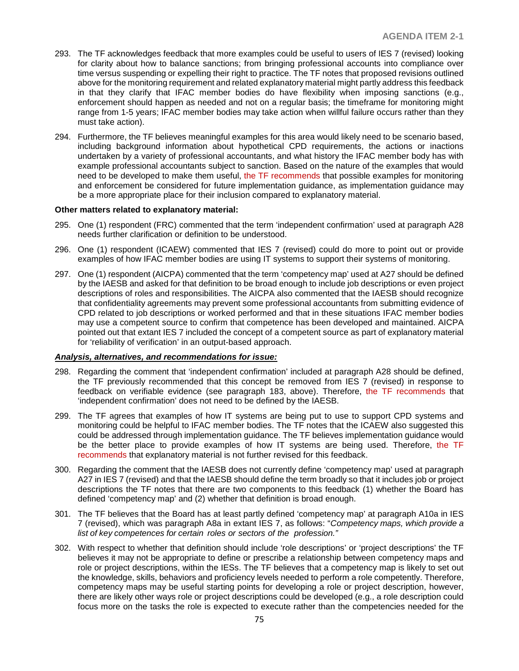- 293. The TF acknowledges feedback that more examples could be useful to users of IES 7 (revised) looking for clarity about how to balance sanctions; from bringing professional accounts into compliance over time versus suspending or expelling their right to practice. The TF notes that proposed revisions outlined above for the monitoring requirement and related explanatory material might partly address this feedback in that they clarify that IFAC member bodies do have flexibility when imposing sanctions (e.g., enforcement should happen as needed and not on a regular basis; the timeframe for monitoring might range from 1-5 years; IFAC member bodies may take action when willful failure occurs rather than they must take action).
- 294. Furthermore, the TF believes meaningful examples for this area would likely need to be scenario based, including background information about hypothetical CPD requirements, the actions or inactions undertaken by a variety of professional accountants, and what history the IFAC member body has with example professional accountants subject to sanction. Based on the nature of the examples that would need to be developed to make them useful, the TF recommends that possible examples for monitoring and enforcement be considered for future implementation guidance, as implementation guidance may be a more appropriate place for their inclusion compared to explanatory material.

#### **Other matters related to explanatory material:**

- 295. One (1) respondent (FRC) commented that the term 'independent confirmation' used at paragraph A28 needs further clarification or definition to be understood.
- 296. One (1) respondent (ICAEW) commented that IES 7 (revised) could do more to point out or provide examples of how IFAC member bodies are using IT systems to support their systems of monitoring.
- 297. One (1) respondent (AICPA) commented that the term 'competency map' used at A27 should be defined by the IAESB and asked for that definition to be broad enough to include job descriptions or even project descriptions of roles and responsibilities. The AICPA also commented that the IAESB should recognize that confidentiality agreements may prevent some professional accountants from submitting evidence of CPD related to job descriptions or worked performed and that in these situations IFAC member bodies may use a competent source to confirm that competence has been developed and maintained. AICPA pointed out that extant IES 7 included the concept of a competent source as part of explanatory material for 'reliability of verification' in an output-based approach.

#### *Analysis, alternatives, and recommendations for issue:*

- 298. Regarding the comment that 'independent confirmation' included at paragraph A28 should be defined, the TF previously recommended that this concept be removed from IES 7 (revised) in response to feedback on verifiable evidence (see paragraph 183, above). Therefore, the TF recommends that 'independent confirmation' does not need to be defined by the IAESB.
- 299. The TF agrees that examples of how IT systems are being put to use to support CPD systems and monitoring could be helpful to IFAC member bodies. The TF notes that the ICAEW also suggested this could be addressed through implementation guidance. The TF believes implementation guidance would be the better place to provide examples of how IT systems are being used. Therefore, the TF recommends that explanatory material is not further revised for this feedback.
- 300. Regarding the comment that the IAESB does not currently define 'competency map' used at paragraph A27 in IES 7 (revised) and that the IAESB should define the term broadly so that it includes job or project descriptions the TF notes that there are two components to this feedback (1) whether the Board has defined 'competency map' and (2) whether that definition is broad enough.
- 301. The TF believes that the Board has at least partly defined 'competency map' at paragraph A10a in IES 7 (revised), which was paragraph A8a in extant IES 7, as follows: "*Competency maps, which provide a list of key competences for certain roles or sectors of the profession."*
- 302. With respect to whether that definition should include 'role descriptions' or 'project descriptions' the TF believes it may not be appropriate to define or prescribe a relationship between competency maps and role or project descriptions, within the IESs. The TF believes that a competency map is likely to set out the knowledge, skills, behaviors and proficiency levels needed to perform a role competently. Therefore, competency maps may be useful starting points for developing a role or project description, however, there are likely other ways role or project descriptions could be developed (e.g., a role description could focus more on the tasks the role is expected to execute rather than the competencies needed for the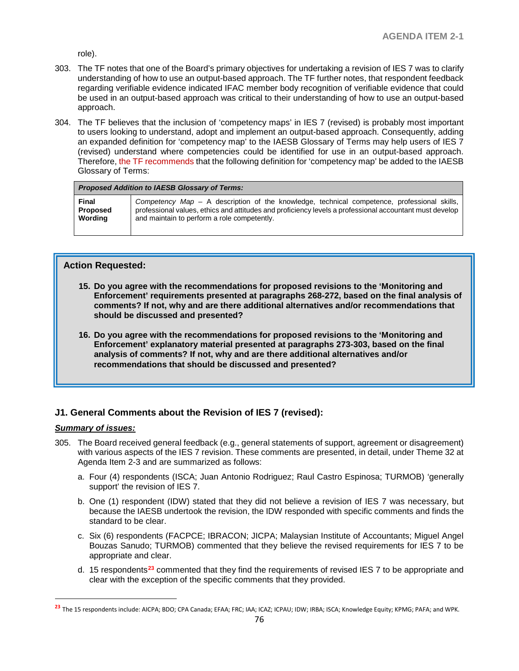role).

- 303. The TF notes that one of the Board's primary objectives for undertaking a revision of IES 7 was to clarify understanding of how to use an output-based approach. The TF further notes, that respondent feedback regarding verifiable evidence indicated IFAC member body recognition of verifiable evidence that could be used in an output-based approach was critical to their understanding of how to use an output-based approach.
- 304. The TF believes that the inclusion of 'competency maps' in IES 7 (revised) is probably most important to users looking to understand, adopt and implement an output-based approach. Consequently, adding an expanded definition for 'competency map' to the IAESB Glossary of Terms may help users of IES 7 (revised) understand where competencies could be identified for use in an output-based approach. Therefore, the TF recommends that the following definition for 'competency map' be added to the IAESB Glossary of Terms:

| <b>Proposed Addition to IAESB Glossary of Terms:</b> |                                                                                                         |  |
|------------------------------------------------------|---------------------------------------------------------------------------------------------------------|--|
| Final                                                | Competency Map – A description of the knowledge, technical competence, professional skills,             |  |
| <b>Proposed</b>                                      | professional values, ethics and attitudes and proficiency levels a professional accountant must develop |  |
| Wording                                              | and maintain to perform a role competently.                                                             |  |

# **Action Requested:**

- **15. Do you agree with the recommendations for proposed revisions to the 'Monitoring and Enforcement' requirements presented at paragraphs 268-272, based on the final analysis of comments? If not, why and are there additional alternatives and/or recommendations that should be discussed and presented?**
- **16. Do you agree with the recommendations for proposed revisions to the 'Monitoring and Enforcement' explanatory material presented at paragraphs 273-303, based on the final analysis of comments? If not, why and are there additional alternatives and/or recommendations that should be discussed and presented?**

# **J1. General Comments about the Revision of IES 7 (revised):**

# *Summary of issues:*

 $\overline{a}$ 

- 305. The Board received general feedback (e.g., general statements of support, agreement or disagreement) with various aspects of the IES 7 revision. These comments are presented, in detail, under Theme 32 at Agenda Item 2-3 and are summarized as follows:
	- a. Four (4) respondents (ISCA; Juan Antonio Rodriguez; Raul Castro Espinosa; TURMOB) 'generally support' the revision of IES 7.
	- b. One (1) respondent (IDW) stated that they did not believe a revision of IES 7 was necessary, but because the IAESB undertook the revision, the IDW responded with specific comments and finds the standard to be clear.
	- c. Six (6) respondents (FACPCE; IBRACON; JICPA; Malaysian Institute of Accountants; Miguel Angel Bouzas Sanudo; TURMOB) commented that they believe the revised requirements for IES 7 to be appropriate and clear.
	- d. 15 respondents**[23](#page-75-0)** commented that they find the requirements of revised IES 7 to be appropriate and clear with the exception of the specific comments that they provided.

<span id="page-75-0"></span>**<sup>23</sup>** The 15 respondents include: AICPA; BDO; CPA Canada; EFAA; FRC; IAA; ICAZ; ICPAU; IDW; IRBA; ISCA; Knowledge Equity; KPMG; PAFA; and WPK.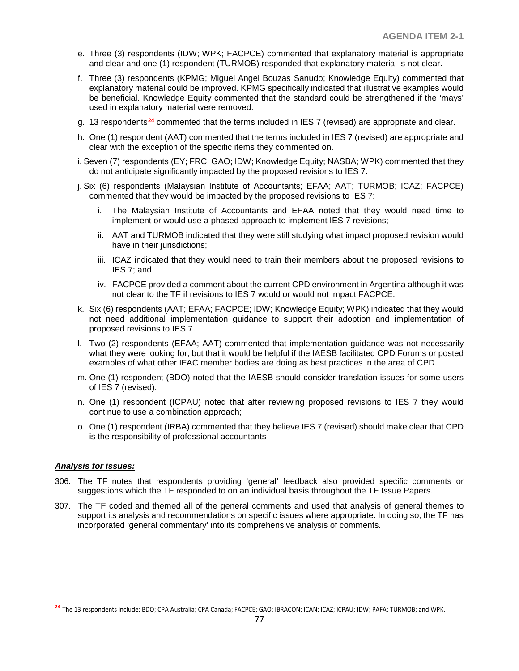- e. Three (3) respondents (IDW; WPK; FACPCE) commented that explanatory material is appropriate and clear and one (1) respondent (TURMOB) responded that explanatory material is not clear.
- f. Three (3) respondents (KPMG; Miguel Angel Bouzas Sanudo; Knowledge Equity) commented that explanatory material could be improved. KPMG specifically indicated that illustrative examples would be beneficial. Knowledge Equity commented that the standard could be strengthened if the 'mays' used in explanatory material were removed.
- g. 13 respondents**[24](#page-76-0)** commented that the terms included in IES 7 (revised) are appropriate and clear.
- h. One (1) respondent (AAT) commented that the terms included in IES 7 (revised) are appropriate and clear with the exception of the specific items they commented on.
- i. Seven (7) respondents (EY; FRC; GAO; IDW; Knowledge Equity; NASBA; WPK) commented that they do not anticipate significantly impacted by the proposed revisions to IES 7.
- j. Six (6) respondents (Malaysian Institute of Accountants; EFAA; AAT; TURMOB; ICAZ; FACPCE) commented that they would be impacted by the proposed revisions to IES 7:
	- i. The Malaysian Institute of Accountants and EFAA noted that they would need time to implement or would use a phased approach to implement IES 7 revisions;
	- ii. AAT and TURMOB indicated that they were still studying what impact proposed revision would have in their jurisdictions;
	- iii. ICAZ indicated that they would need to train their members about the proposed revisions to IES 7; and
	- iv. FACPCE provided a comment about the current CPD environment in Argentina although it was not clear to the TF if revisions to IES 7 would or would not impact FACPCE.
- k. Six (6) respondents (AAT; EFAA; FACPCE; IDW; Knowledge Equity; WPK) indicated that they would not need additional implementation guidance to support their adoption and implementation of proposed revisions to IES 7.
- l. Two (2) respondents (EFAA; AAT) commented that implementation guidance was not necessarily what they were looking for, but that it would be helpful if the IAESB facilitated CPD Forums or posted examples of what other IFAC member bodies are doing as best practices in the area of CPD.
- m. One (1) respondent (BDO) noted that the IAESB should consider translation issues for some users of IES 7 (revised).
- n. One (1) respondent (ICPAU) noted that after reviewing proposed revisions to IES 7 they would continue to use a combination approach;
- o. One (1) respondent (IRBA) commented that they believe IES 7 (revised) should make clear that CPD is the responsibility of professional accountants

#### *Analysis for issues:*

 $\overline{a}$ 

- 306. The TF notes that respondents providing 'general' feedback also provided specific comments or suggestions which the TF responded to on an individual basis throughout the TF Issue Papers.
- 307. The TF coded and themed all of the general comments and used that analysis of general themes to support its analysis and recommendations on specific issues where appropriate. In doing so, the TF has incorporated 'general commentary' into its comprehensive analysis of comments.

<span id="page-76-0"></span>**<sup>24</sup>** The 13 respondents include: BDO; CPA Australia; CPA Canada; FACPCE; GAO; IBRACON; ICAN; ICAZ; ICPAU; IDW; PAFA; TURMOB; and WPK.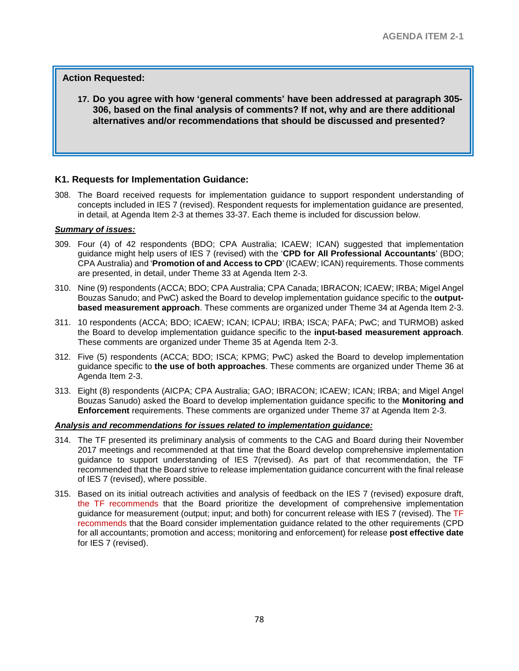# **Action Requested:**

**17. Do you agree with how 'general comments' have been addressed at paragraph 305- 306, based on the final analysis of comments? If not, why and are there additional alternatives and/or recommendations that should be discussed and presented?** 

## **K1. Requests for Implementation Guidance:**

308. The Board received requests for implementation guidance to support respondent understanding of concepts included in IES 7 (revised). Respondent requests for implementation guidance are presented, in detail, at Agenda Item 2-3 at themes 33-37. Each theme is included for discussion below.

#### *Summary of issues:*

- 309. Four (4) of 42 respondents (BDO; CPA Australia; ICAEW; ICAN) suggested that implementation guidance might help users of IES 7 (revised) with the '**CPD for All Professional Accountants**' (BDO; CPA Australia) and '**Promotion of and Access to CPD**' (ICAEW; ICAN) requirements. Those comments are presented, in detail, under Theme 33 at Agenda Item 2-3.
- 310. Nine (9) respondents (ACCA; BDO; CPA Australia; CPA Canada; IBRACON; ICAEW; IRBA; Migel Angel Bouzas Sanudo; and PwC) asked the Board to develop implementation guidance specific to the **outputbased measurement approach**. These comments are organized under Theme 34 at Agenda Item 2-3.
- 311. 10 respondents (ACCA; BDO; ICAEW; ICAN; ICPAU; IRBA; ISCA; PAFA; PwC; and TURMOB) asked the Board to develop implementation guidance specific to the **input-based measurement approach**. These comments are organized under Theme 35 at Agenda Item 2-3.
- 312. Five (5) respondents (ACCA; BDO; ISCA; KPMG; PwC) asked the Board to develop implementation guidance specific to **the use of both approaches**. These comments are organized under Theme 36 at Agenda Item 2-3.
- 313. Eight (8) respondents (AICPA; CPA Australia; GAO; IBRACON; ICAEW; ICAN; IRBA; and Migel Angel Bouzas Sanudo) asked the Board to develop implementation guidance specific to the **Monitoring and Enforcement** requirements. These comments are organized under Theme 37 at Agenda Item 2-3.

#### *Analysis and recommendations for issues related to implementation guidance:*

- 314. The TF presented its preliminary analysis of comments to the CAG and Board during their November 2017 meetings and recommended at that time that the Board develop comprehensive implementation guidance to support understanding of IES 7(revised). As part of that recommendation, the TF recommended that the Board strive to release implementation guidance concurrent with the final release of IES 7 (revised), where possible.
- 315. Based on its initial outreach activities and analysis of feedback on the IES 7 (revised) exposure draft, the TF recommends that the Board prioritize the development of comprehensive implementation guidance for measurement (output; input; and both) for concurrent release with IES 7 (revised). The TF recommends that the Board consider implementation guidance related to the other requirements (CPD for all accountants; promotion and access; monitoring and enforcement) for release **post effective date** for IES 7 (revised).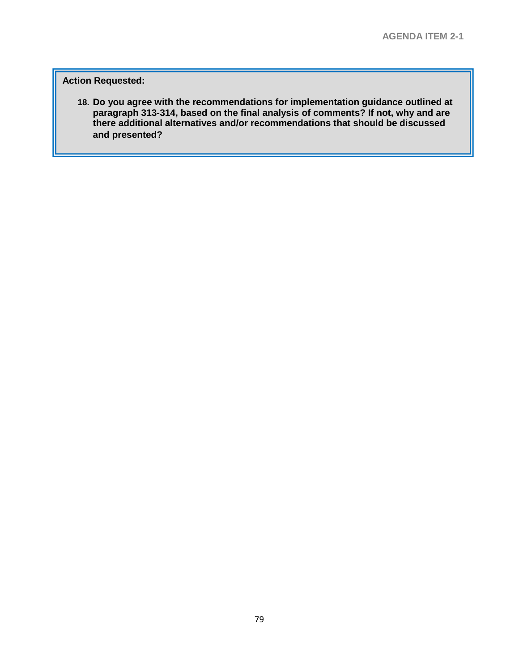# **Action Requested:**

**18. Do you agree with the recommendations for implementation guidance outlined at paragraph 313-314, based on the final analysis of comments? If not, why and are there additional alternatives and/or recommendations that should be discussed and presented?**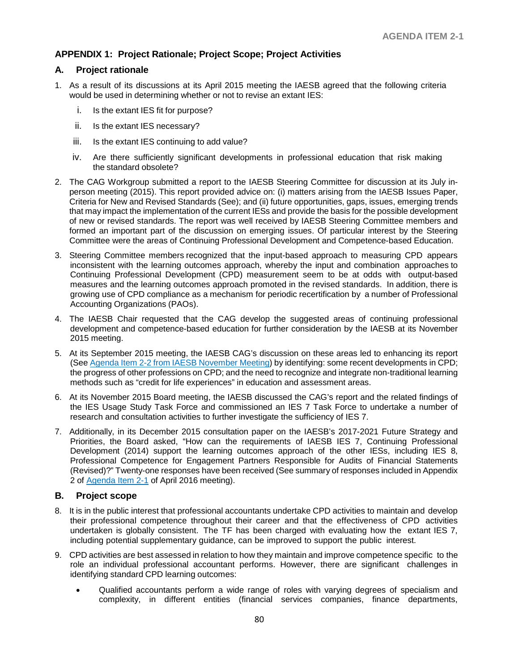# **APPENDIX 1: Project Rationale; Project Scope; Project Activities**

# **A. Project rationale**

- 1. As a result of its discussions at its April 2015 meeting the IAESB agreed that the following criteria would be used in determining whether or not to revise an extant IES:
	- i. Is the extant IES fit for purpose?
	- ii. Is the extant IES necessary?
	- iii. Is the extant IES continuing to add value?
	- iv. Are there sufficiently significant developments in professional education that risk making the standard obsolete?
- 2. The CAG Workgroup submitted a report to the IAESB Steering Committee for discussion at its July inperson meeting (2015). This report provided advice on: (i) matters arising from the IAESB Issues Paper, Criteria for New and Revised Standards (See); and (ii) future opportunities, gaps, issues, emerging trends that may impact the implementation of the current IESs and provide the basis for the possible development of new or revised standards. The report was well received by IAESB Steering Committee members and formed an important part of the discussion on emerging issues. Of particular interest by the Steering Committee were the areas of Continuing Professional Development and Competence-based Education.
- 3. Steering Committee members recognized that the input-based approach to measuring CPD appears inconsistent with the learning outcomes approach, whereby the input and combination approaches to Continuing Professional Development (CPD) measurement seem to be at odds with output-based measures and the learning outcomes approach promoted in the revised standards. In addition, there is growing use of CPD compliance as a mechanism for periodic recertification by a number of Professional Accounting Organizations (PAOs).
- 4. The IAESB Chair requested that the CAG develop the suggested areas of continuing professional development and competence-based education for further consideration by the IAESB at its November 2015 meeting.
- 5. At its September 2015 meeting, the IAESB CAG's discussion on these areas led to enhancing its report (See [Agenda Item 2-2 from IAESB November Meeting\)](http://www.iaesb.org/system/files/meetings/files/2-2-Agenda-2-2-IAESB-Nov-2015-mtg-CAG-Report-to-IAESB-Future-IAESB-Framework.pdf) by identifying: some recent developments in CPD; the progress of other professions on CPD; and the need to recognize and integrate non-traditional learning methods such as "credit for life experiences" in education and assessment areas.
- 6. At its November 2015 Board meeting, the IAESB discussed the CAG's report and the related findings of the IES Usage Study Task Force and commissioned an IES 7 Task Force to undertake a number of research and consultation activities to further investigate the sufficiency of IES 7.
- 7. Additionally, in its December 2015 consultation paper on the IAESB's 2017-2021 Future Strategy and Priorities, the Board asked, "How can the requirements of IAESB IES 7, Continuing Professional Development (2014) support the learning outcomes approach of the other IESs, including IES 8, Professional Competence for Engagement Partners Responsible for Audits of Financial Statements (Revised)?" Twenty-one responses have been received (See summary of responses included in Appendix 2 of [Agenda Item 2-1](http://www.iaesb.org/system/files/meetings/files/6-1-20160323-Agenda-6-1-IAESB-2017-2021-Strategy-and-Work-Plan-Issues-paper.pdf) of April 2016 meeting).

# **B. Project scope**

- 8. It is in the public interest that professional accountants undertake CPD activities to maintain and develop their professional competence throughout their career and that the effectiveness of CPD activities undertaken is globally consistent. The TF has been charged with evaluating how the extant IES 7, including potential supplementary guidance, can be improved to support the public interest.
- 9. CPD activities are best assessed in relation to how they maintain and improve competence specific to the role an individual professional accountant performs. However, there are significant challenges in identifying standard CPD learning outcomes:
	- Qualified accountants perform a wide range of roles with varying degrees of specialism and complexity, in different entities (financial services companies, finance departments,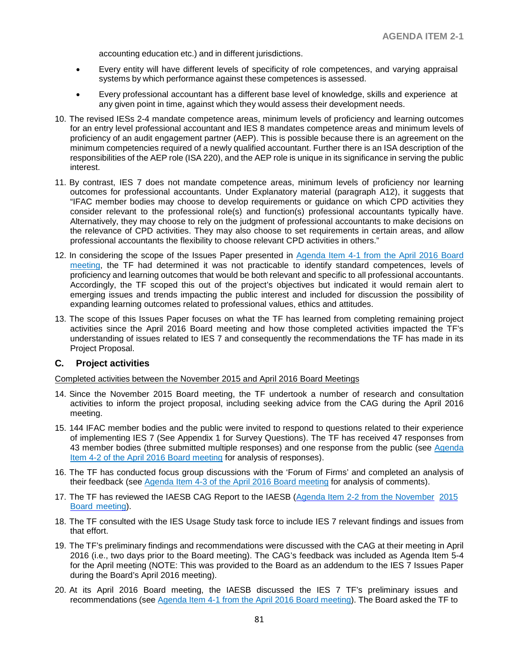accounting education etc.) and in different jurisdictions.

- Every entity will have different levels of specificity of role competences, and varying appraisal systems by which performance against these competences is assessed.
- Every professional accountant has a different base level of knowledge, skills and experience at any given point in time, against which they would assess their development needs.
- 10. The revised IESs 2-4 mandate competence areas, minimum levels of proficiency and learning outcomes for an entry level professional accountant and IES 8 mandates competence areas and minimum levels of proficiency of an audit engagement partner (AEP). This is possible because there is an agreement on the minimum competencies required of a newly qualified accountant. Further there is an ISA description of the responsibilities of the AEP role (ISA 220), and the AEP role is unique in its significance in serving the public interest.
- 11. By contrast, IES 7 does not mandate competence areas, minimum levels of proficiency nor learning outcomes for professional accountants. Under Explanatory material (paragraph A12), it suggests that "IFAC member bodies may choose to develop requirements or guidance on which CPD activities they consider relevant to the professional role(s) and function(s) professional accountants typically have. Alternatively, they may choose to rely on the judgment of professional accountants to make decisions on the relevance of CPD activities. They may also choose to set requirements in certain areas, and allow professional accountants the flexibility to choose relevant CPD activities in others."
- 12. In considering the scope of the Issues Paper presented in Agenda Item 4-1 from the April 2016 Board [meeting,](http://www.iaesb.org/system/files/meetings/files/4-1-20160411-Agenda-4-1-IAESB-CAG-April-2016-mtg-IES-7-Issues-Paper-V_FINAL.pdf) the TF had determined it was not practicable to identify standard competences, levels of proficiency and learning outcomes that would be both relevant and specific to all professional accountants. Accordingly, the TF scoped this out of the project's objectives but indicated it would remain alert to emerging issues and trends impacting the public interest and included for discussion the possibility of expanding learning outcomes related to professional values, ethics and attitudes.
- 13. The scope of this Issues Paper focuses on what the TF has learned from completing remaining project activities since the April 2016 Board meeting and how those completed activities impacted the TF's understanding of issues related to IES 7 and consequently the recommendations the TF has made in its Project Proposal.

#### **C. Project activities**

Completed activities between the November 2015 and April 2016 Board Meetings

- 14. Since the November 2015 Board meeting, the TF undertook a number of research and consultation activities to inform the project proposal, including seeking advice from the CAG during the April 2016 meeting.
- 15. 144 IFAC member bodies and the public were invited to respond to questions related to their experience of implementing IES 7 (See Appendix 1 for Survey Questions). The TF has received 47 responses from 43 member bodies (three submitted multiple responses) and one response from the public (see [Agenda](http://www.iaesb.org/system/files/meetings/files/4-2-20160411-Agenda-4-2-IAESB-CAG-April-2016-mtg-IES-7-Survey-Result-1_0.pdf)  [Item 4-2 of the April 2016 Board meeting](http://www.iaesb.org/system/files/meetings/files/4-2-20160411-Agenda-4-2-IAESB-CAG-April-2016-mtg-IES-7-Survey-Result-1_0.pdf) for analysis of responses).
- 16. The TF has conducted focus group discussions with the 'Forum of Firms' and completed an analysis of their feedback (see [Agenda Item 4-3 of the April 2016 Board meeting](http://www.iaesb.org/system/files/meetings/files/4-3-20160411-Agenda-4-3-IAESB-CAG-April-2016-mtg-IES-7-Focus-Groups-FoF_0.pdf) for analysis of comments).
- 17. The TF has reviewed the IAESB CAG Report to the IAESB (Agenda Item 2-2 from [the November](http://www.iaesb.org/system/files/meetings/files/2-2-Agenda-2-2-IAESB-Nov-2015-mtg-CAG-Report-to-IAESB-Future-IAESB-Framework.pdf) [2015](http://www.iaesb.org/system/files/meetings/files/2-2-Agenda-2-2-IAESB-Nov-2015-mtg-CAG-Report-to-IAESB-Future-IAESB-Framework.pdf) Board [meeting\)](http://www.iaesb.org/system/files/meetings/files/2-2-Agenda-2-2-IAESB-Nov-2015-mtg-CAG-Report-to-IAESB-Future-IAESB-Framework.pdf).
- 18. The TF consulted with the IES Usage Study task force to include IES 7 relevant findings and issues from that effort.
- 19. The TF's preliminary findings and recommendations were discussed with the CAG at their meeting in April 2016 (i.e., two days prior to the Board meeting). The CAG's feedback was included as Agenda Item 5-4 for the April meeting (NOTE: This was provided to the Board as an addendum to the IES 7 Issues Paper during the Board's April 2016 meeting).
- 20. At its April 2016 Board meeting, the IAESB discussed the IES 7 TF's preliminary issues and recommendations (see [Agenda Item 4-1 from the April 2016 Board meeting\)](http://www.iaesb.org/system/files/meetings/files/4-1-20160411-Agenda-4-1-IAESB-CAG-April-2016-mtg-IES-7-Issues-Paper-V_FINAL.pdf). The Board asked the TF to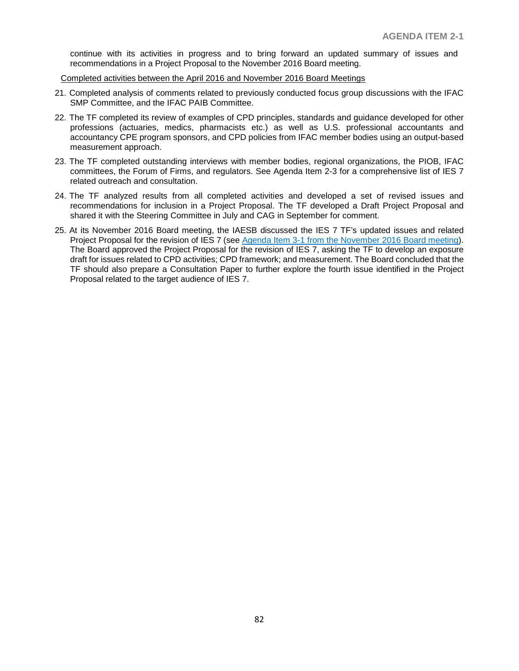continue with its activities in progress and to bring forward an updated summary of issues and recommendations in a Project Proposal to the November 2016 Board meeting.

Completed activities between the April 2016 and November 2016 Board Meetings

- 21. Completed analysis of comments related to previously conducted focus group discussions with the IFAC SMP Committee, and the IFAC PAIB Committee.
- 22. The TF completed its review of examples of CPD principles, standards and guidance developed for other professions (actuaries, medics, pharmacists etc.) as well as U.S. professional accountants and accountancy CPE program sponsors, and CPD policies from IFAC member bodies using an output-based measurement approach.
- 23. The TF completed outstanding interviews with member bodies, regional organizations, the PIOB, IFAC committees, the Forum of Firms, and regulators. See Agenda Item 2-3 for a comprehensive list of IES 7 related outreach and consultation.
- 24. The TF analyzed results from all completed activities and developed a set of revised issues and recommendations for inclusion in a Project Proposal. The TF developed a Draft Project Proposal and shared it with the Steering Committee in July and CAG in September for comment.
- 25. At its November 2016 Board meeting, the IAESB discussed the IES 7 TF's updated issues and related Project Proposal for the revision of IES 7 (see [Agenda Item 3-1 from the November 2016 Board meeting\)](http://www.iaesb.org/system/files/meetings/files/3-1-IAESB-Nov-2016-mtg-IES-7-Issues-Paper_FINAL-1.pdf). The Board approved the Project Proposal for the revision of IES 7, asking the TF to develop an exposure draft for issues related to CPD activities; CPD framework; and measurement. The Board concluded that the TF should also prepare a Consultation Paper to further explore the fourth issue identified in the Project Proposal related to the target audience of IES 7.